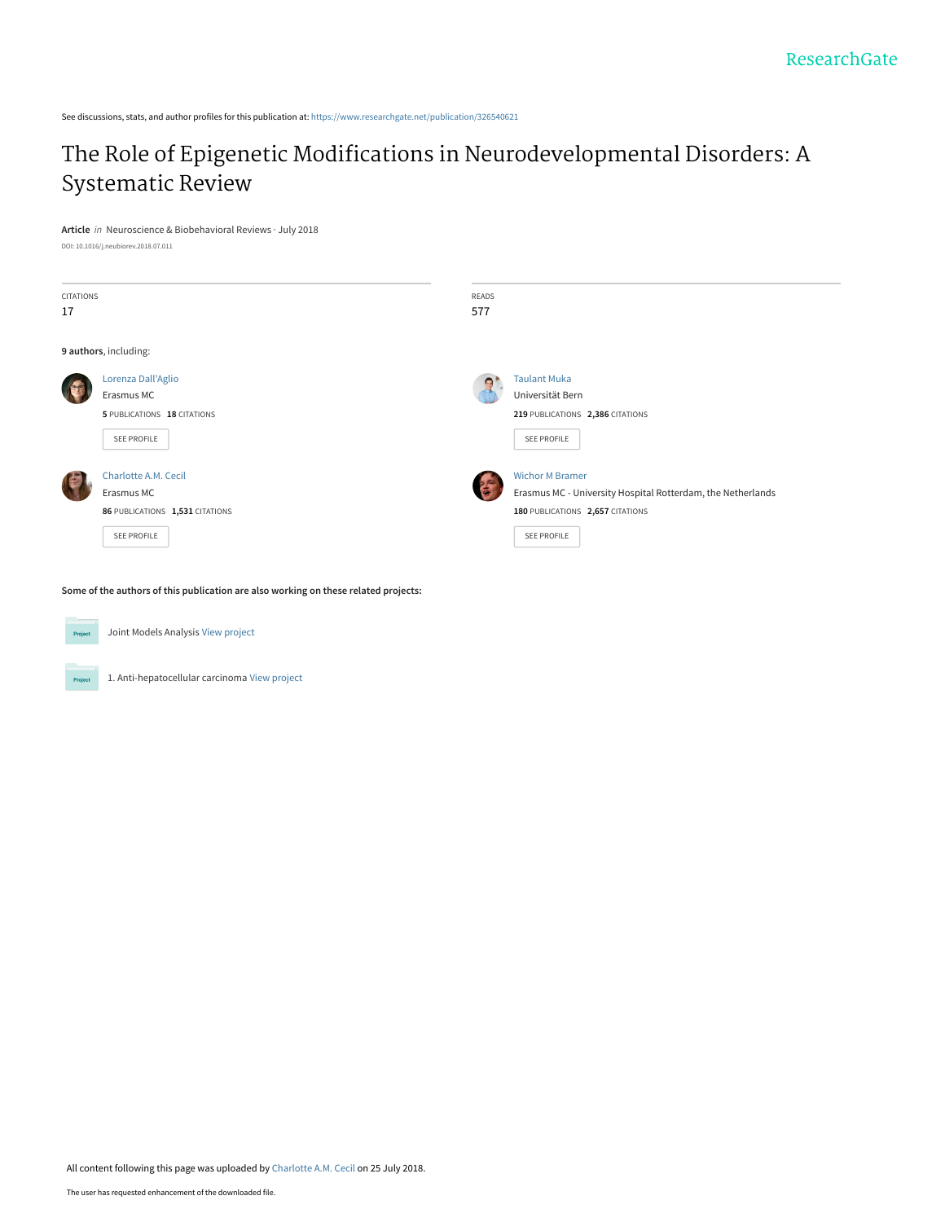See discussions, stats, and author profiles for this publication at: [https://www.researchgate.net/publication/326540621](https://www.researchgate.net/publication/326540621_The_Role_of_Epigenetic_Modifications_in_Neurodevelopmental_Disorders_A_Systematic_Review?enrichId=rgreq-56c19fb56be66d4d3e95330579f1419e-XXX&enrichSource=Y292ZXJQYWdlOzMyNjU0MDYyMTtBUzo2NTIyODkyNjYxODAwOTdAMTUzMjUyOTI4ODAyNw%3D%3D&el=1_x_2&_esc=publicationCoverPdf)

# [The Role of Epigenetic Modifications in Neurodevelopmental Disorders: A](https://www.researchgate.net/publication/326540621_The_Role_of_Epigenetic_Modifications_in_Neurodevelopmental_Disorders_A_Systematic_Review?enrichId=rgreq-56c19fb56be66d4d3e95330579f1419e-XXX&enrichSource=Y292ZXJQYWdlOzMyNjU0MDYyMTtBUzo2NTIyODkyNjYxODAwOTdAMTUzMjUyOTI4ODAyNw%3D%3D&el=1_x_3&_esc=publicationCoverPdf) Systematic Review

**Article** in Neuroscience & Biobehavioral Reviews · July 2018

DOI: 10.1016/j.neubiorev.2018.07.011

| <b>CITATIONS</b> |                                 | READS      |                                                             |
|------------------|---------------------------------|------------|-------------------------------------------------------------|
| 17               |                                 | 577        |                                                             |
|                  |                                 |            |                                                             |
|                  | 9 authors, including:           |            |                                                             |
|                  | Lorenza Dall'Aglio              | $\epsilon$ | <b>Taulant Muka</b>                                         |
|                  | Erasmus MC                      |            | Universität Bern                                            |
|                  | 5 PUBLICATIONS 18 CITATIONS     |            | 219 PUBLICATIONS 2,386 CITATIONS                            |
|                  | SEE PROFILE                     |            | SEE PROFILE                                                 |
|                  |                                 |            |                                                             |
|                  | Charlotte A.M. Cecil            |            | <b>Wichor M Bramer</b>                                      |
|                  | Erasmus MC                      |            | Erasmus MC - University Hospital Rotterdam, the Netherlands |
|                  | 86 PUBLICATIONS 1,531 CITATIONS |            | 180 PUBLICATIONS 2,657 CITATIONS                            |
|                  | SEE PROFILE                     |            | SEE PROFILE                                                 |
|                  |                                 |            |                                                             |

**Some of the authors of this publication are also working on these related projects:**



Project

Joint Models Analysis [View project](https://www.researchgate.net/project/Joint-Models-Analysis?enrichId=rgreq-56c19fb56be66d4d3e95330579f1419e-XXX&enrichSource=Y292ZXJQYWdlOzMyNjU0MDYyMTtBUzo2NTIyODkyNjYxODAwOTdAMTUzMjUyOTI4ODAyNw%3D%3D&el=1_x_9&_esc=publicationCoverPdf)

1. Anti-hepatocellular carcinoma [View project](https://www.researchgate.net/project/1-Anti-hepatocellular-carcinoma?enrichId=rgreq-56c19fb56be66d4d3e95330579f1419e-XXX&enrichSource=Y292ZXJQYWdlOzMyNjU0MDYyMTtBUzo2NTIyODkyNjYxODAwOTdAMTUzMjUyOTI4ODAyNw%3D%3D&el=1_x_9&_esc=publicationCoverPdf)

All content following this page was uploaded by [Charlotte A.M. Cecil](https://www.researchgate.net/profile/Charlotte_Cecil?enrichId=rgreq-56c19fb56be66d4d3e95330579f1419e-XXX&enrichSource=Y292ZXJQYWdlOzMyNjU0MDYyMTtBUzo2NTIyODkyNjYxODAwOTdAMTUzMjUyOTI4ODAyNw%3D%3D&el=1_x_10&_esc=publicationCoverPdf) on 25 July 2018.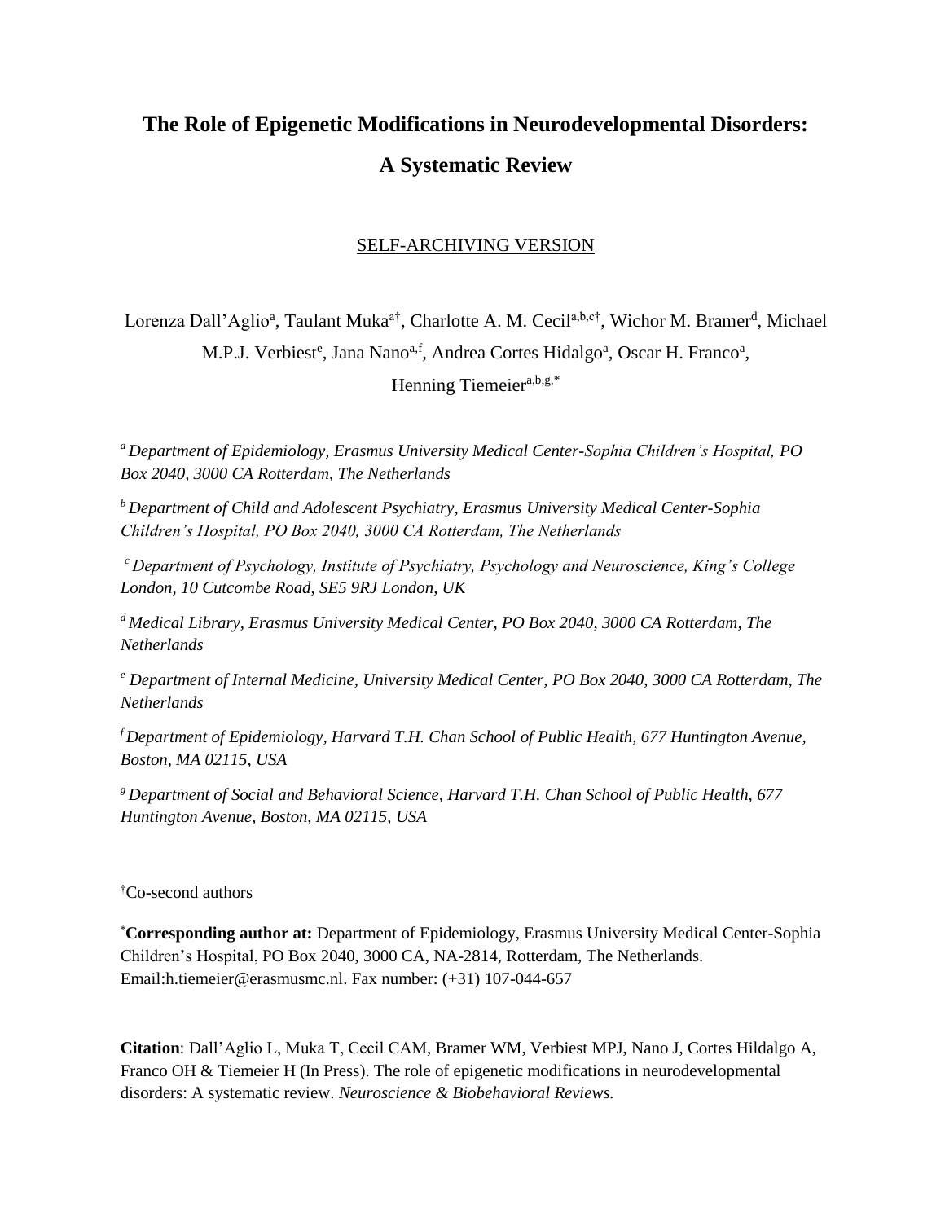# **The Role of Epigenetic Modifications in Neurodevelopmental Disorders: A Systematic Review**

# SELF-ARCHIVING VERSION

Lorenza Dall'Aglio<sup>a</sup>, Taulant Muka<sup>a†</sup>, Charlotte A. M. Cecil<sup>a,b,c†</sup>, Wichor M. Bramer<sup>d</sup>, Michael M.P.J. Verbiest<sup>e</sup>, Jana Nano<sup>a,f</sup>, Andrea Cortes Hidalgo<sup>a</sup>, Oscar H. Franco<sup>a</sup>, Henning Tiemeier<sup>a,b,g,\*</sup>

*<sup>a</sup>Department of Epidemiology, Erasmus University Medical Center-Sophia Children's Hospital, PO Box 2040, 3000 CA Rotterdam, The Netherlands*

*<sup>b</sup>Department of Child and Adolescent Psychiatry, Erasmus University Medical Center-Sophia Children's Hospital, PO Box 2040, 3000 CA Rotterdam, The Netherlands*

*<sup>c</sup>Department of Psychology, Institute of Psychiatry, Psychology and Neuroscience, King's College London, 10 Cutcombe Road, SE5 9RJ London, UK*

*<sup>d</sup>Medical Library, Erasmus University Medical Center, PO Box 2040, 3000 CA Rotterdam, The Netherlands* 

*<sup>e</sup> Department of Internal Medicine, University Medical Center, PO Box 2040, 3000 CA Rotterdam, The Netherlands*

*<sup>f</sup>Department of Epidemiology, Harvard T.H. Chan School of Public Health, 677 Huntington Avenue, Boston, MA 02115, USA*

*<sup>g</sup>Department of Social and Behavioral Science, Harvard T.H. Chan School of Public Health, 677 Huntington Avenue, Boston, MA 02115, USA*

†Co-second authors

\***Corresponding author at:** Department of Epidemiology, Erasmus University Medical Center-Sophia Children's Hospital, PO Box 2040, 3000 CA, NA-2814, Rotterdam, The Netherlands. Email:h.tiemeier@erasmusmc.nl. Fax number: (+31) 107-044-657

**Citation**: Dall'Aglio L, Muka T, Cecil CAM, Bramer WM, Verbiest MPJ, Nano J, Cortes Hildalgo A, Franco OH & Tiemeier H (In Press). The role of epigenetic modifications in neurodevelopmental disorders: A systematic review. *Neuroscience & Biobehavioral Reviews.*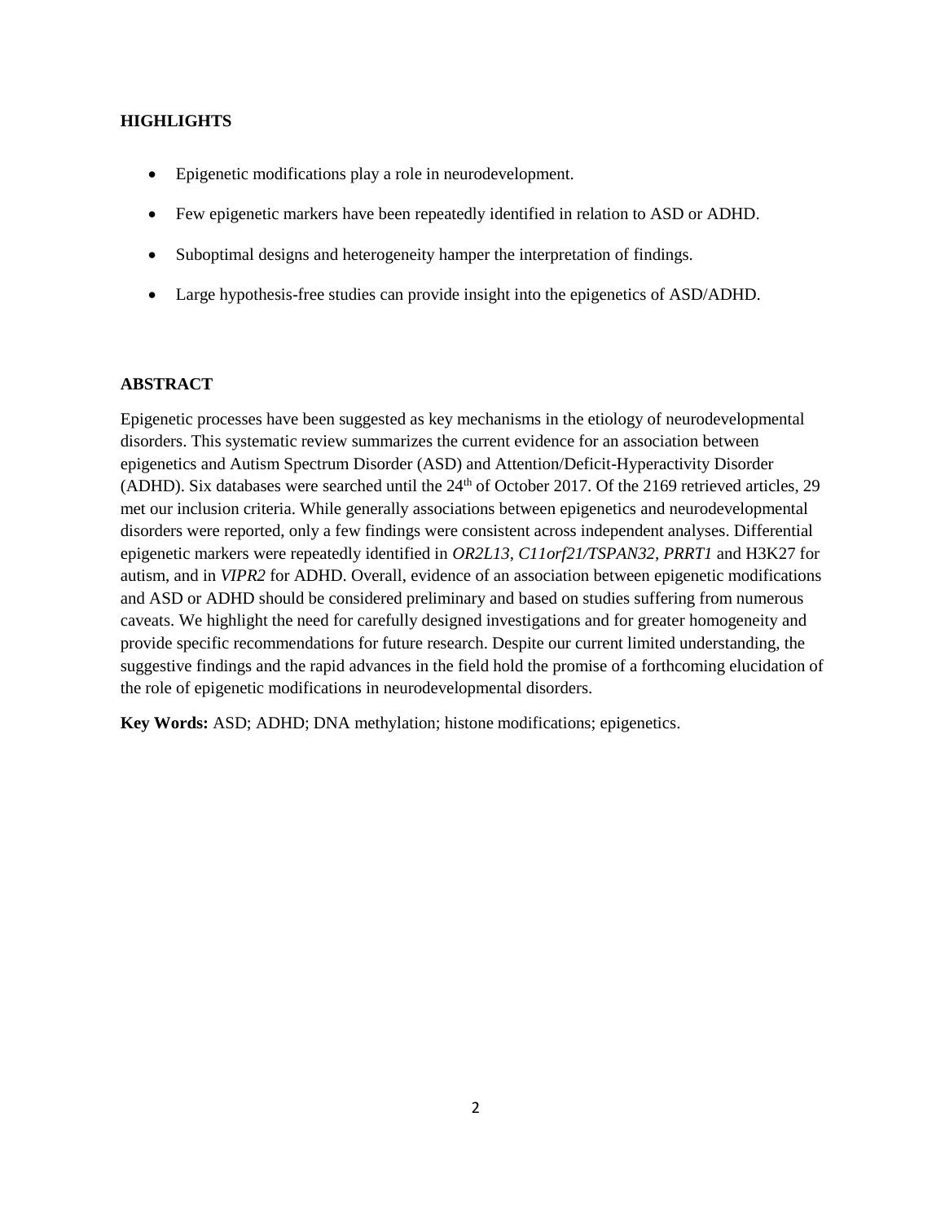### **HIGHLIGHTS**

- Epigenetic modifications play a role in neurodevelopment.
- Few epigenetic markers have been repeatedly identified in relation to ASD or ADHD.
- Suboptimal designs and heterogeneity hamper the interpretation of findings.
- Large hypothesis-free studies can provide insight into the epigenetics of ASD/ADHD.

### **ABSTRACT**

Epigenetic processes have been suggested as key mechanisms in the etiology of neurodevelopmental disorders. This systematic review summarizes the current evidence for an association between epigenetics and Autism Spectrum Disorder (ASD) and Attention/Deficit-Hyperactivity Disorder (ADHD). Six databases were searched until the  $24<sup>th</sup>$  of October 2017. Of the 2169 retrieved articles, 29 met our inclusion criteria. While generally associations between epigenetics and neurodevelopmental disorders were reported, only a few findings were consistent across independent analyses. Differential epigenetic markers were repeatedly identified in *OR2L13, C11orf21/TSPAN32, PRRT1* and H3K27 for autism, and in *VIPR2* for ADHD. Overall, evidence of an association between epigenetic modifications and ASD or ADHD should be considered preliminary and based on studies suffering from numerous caveats. We highlight the need for carefully designed investigations and for greater homogeneity and provide specific recommendations for future research. Despite our current limited understanding, the suggestive findings and the rapid advances in the field hold the promise of a forthcoming elucidation of the role of epigenetic modifications in neurodevelopmental disorders.

**Key Words:** ASD; ADHD; DNA methylation; histone modifications; epigenetics.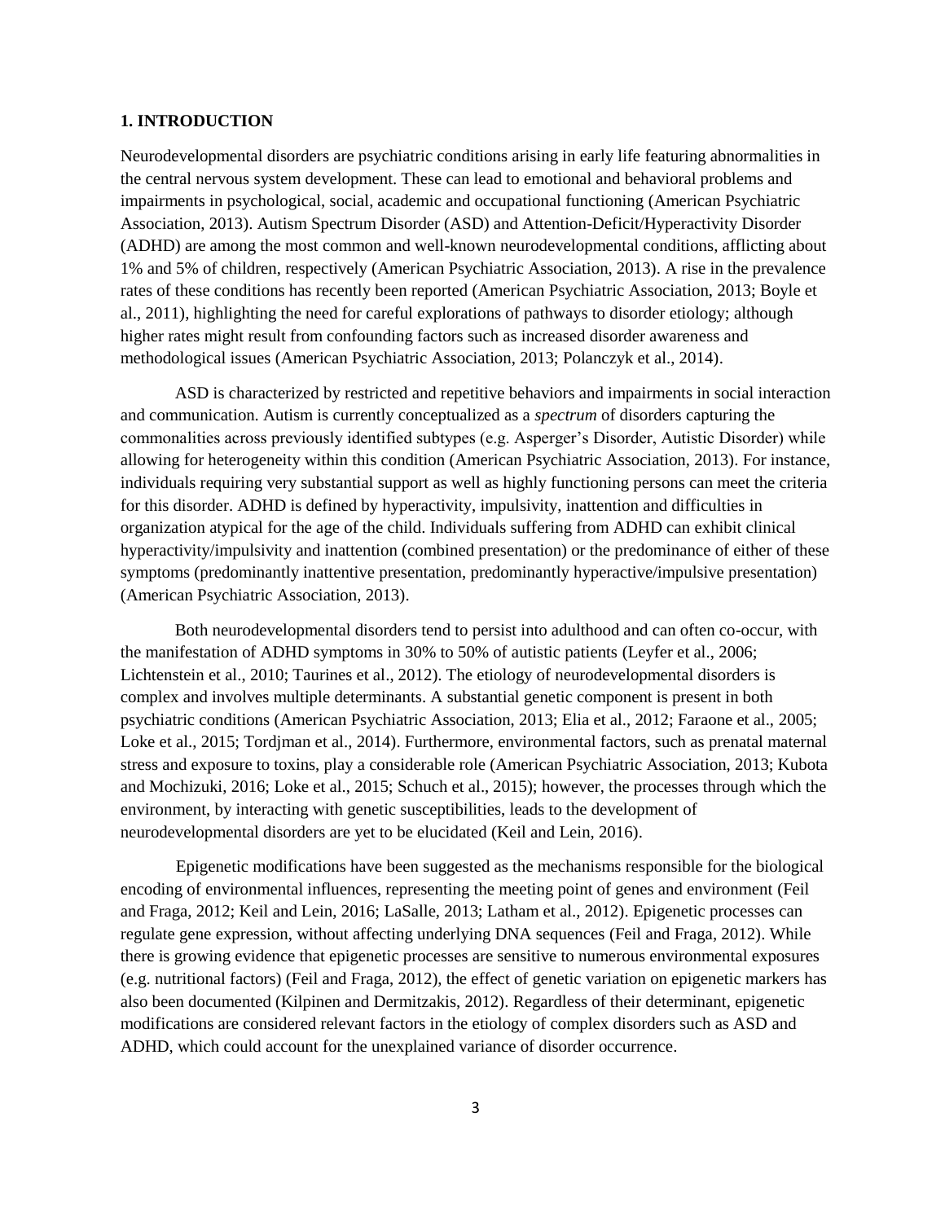### **1. INTRODUCTION**

Neurodevelopmental disorders are psychiatric conditions arising in early life featuring abnormalities in the central nervous system development. These can lead to emotional and behavioral problems and impairments in psychological, social, academic and occupational functioning (American Psychiatric Association, 2013). Autism Spectrum Disorder (ASD) and Attention-Deficit/Hyperactivity Disorder (ADHD) are among the most common and well-known neurodevelopmental conditions, afflicting about 1% and 5% of children, respectively (American Psychiatric Association, 2013). A rise in the prevalence rates of these conditions has recently been reported (American Psychiatric Association, 2013; Boyle et al., 2011), highlighting the need for careful explorations of pathways to disorder etiology; although higher rates might result from confounding factors such as increased disorder awareness and methodological issues (American Psychiatric Association, 2013; Polanczyk et al., 2014).

ASD is characterized by restricted and repetitive behaviors and impairments in social interaction and communication. Autism is currently conceptualized as a *spectrum* of disorders capturing the commonalities across previously identified subtypes (e.g. Asperger's Disorder, Autistic Disorder) while allowing for heterogeneity within this condition (American Psychiatric Association, 2013). For instance, individuals requiring very substantial support as well as highly functioning persons can meet the criteria for this disorder. ADHD is defined by hyperactivity, impulsivity, inattention and difficulties in organization atypical for the age of the child. Individuals suffering from ADHD can exhibit clinical hyperactivity/impulsivity and inattention (combined presentation) or the predominance of either of these symptoms (predominantly inattentive presentation, predominantly hyperactive/impulsive presentation) (American Psychiatric Association, 2013).

Both neurodevelopmental disorders tend to persist into adulthood and can often co-occur, with the manifestation of ADHD symptoms in 30% to 50% of autistic patients (Leyfer et al., 2006; Lichtenstein et al., 2010; Taurines et al., 2012). The etiology of neurodevelopmental disorders is complex and involves multiple determinants. A substantial genetic component is present in both psychiatric conditions (American Psychiatric Association, 2013; Elia et al., 2012; Faraone et al., 2005; Loke et al., 2015; Tordjman et al., 2014). Furthermore, environmental factors, such as prenatal maternal stress and exposure to toxins, play a considerable role (American Psychiatric Association, 2013; Kubota and Mochizuki, 2016; Loke et al., 2015; Schuch et al., 2015); however, the processes through which the environment, by interacting with genetic susceptibilities, leads to the development of neurodevelopmental disorders are yet to be elucidated (Keil and Lein, 2016).

Epigenetic modifications have been suggested as the mechanisms responsible for the biological encoding of environmental influences, representing the meeting point of genes and environment (Feil and Fraga, 2012; Keil and Lein, 2016; LaSalle, 2013; Latham et al., 2012). Epigenetic processes can regulate gene expression, without affecting underlying DNA sequences (Feil and Fraga, 2012). While there is growing evidence that epigenetic processes are sensitive to numerous environmental exposures (e.g. nutritional factors) (Feil and Fraga, 2012), the effect of genetic variation on epigenetic markers has also been documented (Kilpinen and Dermitzakis, 2012). Regardless of their determinant, epigenetic modifications are considered relevant factors in the etiology of complex disorders such as ASD and ADHD, which could account for the unexplained variance of disorder occurrence.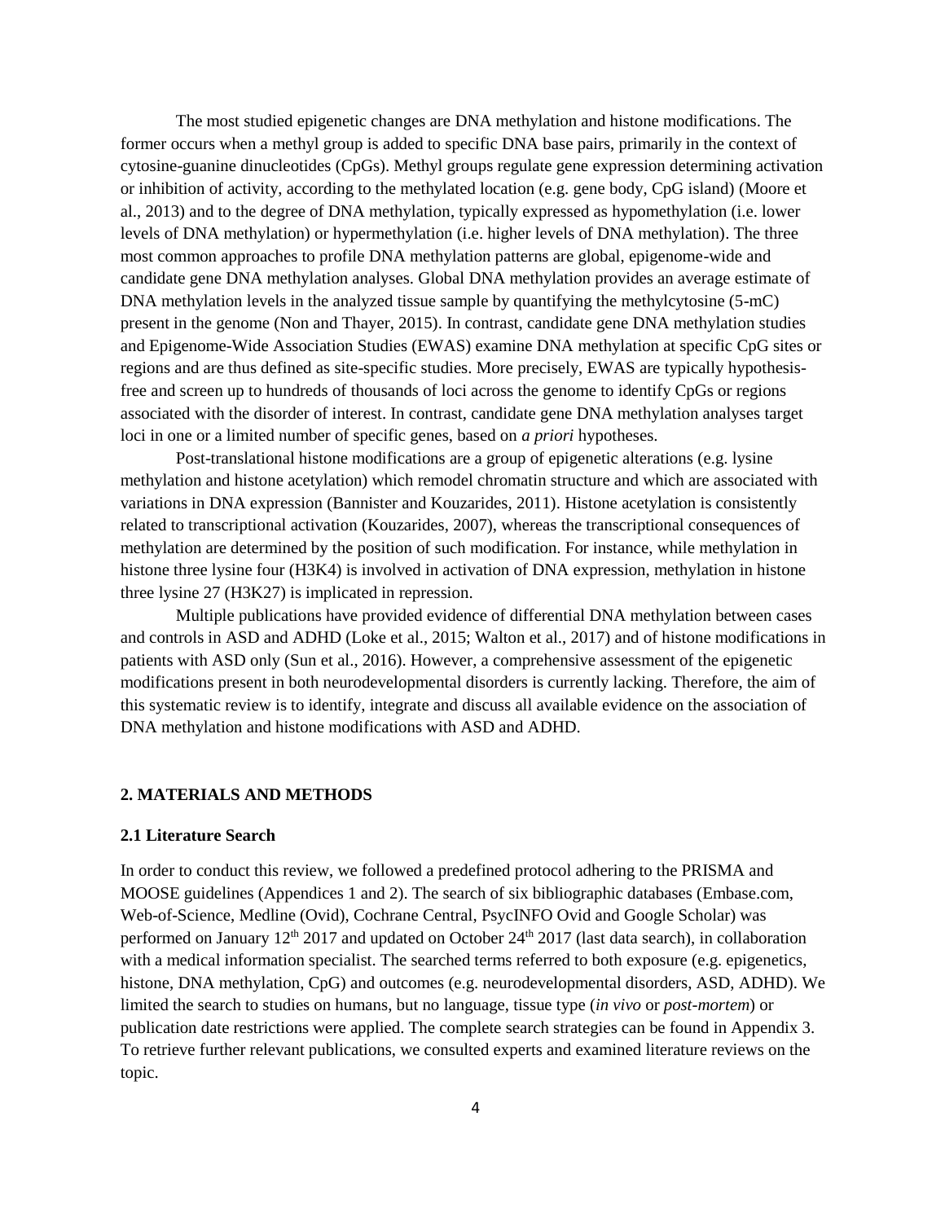The most studied epigenetic changes are DNA methylation and histone modifications. The former occurs when a methyl group is added to specific DNA base pairs, primarily in the context of cytosine-guanine dinucleotides (CpGs). Methyl groups regulate gene expression determining activation or inhibition of activity, according to the methylated location (e.g. gene body, CpG island) (Moore et al., 2013) and to the degree of DNA methylation, typically expressed as hypomethylation (i.e. lower levels of DNA methylation) or hypermethylation (i.e. higher levels of DNA methylation). The three most common approaches to profile DNA methylation patterns are global, epigenome-wide and candidate gene DNA methylation analyses. Global DNA methylation provides an average estimate of DNA methylation levels in the analyzed tissue sample by quantifying the methylcytosine (5-mC) present in the genome (Non and Thayer, 2015). In contrast, candidate gene DNA methylation studies and Epigenome-Wide Association Studies (EWAS) examine DNA methylation at specific CpG sites or regions and are thus defined as site-specific studies. More precisely, EWAS are typically hypothesisfree and screen up to hundreds of thousands of loci across the genome to identify CpGs or regions associated with the disorder of interest. In contrast, candidate gene DNA methylation analyses target loci in one or a limited number of specific genes, based on *a priori* hypotheses.

Post-translational histone modifications are a group of epigenetic alterations (e.g. lysine methylation and histone acetylation) which remodel chromatin structure and which are associated with variations in DNA expression (Bannister and Kouzarides, 2011). Histone acetylation is consistently related to transcriptional activation (Kouzarides, 2007), whereas the transcriptional consequences of methylation are determined by the position of such modification. For instance, while methylation in histone three lysine four (H3K4) is involved in activation of DNA expression, methylation in histone three lysine 27 (H3K27) is implicated in repression.

Multiple publications have provided evidence of differential DNA methylation between cases and controls in ASD and ADHD (Loke et al., 2015; Walton et al., 2017) and of histone modifications in patients with ASD only (Sun et al., 2016). However, a comprehensive assessment of the epigenetic modifications present in both neurodevelopmental disorders is currently lacking. Therefore, the aim of this systematic review is to identify, integrate and discuss all available evidence on the association of DNA methylation and histone modifications with ASD and ADHD.

### **2. MATERIALS AND METHODS**

### **2.1 Literature Search**

In order to conduct this review, we followed a predefined protocol adhering to the PRISMA and MOOSE guidelines (Appendices 1 and 2). The search of six bibliographic databases (Embase.com, Web-of-Science, Medline (Ovid), Cochrane Central, PsycINFO Ovid and Google Scholar) was performed on January  $12<sup>th</sup> 2017$  and updated on October  $24<sup>th</sup> 2017$  (last data search), in collaboration with a medical information specialist. The searched terms referred to both exposure (e.g. epigenetics, histone, DNA methylation, CpG) and outcomes (e.g. neurodevelopmental disorders, ASD, ADHD). We limited the search to studies on humans, but no language, tissue type (*in vivo* or *post-mortem*) or publication date restrictions were applied. The complete search strategies can be found in Appendix 3. To retrieve further relevant publications, we consulted experts and examined literature reviews on the topic.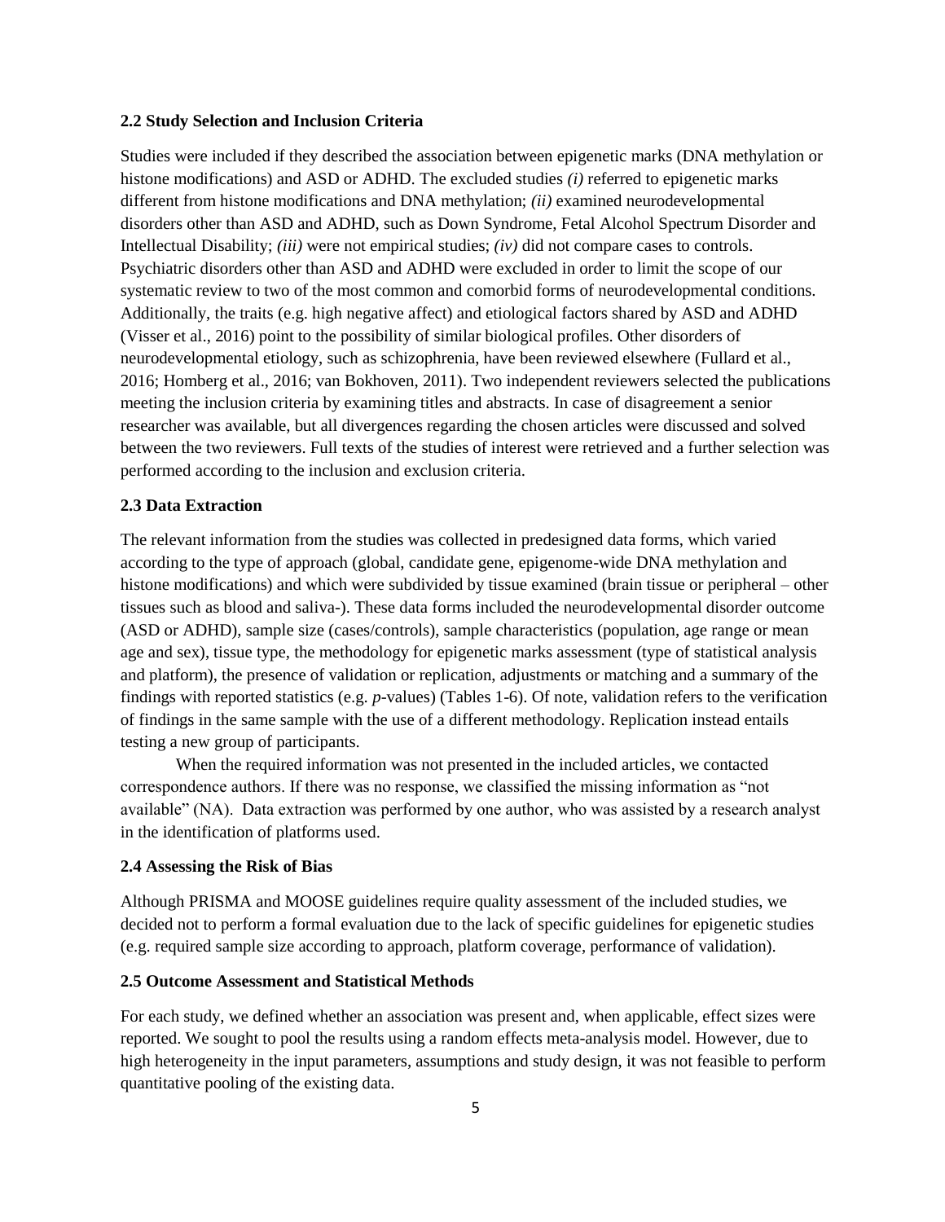### **2.2 Study Selection and Inclusion Criteria**

Studies were included if they described the association between epigenetic marks (DNA methylation or histone modifications) and ASD or ADHD. The excluded studies *(i)* referred to epigenetic marks different from histone modifications and DNA methylation; *(ii)* examined neurodevelopmental disorders other than ASD and ADHD, such as Down Syndrome, Fetal Alcohol Spectrum Disorder and Intellectual Disability; *(iii)* were not empirical studies; *(iv)* did not compare cases to controls. Psychiatric disorders other than ASD and ADHD were excluded in order to limit the scope of our systematic review to two of the most common and comorbid forms of neurodevelopmental conditions. Additionally, the traits (e.g. high negative affect) and etiological factors shared by ASD and ADHD (Visser et al., 2016) point to the possibility of similar biological profiles. Other disorders of neurodevelopmental etiology, such as schizophrenia, have been reviewed elsewhere (Fullard et al., 2016; Homberg et al., 2016; van Bokhoven, 2011). Two independent reviewers selected the publications meeting the inclusion criteria by examining titles and abstracts. In case of disagreement a senior researcher was available, but all divergences regarding the chosen articles were discussed and solved between the two reviewers. Full texts of the studies of interest were retrieved and a further selection was performed according to the inclusion and exclusion criteria.

### **2.3 Data Extraction**

The relevant information from the studies was collected in predesigned data forms, which varied according to the type of approach (global, candidate gene, epigenome-wide DNA methylation and histone modifications) and which were subdivided by tissue examined (brain tissue or peripheral – other tissues such as blood and saliva-). These data forms included the neurodevelopmental disorder outcome (ASD or ADHD), sample size (cases/controls), sample characteristics (population, age range or mean age and sex), tissue type, the methodology for epigenetic marks assessment (type of statistical analysis and platform), the presence of validation or replication, adjustments or matching and a summary of the findings with reported statistics (e.g. *p*-values) (Tables 1-6). Of note, validation refers to the verification of findings in the same sample with the use of a different methodology. Replication instead entails testing a new group of participants.

When the required information was not presented in the included articles, we contacted correspondence authors. If there was no response, we classified the missing information as "not available" (NA). Data extraction was performed by one author, who was assisted by a research analyst in the identification of platforms used.

### **2.4 Assessing the Risk of Bias**

Although PRISMA and MOOSE guidelines require quality assessment of the included studies, we decided not to perform a formal evaluation due to the lack of specific guidelines for epigenetic studies (e.g. required sample size according to approach, platform coverage, performance of validation).

### **2.5 Outcome Assessment and Statistical Methods**

For each study, we defined whether an association was present and, when applicable, effect sizes were reported. We sought to pool the results using a random effects meta-analysis model. However, due to high heterogeneity in the input parameters, assumptions and study design, it was not feasible to perform quantitative pooling of the existing data.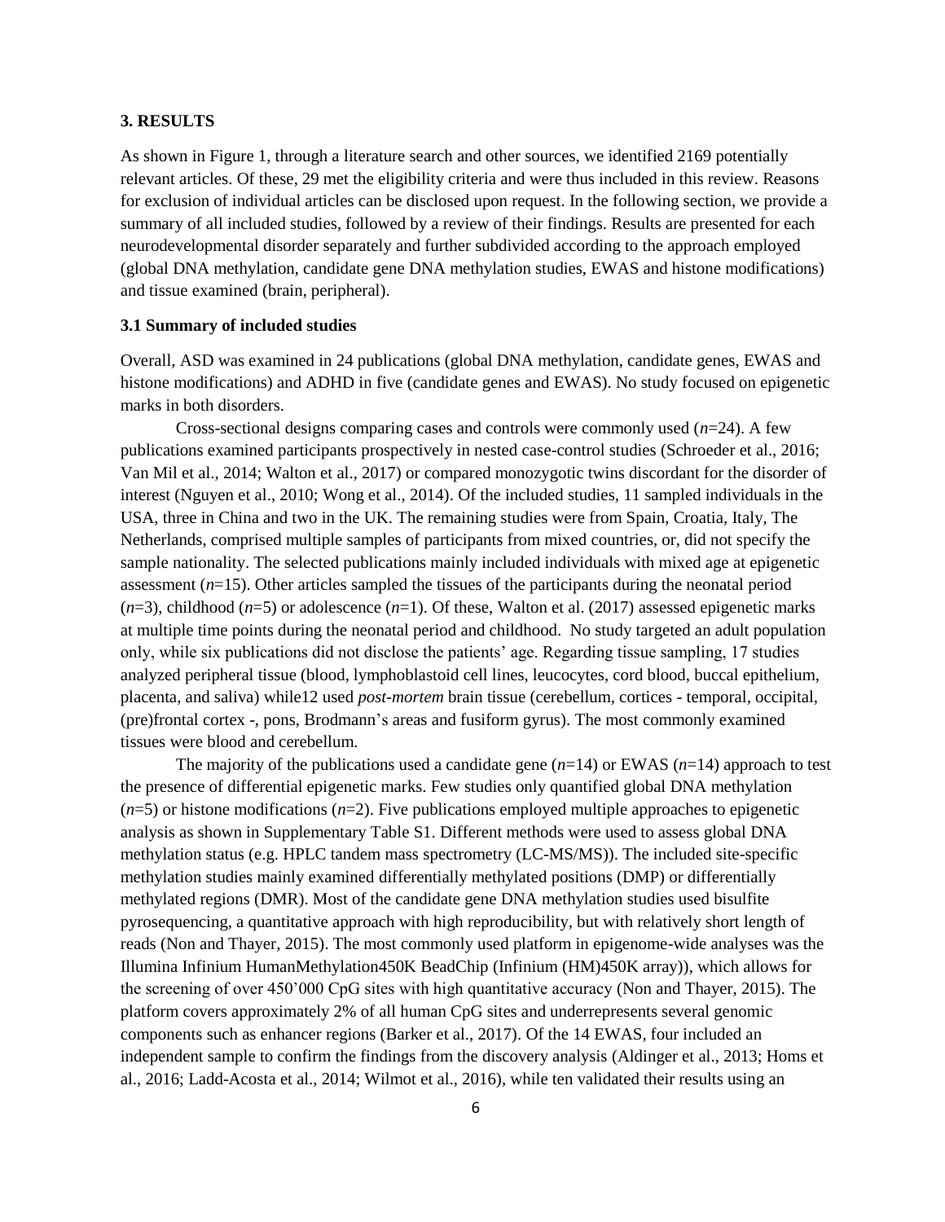### **3. RESULTS**

As shown in Figure 1, through a literature search and other sources, we identified 2169 potentially relevant articles. Of these, 29 met the eligibility criteria and were thus included in this review. Reasons for exclusion of individual articles can be disclosed upon request. In the following section, we provide a summary of all included studies, followed by a review of their findings. Results are presented for each neurodevelopmental disorder separately and further subdivided according to the approach employed (global DNA methylation, candidate gene DNA methylation studies, EWAS and histone modifications) and tissue examined (brain, peripheral).

### **3.1 Summary of included studies**

Overall, ASD was examined in 24 publications (global DNA methylation, candidate genes, EWAS and histone modifications) and ADHD in five (candidate genes and EWAS). No study focused on epigenetic marks in both disorders.

Cross-sectional designs comparing cases and controls were commonly used  $(n=24)$ . A few publications examined participants prospectively in nested case-control studies (Schroeder et al., 2016; Van Mil et al., 2014; Walton et al., 2017) or compared monozygotic twins discordant for the disorder of interest (Nguyen et al., 2010; Wong et al., 2014). Of the included studies, 11 sampled individuals in the USA, three in China and two in the UK. The remaining studies were from Spain, Croatia, Italy, The Netherlands, comprised multiple samples of participants from mixed countries, or, did not specify the sample nationality. The selected publications mainly included individuals with mixed age at epigenetic assessment (*n*=15). Other articles sampled the tissues of the participants during the neonatal period  $(n=3)$ , childhood  $(n=5)$  or adolescence  $(n=1)$ . Of these, Walton et al. (2017) assessed epigenetic marks at multiple time points during the neonatal period and childhood. No study targeted an adult population only, while six publications did not disclose the patients' age. Regarding tissue sampling, 17 studies analyzed peripheral tissue (blood, lymphoblastoid cell lines, leucocytes, cord blood, buccal epithelium, placenta, and saliva) while12 used *post-mortem* brain tissue (cerebellum, cortices - temporal, occipital, (pre)frontal cortex -, pons, Brodmann's areas and fusiform gyrus). The most commonly examined tissues were blood and cerebellum.

The majority of the publications used a candidate gene  $(n=14)$  or EWAS  $(n=14)$  approach to test the presence of differential epigenetic marks. Few studies only quantified global DNA methylation  $(n=5)$  or histone modifications  $(n=2)$ . Five publications employed multiple approaches to epigenetic analysis as shown in Supplementary Table S1. Different methods were used to assess global DNA methylation status (e.g. HPLC tandem mass spectrometry (LC-MS/MS)). The included site-specific methylation studies mainly examined differentially methylated positions (DMP) or differentially methylated regions (DMR). Most of the candidate gene DNA methylation studies used bisulfite pyrosequencing, a quantitative approach with high reproducibility, but with relatively short length of reads (Non and Thayer, 2015). The most commonly used platform in epigenome-wide analyses was the Illumina Infinium HumanMethylation450K BeadChip (Infinium (HM)450K array)), which allows for the screening of over 450'000 CpG sites with high quantitative accuracy (Non and Thayer, 2015). The platform covers approximately 2% of all human CpG sites and underrepresents several genomic components such as enhancer regions (Barker et al., 2017). Of the 14 EWAS, four included an independent sample to confirm the findings from the discovery analysis (Aldinger et al., 2013; Homs et al., 2016; Ladd-Acosta et al., 2014; Wilmot et al., 2016), while ten validated their results using an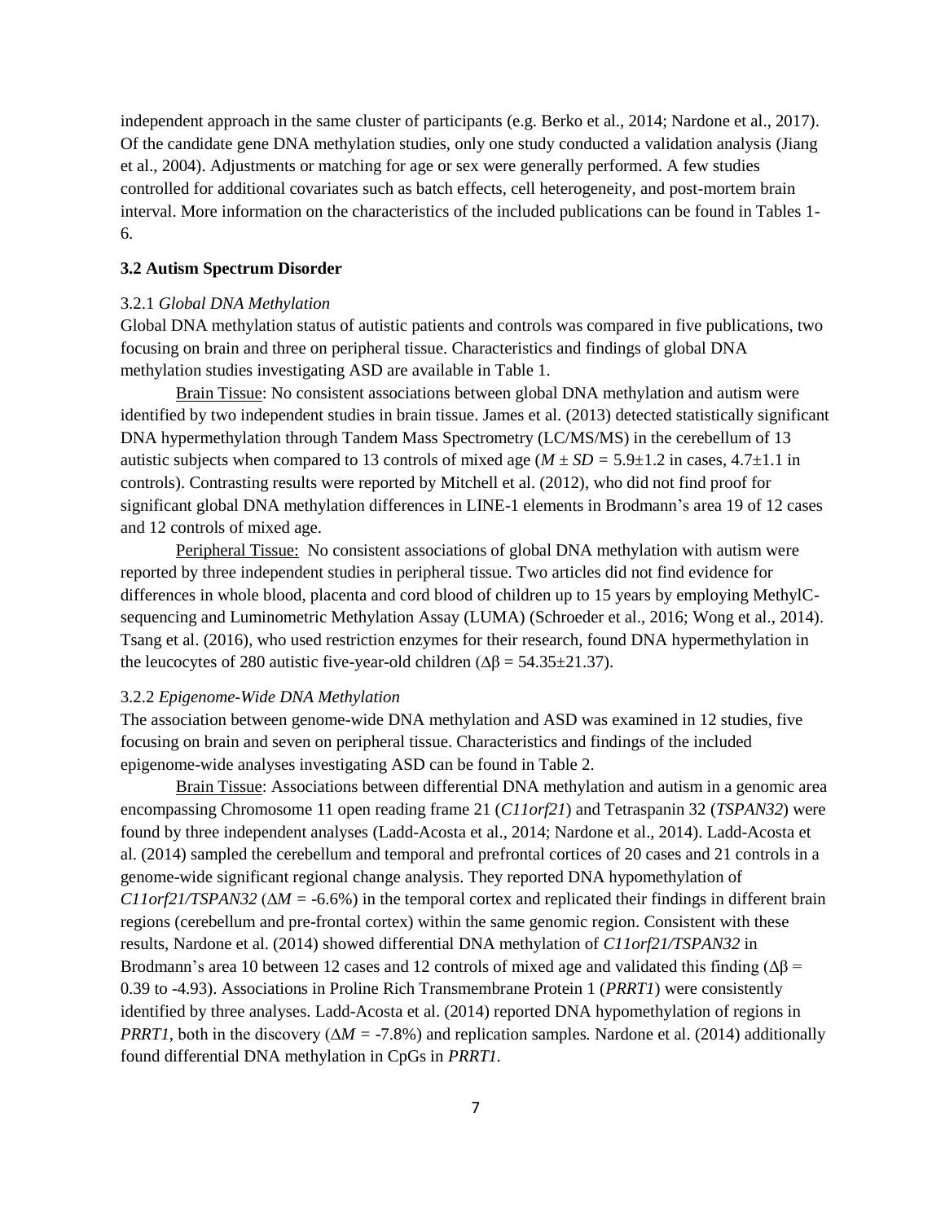independent approach in the same cluster of participants (e.g. Berko et al., 2014; Nardone et al., 2017). Of the candidate gene DNA methylation studies, only one study conducted a validation analysis (Jiang et al., 2004). Adjustments or matching for age or sex were generally performed. A few studies controlled for additional covariates such as batch effects, cell heterogeneity, and post-mortem brain interval. More information on the characteristics of the included publications can be found in Tables 1- 6.

#### **3.2 Autism Spectrum Disorder**

### 3.2.1 *Global DNA Methylation*

Global DNA methylation status of autistic patients and controls was compared in five publications, two focusing on brain and three on peripheral tissue. Characteristics and findings of global DNA methylation studies investigating ASD are available in Table 1.

Brain Tissue: No consistent associations between global DNA methylation and autism were identified by two independent studies in brain tissue. James et al. (2013) detected statistically significant DNA hypermethylation through Tandem Mass Spectrometry (LC/MS/MS) in the cerebellum of 13 autistic subjects when compared to 13 controls of mixed age ( $M \pm SD = 5.9 \pm 1.2$  in cases, 4.7 $\pm 1.1$  in controls). Contrasting results were reported by Mitchell et al. (2012), who did not find proof for significant global DNA methylation differences in LINE-1 elements in Brodmann's area 19 of 12 cases and 12 controls of mixed age.

Peripheral Tissue: No consistent associations of global DNA methylation with autism were reported by three independent studies in peripheral tissue. Two articles did not find evidence for differences in whole blood, placenta and cord blood of children up to 15 years by employing MethylCsequencing and Luminometric Methylation Assay (LUMA) (Schroeder et al., 2016; Wong et al., 2014). Tsang et al. (2016), who used restriction enzymes for their research, found DNA hypermethylation in the leucocytes of 280 autistic five-year-old children ( $\Delta \beta = 54.35 \pm 21.37$ ).

### 3.2.2 *Epigenome-Wide DNA Methylation*

The association between genome-wide DNA methylation and ASD was examined in 12 studies, five focusing on brain and seven on peripheral tissue. Characteristics and findings of the included epigenome-wide analyses investigating ASD can be found in Table 2.

Brain Tissue: Associations between differential DNA methylation and autism in a genomic area encompassing Chromosome 11 open reading frame 21 (*C11orf21*) and Tetraspanin 32 (*TSPAN32*) were found by three independent analyses (Ladd-Acosta et al., 2014; Nardone et al., 2014). Ladd-Acosta et al. (2014) sampled the cerebellum and temporal and prefrontal cortices of 20 cases and 21 controls in a genome-wide significant regional change analysis. They reported DNA hypomethylation of *C11orf21/TSPAN32 (* $\Delta M$  *= -6.6%)* in the temporal cortex and replicated their findings in different brain regions (cerebellum and pre-frontal cortex) within the same genomic region. Consistent with these results, Nardone et al. (2014) showed differential DNA methylation of *C11orf21/TSPAN32* in Brodmann's area 10 between 12 cases and 12 controls of mixed age and validated this finding ( $\Delta\beta$  = 0.39 to -4.93). Associations in Proline Rich Transmembrane Protein 1 (*PRRT1*) were consistently identified by three analyses. Ladd-Acosta et al. (2014) reported DNA hypomethylation of regions in *PRRT1*, both in the discovery ( $\Delta M = -7.8\%$ ) and replication samples. Nardone et al. (2014) additionally found differential DNA methylation in CpGs in *PRRT1.*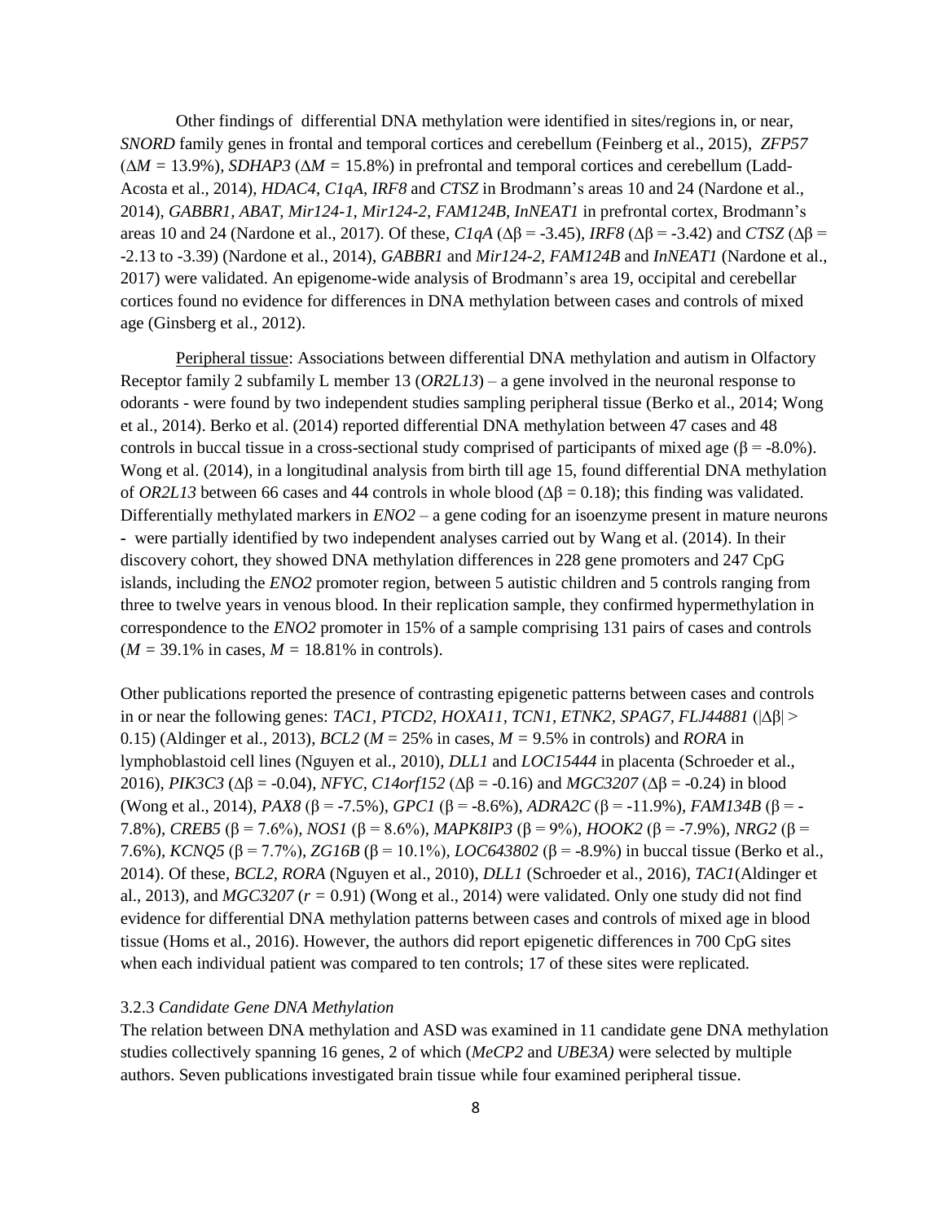Other findings of differential DNA methylation were identified in sites/regions in, or near, *SNORD* family genes in frontal and temporal cortices and cerebellum (Feinberg et al., 2015), *ZFP57*  (∆*M =* 13.9%)*, SDHAP3* (∆*M =* 15.8%) in prefrontal and temporal cortices and cerebellum (Ladd-Acosta et al., 2014), *HDAC4*, *C1qA, IRF8* and *CTSZ* in Brodmann's areas 10 and 24 (Nardone et al., 2014), *GABBR1, ABAT, Mir124-1, Mir124-2, FAM124B, InNEAT1* in prefrontal cortex, Brodmann's areas 10 and 24 (Nardone et al., 2017). Of these, *C1qA* (∆β = -3.45)*, IRF8* (∆β = -3.42) and *CTSZ* (∆β = -2.13 to -3.39) (Nardone et al., 2014), *GABBR1* and *Mir124-2, FAM124B* and *InNEAT1* (Nardone et al., 2017) were validated. An epigenome-wide analysis of Brodmann's area 19, occipital and cerebellar cortices found no evidence for differences in DNA methylation between cases and controls of mixed age (Ginsberg et al., 2012).

Peripheral tissue: Associations between differential DNA methylation and autism in Olfactory Receptor family 2 subfamily L member 13 (*OR2L13*) – a gene involved in the neuronal response to odorants - were found by two independent studies sampling peripheral tissue (Berko et al., 2014; Wong et al., 2014). Berko et al. (2014) reported differential DNA methylation between 47 cases and 48 controls in buccal tissue in a cross-sectional study comprised of participants of mixed age ( $\beta = -8.0\%$ ). Wong et al. (2014), in a longitudinal analysis from birth till age 15, found differential DNA methylation of *OR2L13* between 66 cases and 44 controls in whole blood ( $Δβ = 0.18$ ); this finding was validated. Differentially methylated markers in *ENO2* – a gene coding for an isoenzyme present in mature neurons **-** were partially identified by two independent analyses carried out by Wang et al. (2014). In their discovery cohort, they showed DNA methylation differences in 228 gene promoters and 247 CpG islands, including the *ENO2* promoter region*,* between 5 autistic children and 5 controls ranging from three to twelve years in venous blood. In their replication sample, they confirmed hypermethylation in correspondence to the *ENO2* promoter in 15% of a sample comprising 131 pairs of cases and controls  $(M = 39.1\% \text{ in cases}, M = 18.81\% \text{ in controls}).$ 

Other publications reported the presence of contrasting epigenetic patterns between cases and controls in or near the following genes: *TAC1, PTCD2, HOXA11, TCN1, ETNK2, SPAG7, FLJ44881* (|∆β| > 0.15) (Aldinger et al., 2013), *BCL2* ( $M = 25\%$  in cases,  $M = 9.5\%$  in controls) and *RORA* in lymphoblastoid cell lines (Nguyen et al., 2010), *DLL1* and *LOC15444* in placenta (Schroeder et al., 2016), *PIK3C3* (∆β = -0.04)*, NFYC, C14orf152* (∆β = -0.16) and *MGC3207* (∆β = -0.24) in blood (Wong et al., 2014), *PAX8* (β = -7.5%)*, GPC1* (β = -8.6%)*, ADRA2C* (β = -11.9%)*, FAM134B* (β = - 7.8%)*, CREB5* (β = 7.6%)*, NOS1* (β = 8.6%)*, MAPK8IP3* (β = 9%)*, HOOK2* (β = -7.9%)*, NRG2* (β = 7.6%)*, KCNQ5* (β = 7.7%)*, ZG16B* (β = 10.1%)*, LOC643802* (β = -8.9%) in buccal tissue (Berko et al., 2014). Of these, *BCL2, RORA* (Nguyen et al., 2010), *DLL1* (Schroeder et al., 2016)*, TAC1*(Aldinger et al., 2013), and  $MGC3207 (r = 0.91)$  (Wong et al., 2014) were validated. Only one study did not find evidence for differential DNA methylation patterns between cases and controls of mixed age in blood tissue (Homs et al., 2016). However, the authors did report epigenetic differences in 700 CpG sites when each individual patient was compared to ten controls; 17 of these sites were replicated.

#### 3.2.3 *Candidate Gene DNA Methylation*

The relation between DNA methylation and ASD was examined in 11 candidate gene DNA methylation studies collectively spanning 16 genes, 2 of which (*MeCP2* and *UBE3A)* were selected by multiple authors. Seven publications investigated brain tissue while four examined peripheral tissue.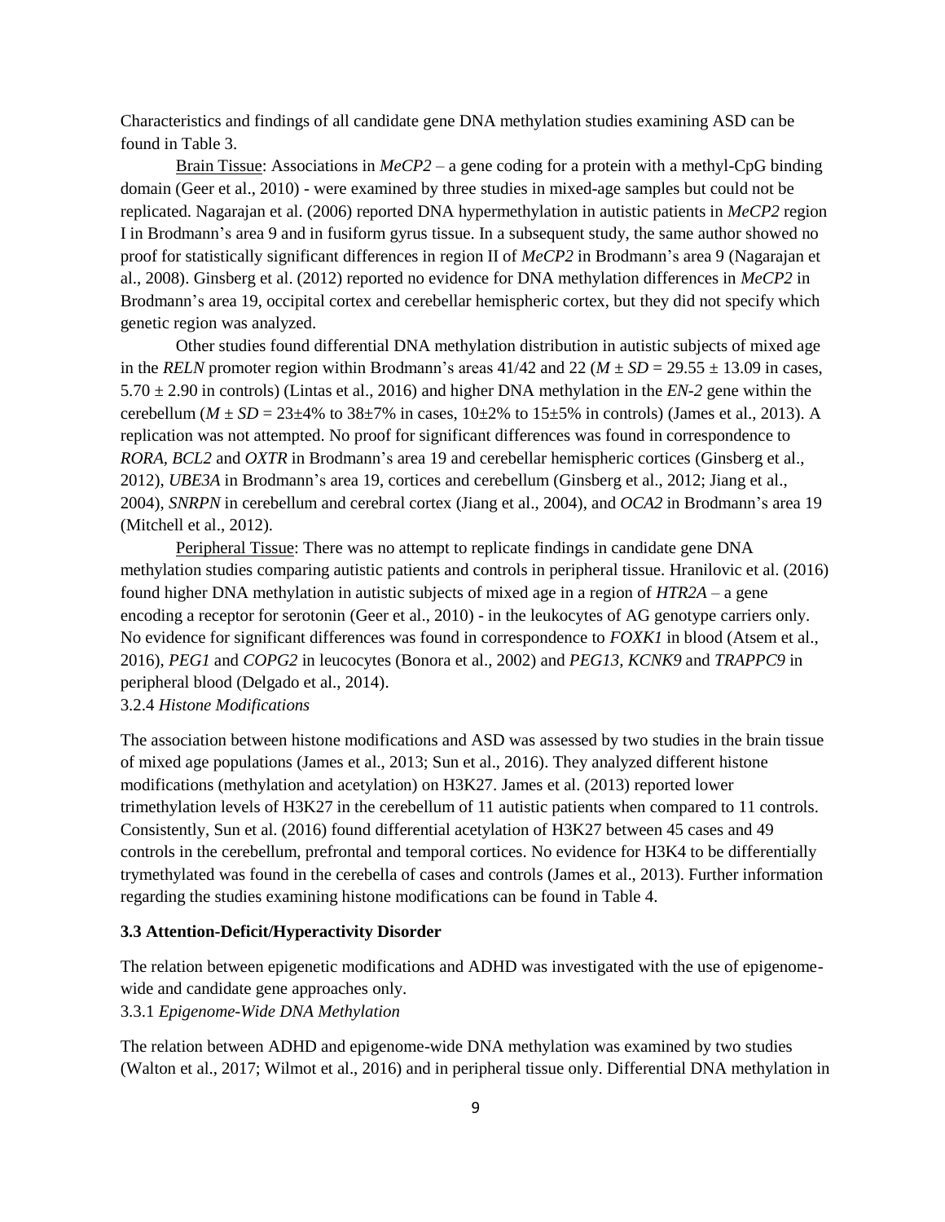Characteristics and findings of all candidate gene DNA methylation studies examining ASD can be found in Table 3.

Brain Tissue: Associations in *MeCP2 –* a gene coding for a protein with a methyl-CpG binding domain (Geer et al., 2010) - were examined by three studies in mixed-age samples but could not be replicated. Nagarajan et al. (2006) reported DNA hypermethylation in autistic patients in *MeCP2* region I in Brodmann's area 9 and in fusiform gyrus tissue. In a subsequent study, the same author showed no proof for statistically significant differences in region II of *MeCP2* in Brodmann's area 9 (Nagarajan et al., 2008). Ginsberg et al. (2012) reported no evidence for DNA methylation differences in *MeCP2* in Brodmann's area 19, occipital cortex and cerebellar hemispheric cortex, but they did not specify which genetic region was analyzed.

Other studies found differential DNA methylation distribution in autistic subjects of mixed age in the *RELN* promoter region within Brodmann's areas  $41/42$  and  $22 (M \pm SD = 29.55 \pm 13.09$  in cases, 5.70 ± 2.90 in controls) (Lintas et al., 2016) and higher DNA methylation in the *EN-2* gene within the cerebellum ( $M \pm SD = 23 \pm 4\%$  to 38 $\pm 7\%$  in cases, 10 $\pm 2\%$  to 15 $\pm 5\%$  in controls) (James et al., 2013). A replication was not attempted. No proof for significant differences was found in correspondence to *RORA, BCL2* and *OXTR* in Brodmann's area 19 and cerebellar hemispheric cortices (Ginsberg et al., 2012), *UBE3A* in Brodmann's area 19, cortices and cerebellum (Ginsberg et al., 2012; Jiang et al., 2004), *SNRPN* in cerebellum and cerebral cortex (Jiang et al., 2004), and *OCA2* in Brodmann's area 19 (Mitchell et al., 2012)*.* 

Peripheral Tissue: There was no attempt to replicate findings in candidate gene DNA methylation studies comparing autistic patients and controls in peripheral tissue. Hranilovic et al. (2016) found higher DNA methylation in autistic subjects of mixed age in a region of *HTR2A* – a gene encoding a receptor for serotonin (Geer et al., 2010) - in the leukocytes of AG genotype carriers only. No evidence for significant differences was found in correspondence to *FOXK1* in blood (Atsem et al., 2016), *PEG1* and *COPG2* in leucocytes (Bonora et al., 2002) and *PEG13, KCNK9* and *TRAPPC9* in peripheral blood (Delgado et al., 2014).

3.2.4 *Histone Modifications* 

The association between histone modifications and ASD was assessed by two studies in the brain tissue of mixed age populations (James et al., 2013; Sun et al., 2016). They analyzed different histone modifications (methylation and acetylation) on H3K27. James et al. (2013) reported lower trimethylation levels of H3K27 in the cerebellum of 11 autistic patients when compared to 11 controls. Consistently, Sun et al. (2016) found differential acetylation of H3K27 between 45 cases and 49 controls in the cerebellum, prefrontal and temporal cortices. No evidence for H3K4 to be differentially trymethylated was found in the cerebella of cases and controls (James et al., 2013). Further information regarding the studies examining histone modifications can be found in Table 4.

### **3.3 Attention-Deficit/Hyperactivity Disorder**

The relation between epigenetic modifications and ADHD was investigated with the use of epigenomewide and candidate gene approaches only.

3.3.1 *Epigenome-Wide DNA Methylation* 

The relation between ADHD and epigenome-wide DNA methylation was examined by two studies (Walton et al., 2017; Wilmot et al., 2016) and in peripheral tissue only. Differential DNA methylation in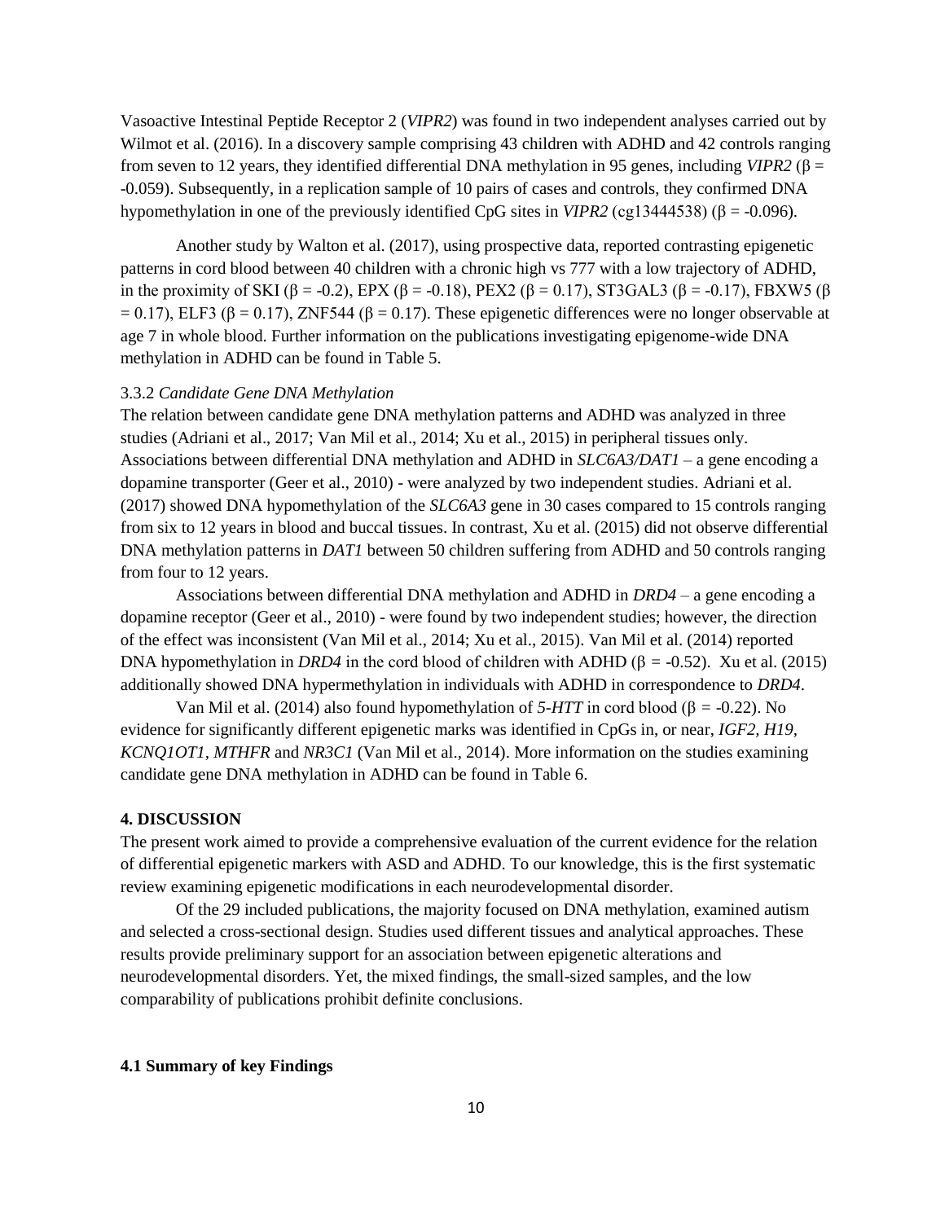Vasoactive Intestinal Peptide Receptor 2 (*VIPR2*) was found in two independent analyses carried out by Wilmot et al. (2016). In a discovery sample comprising 43 children with ADHD and 42 controls ranging from seven to 12 years, they identified differential DNA methylation in 95 genes, including *VIPR2* (β = -0.059). Subsequently, in a replication sample of 10 pairs of cases and controls, they confirmed DNA hypomethylation in one of the previously identified CpG sites in *VIPR2* (cg13444538) (β = -0.096).

Another study by Walton et al. (2017), using prospective data, reported contrasting epigenetic patterns in cord blood between 40 children with a chronic high vs 777 with a low trajectory of ADHD, in the proximity of SKI (β = -0.2), EPX (β = -0.18), PEX2 (β = 0.17), ST3GAL3 (β = -0.17), FBXW5 (β  $= 0.17$ ), ELF3 (β = 0.17), ZNF544 (β = 0.17). These epigenetic differences were no longer observable at age 7 in whole blood. Further information on the publications investigating epigenome-wide DNA methylation in ADHD can be found in Table 5.

### 3.3.2 *Candidate Gene DNA Methylation*

The relation between candidate gene DNA methylation patterns and ADHD was analyzed in three studies (Adriani et al., 2017; Van Mil et al., 2014; Xu et al., 2015) in peripheral tissues only. Associations between differential DNA methylation and ADHD in *SLC6A3/DAT1* – a gene encoding a dopamine transporter (Geer et al., 2010) - were analyzed by two independent studies. Adriani et al. (2017) showed DNA hypomethylation of the *SLC6A3* gene in 30 cases compared to 15 controls ranging from six to 12 years in blood and buccal tissues. In contrast, Xu et al. (2015) did not observe differential DNA methylation patterns in *DAT1* between 50 children suffering from ADHD and 50 controls ranging from four to 12 years.

Associations between differential DNA methylation and ADHD in *DRD4 –* a gene encoding a dopamine receptor (Geer et al., 2010) - were found by two independent studies; however, the direction of the effect was inconsistent (Van Mil et al., 2014; Xu et al., 2015). Van Mil et al. (2014) reported DNA hypomethylation in *DRD4* in the cord blood of children with ADHD (β = -0.52). Xu et al. (2015) additionally showed DNA hypermethylation in individuals with ADHD in correspondence to *DRD4*.

Van Mil et al. (2014) also found hypomethylation of  $5-HTT$  in cord blood ( $\beta = -0.22$ ). No evidence for significantly different epigenetic marks was identified in CpGs in, or near, *IGF2, H19, KCNQ1OT1, MTHFR* and *NR3C1* (Van Mil et al., 2014). More information on the studies examining candidate gene DNA methylation in ADHD can be found in Table 6.

### **4. DISCUSSION**

The present work aimed to provide a comprehensive evaluation of the current evidence for the relation of differential epigenetic markers with ASD and ADHD. To our knowledge, this is the first systematic review examining epigenetic modifications in each neurodevelopmental disorder.

Of the 29 included publications, the majority focused on DNA methylation, examined autism and selected a cross-sectional design. Studies used different tissues and analytical approaches. These results provide preliminary support for an association between epigenetic alterations and neurodevelopmental disorders. Yet, the mixed findings, the small-sized samples, and the low comparability of publications prohibit definite conclusions.

### **4.1 Summary of key Findings**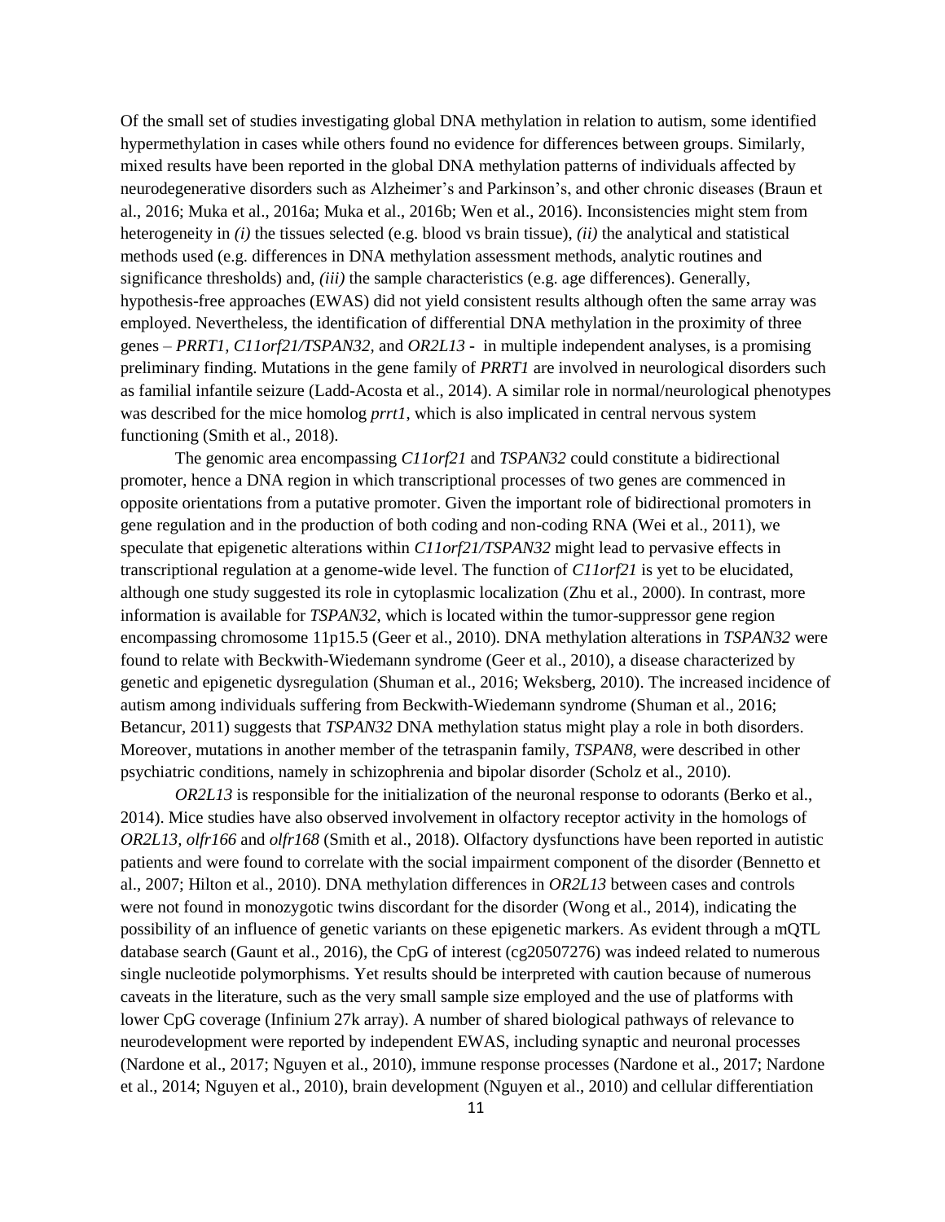Of the small set of studies investigating global DNA methylation in relation to autism, some identified hypermethylation in cases while others found no evidence for differences between groups. Similarly, mixed results have been reported in the global DNA methylation patterns of individuals affected by neurodegenerative disorders such as Alzheimer's and Parkinson's, and other chronic diseases (Braun et al., 2016; Muka et al., 2016a; Muka et al., 2016b; Wen et al., 2016). Inconsistencies might stem from heterogeneity in *(i)* the tissues selected (e.g. blood vs brain tissue), *(ii)* the analytical and statistical methods used (e.g. differences in DNA methylation assessment methods, analytic routines and significance thresholds) and, *(iii)* the sample characteristics (e.g. age differences). Generally, hypothesis-free approaches (EWAS) did not yield consistent results although often the same array was employed. Nevertheless, the identification of differential DNA methylation in the proximity of three genes – *PRRT1, C11orf21/TSPAN32,* and *OR2L13* - in multiple independent analyses, is a promising preliminary finding. Mutations in the gene family of *PRRT1* are involved in neurological disorders such as familial infantile seizure (Ladd-Acosta et al., 2014). A similar role in normal/neurological phenotypes was described for the mice homolog *prrt1*, which is also implicated in central nervous system functioning (Smith et al., 2018)*.* 

The genomic area encompassing *C11orf21* and *TSPAN32* could constitute a bidirectional promoter, hence a DNA region in which transcriptional processes of two genes are commenced in opposite orientations from a putative promoter. Given the important role of bidirectional promoters in gene regulation and in the production of both coding and non-coding RNA (Wei et al., 2011), we speculate that epigenetic alterations within *C11orf21/TSPAN32* might lead to pervasive effects in transcriptional regulation at a genome-wide level. The function of *C11orf21* is yet to be elucidated, although one study suggested its role in cytoplasmic localization (Zhu et al., 2000). In contrast, more information is available for *TSPAN32*, which is located within the tumor-suppressor gene region encompassing chromosome 11p15.5 (Geer et al., 2010). DNA methylation alterations in *TSPAN32* were found to relate with Beckwith-Wiedemann syndrome (Geer et al., 2010), a disease characterized by genetic and epigenetic dysregulation (Shuman et al., 2016; Weksberg, 2010). The increased incidence of autism among individuals suffering from Beckwith-Wiedemann syndrome (Shuman et al., 2016; Betancur, 2011) suggests that *TSPAN32* DNA methylation status might play a role in both disorders. Moreover, mutations in another member of the tetraspanin family, *TSPAN8,* were described in other psychiatric conditions, namely in schizophrenia and bipolar disorder (Scholz et al., 2010).

*OR2L13* is responsible for the initialization of the neuronal response to odorants (Berko et al., 2014). Mice studies have also observed involvement in olfactory receptor activity in the homologs of *OR2L13, olfr166* and *olfr168* (Smith et al., 2018). Olfactory dysfunctions have been reported in autistic patients and were found to correlate with the social impairment component of the disorder (Bennetto et al., 2007; Hilton et al., 2010). DNA methylation differences in *OR2L13* between cases and controls were not found in monozygotic twins discordant for the disorder (Wong et al., 2014), indicating the possibility of an influence of genetic variants on these epigenetic markers. As evident through a mQTL database search (Gaunt et al., 2016), the CpG of interest (cg20507276) was indeed related to numerous single nucleotide polymorphisms. Yet results should be interpreted with caution because of numerous caveats in the literature, such as the very small sample size employed and the use of platforms with lower CpG coverage (Infinium 27k array). A number of shared biological pathways of relevance to neurodevelopment were reported by independent EWAS, including synaptic and neuronal processes (Nardone et al., 2017; Nguyen et al., 2010), immune response processes (Nardone et al., 2017; Nardone et al., 2014; Nguyen et al., 2010), brain development (Nguyen et al., 2010) and cellular differentiation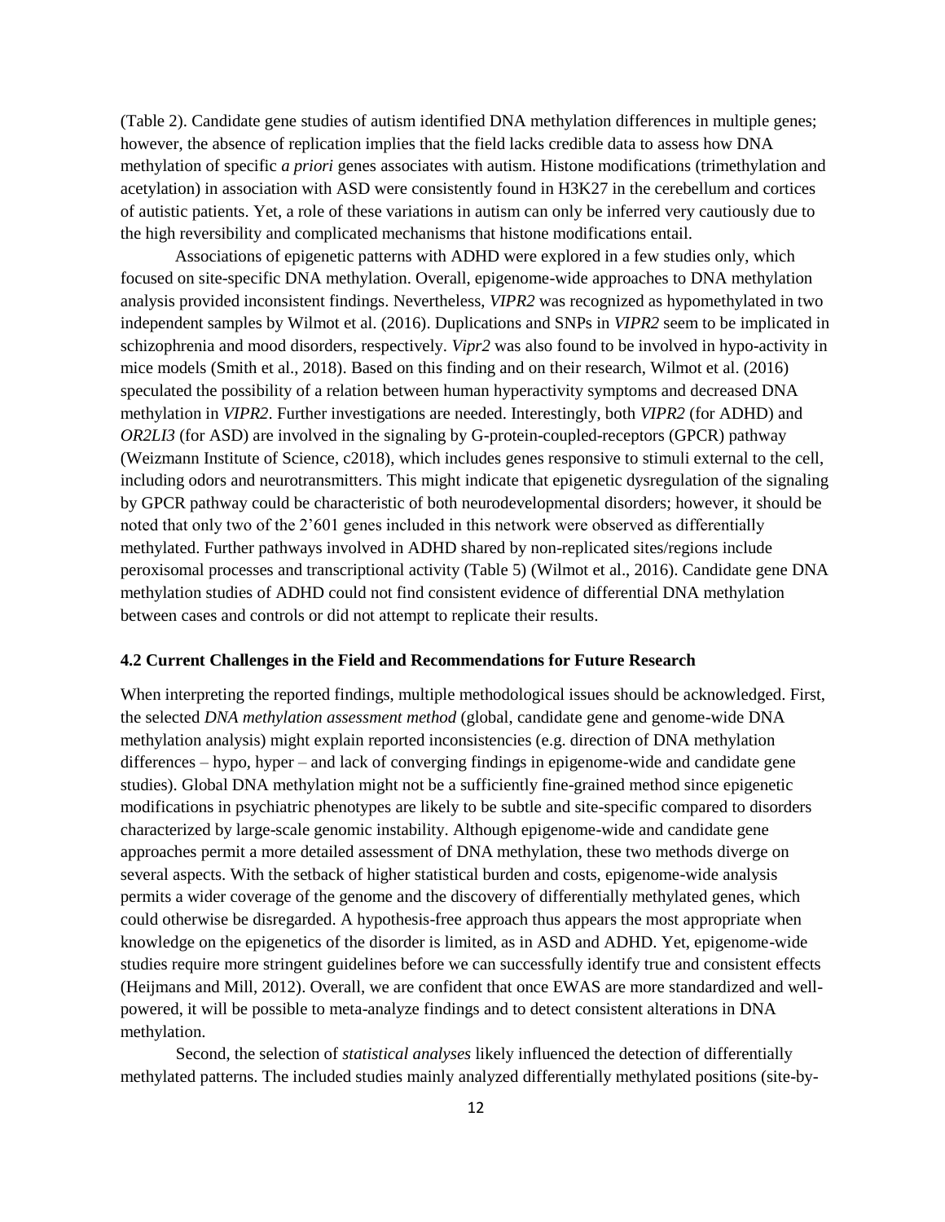(Table 2). Candidate gene studies of autism identified DNA methylation differences in multiple genes; however, the absence of replication implies that the field lacks credible data to assess how DNA methylation of specific *a priori* genes associates with autism. Histone modifications (trimethylation and acetylation) in association with ASD were consistently found in H3K27 in the cerebellum and cortices of autistic patients. Yet, a role of these variations in autism can only be inferred very cautiously due to the high reversibility and complicated mechanisms that histone modifications entail.

Associations of epigenetic patterns with ADHD were explored in a few studies only, which focused on site-specific DNA methylation. Overall, epigenome-wide approaches to DNA methylation analysis provided inconsistent findings. Nevertheless, *VIPR2* was recognized as hypomethylated in two independent samples by Wilmot et al. (2016). Duplications and SNPs in *VIPR2* seem to be implicated in schizophrenia and mood disorders, respectively. *Vipr2* was also found to be involved in hypo-activity in mice models (Smith et al., 2018). Based on this finding and on their research, Wilmot et al. (2016) speculated the possibility of a relation between human hyperactivity symptoms and decreased DNA methylation in *VIPR2*. Further investigations are needed. Interestingly, both *VIPR2* (for ADHD) and *OR2LI3* (for ASD) are involved in the signaling by G-protein-coupled-receptors (GPCR) pathway (Weizmann Institute of Science, c2018), which includes genes responsive to stimuli external to the cell, including odors and neurotransmitters. This might indicate that epigenetic dysregulation of the signaling by GPCR pathway could be characteristic of both neurodevelopmental disorders; however, it should be noted that only two of the 2'601 genes included in this network were observed as differentially methylated. Further pathways involved in ADHD shared by non-replicated sites/regions include peroxisomal processes and transcriptional activity (Table 5) (Wilmot et al., 2016). Candidate gene DNA methylation studies of ADHD could not find consistent evidence of differential DNA methylation between cases and controls or did not attempt to replicate their results.

### **4.2 Current Challenges in the Field and Recommendations for Future Research**

When interpreting the reported findings, multiple methodological issues should be acknowledged. First, the selected *DNA methylation assessment method* (global, candidate gene and genome-wide DNA methylation analysis) might explain reported inconsistencies (e.g. direction of DNA methylation differences – hypo, hyper – and lack of converging findings in epigenome-wide and candidate gene studies). Global DNA methylation might not be a sufficiently fine-grained method since epigenetic modifications in psychiatric phenotypes are likely to be subtle and site-specific compared to disorders characterized by large-scale genomic instability. Although epigenome-wide and candidate gene approaches permit a more detailed assessment of DNA methylation, these two methods diverge on several aspects. With the setback of higher statistical burden and costs, epigenome-wide analysis permits a wider coverage of the genome and the discovery of differentially methylated genes, which could otherwise be disregarded. A hypothesis-free approach thus appears the most appropriate when knowledge on the epigenetics of the disorder is limited, as in ASD and ADHD. Yet, epigenome-wide studies require more stringent guidelines before we can successfully identify true and consistent effects (Heijmans and Mill, 2012). Overall, we are confident that once EWAS are more standardized and wellpowered, it will be possible to meta-analyze findings and to detect consistent alterations in DNA methylation.

Second, the selection of *statistical analyses* likely influenced the detection of differentially methylated patterns. The included studies mainly analyzed differentially methylated positions (site-by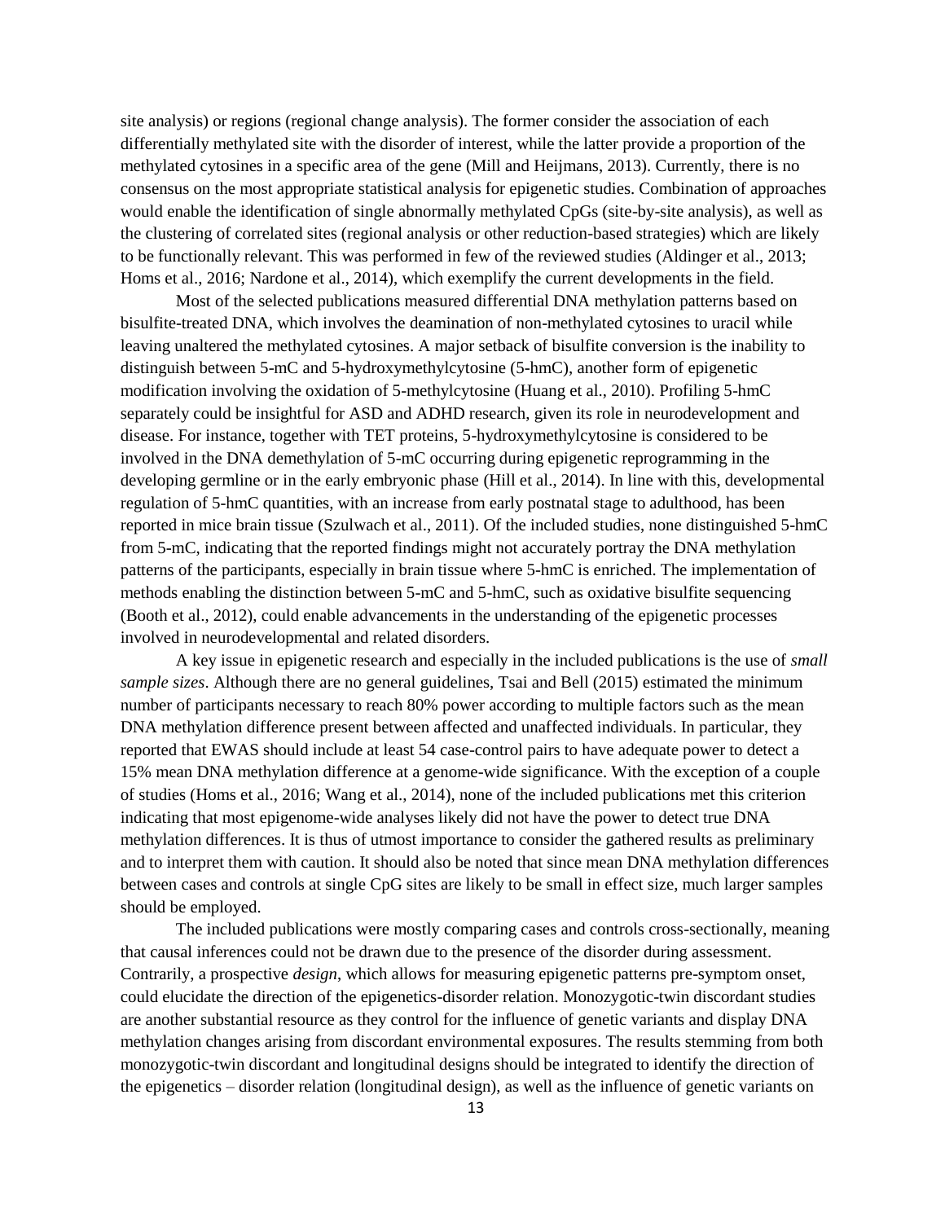site analysis) or regions (regional change analysis). The former consider the association of each differentially methylated site with the disorder of interest, while the latter provide a proportion of the methylated cytosines in a specific area of the gene (Mill and Heijmans, 2013). Currently, there is no consensus on the most appropriate statistical analysis for epigenetic studies. Combination of approaches would enable the identification of single abnormally methylated CpGs (site-by-site analysis), as well as the clustering of correlated sites (regional analysis or other reduction-based strategies) which are likely to be functionally relevant. This was performed in few of the reviewed studies (Aldinger et al., 2013; Homs et al., 2016; Nardone et al., 2014), which exemplify the current developments in the field.

Most of the selected publications measured differential DNA methylation patterns based on bisulfite-treated DNA, which involves the deamination of non-methylated cytosines to uracil while leaving unaltered the methylated cytosines. A major setback of bisulfite conversion is the inability to distinguish between 5-mC and 5-hydroxymethylcytosine (5-hmC), another form of epigenetic modification involving the oxidation of 5-methylcytosine (Huang et al., 2010). Profiling 5-hmC separately could be insightful for ASD and ADHD research, given its role in neurodevelopment and disease. For instance, together with TET proteins, 5-hydroxymethylcytosine is considered to be involved in the DNA demethylation of 5-mC occurring during epigenetic reprogramming in the developing germline or in the early embryonic phase (Hill et al., 2014). In line with this, developmental regulation of 5-hmC quantities, with an increase from early postnatal stage to adulthood, has been reported in mice brain tissue (Szulwach et al., 2011). Of the included studies, none distinguished 5-hmC from 5-mC, indicating that the reported findings might not accurately portray the DNA methylation patterns of the participants, especially in brain tissue where 5-hmC is enriched. The implementation of methods enabling the distinction between 5-mC and 5-hmC, such as oxidative bisulfite sequencing (Booth et al., 2012), could enable advancements in the understanding of the epigenetic processes involved in neurodevelopmental and related disorders.

A key issue in epigenetic research and especially in the included publications is the use of *small sample sizes*. Although there are no general guidelines, Tsai and Bell (2015) estimated the minimum number of participants necessary to reach 80% power according to multiple factors such as the mean DNA methylation difference present between affected and unaffected individuals. In particular, they reported that EWAS should include at least 54 case-control pairs to have adequate power to detect a 15% mean DNA methylation difference at a genome-wide significance. With the exception of a couple of studies (Homs et al., 2016; Wang et al., 2014), none of the included publications met this criterion indicating that most epigenome-wide analyses likely did not have the power to detect true DNA methylation differences. It is thus of utmost importance to consider the gathered results as preliminary and to interpret them with caution. It should also be noted that since mean DNA methylation differences between cases and controls at single CpG sites are likely to be small in effect size, much larger samples should be employed.

The included publications were mostly comparing cases and controls cross-sectionally, meaning that causal inferences could not be drawn due to the presence of the disorder during assessment. Contrarily, a prospective *design*, which allows for measuring epigenetic patterns pre-symptom onset, could elucidate the direction of the epigenetics-disorder relation. Monozygotic-twin discordant studies are another substantial resource as they control for the influence of genetic variants and display DNA methylation changes arising from discordant environmental exposures. The results stemming from both monozygotic-twin discordant and longitudinal designs should be integrated to identify the direction of the epigenetics – disorder relation (longitudinal design), as well as the influence of genetic variants on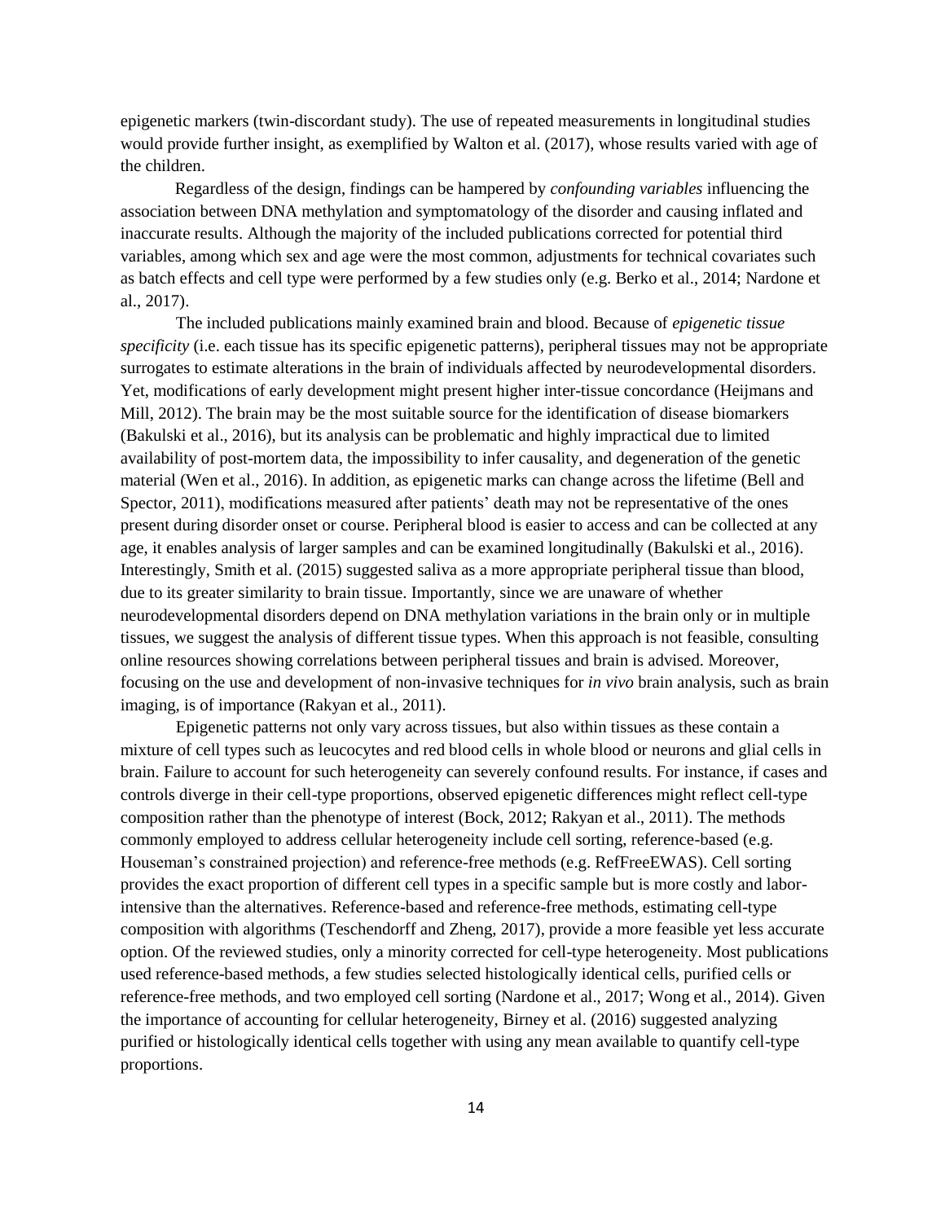epigenetic markers (twin-discordant study). The use of repeated measurements in longitudinal studies would provide further insight, as exemplified by Walton et al. (2017), whose results varied with age of the children.

Regardless of the design, findings can be hampered by *confounding variables* influencing the association between DNA methylation and symptomatology of the disorder and causing inflated and inaccurate results. Although the majority of the included publications corrected for potential third variables, among which sex and age were the most common, adjustments for technical covariates such as batch effects and cell type were performed by a few studies only (e.g. Berko et al., 2014; Nardone et al., 2017).

The included publications mainly examined brain and blood. Because of *epigenetic tissue specificity* (i.e. each tissue has its specific epigenetic patterns), peripheral tissues may not be appropriate surrogates to estimate alterations in the brain of individuals affected by neurodevelopmental disorders. Yet, modifications of early development might present higher inter-tissue concordance (Heijmans and Mill, 2012). The brain may be the most suitable source for the identification of disease biomarkers (Bakulski et al., 2016), but its analysis can be problematic and highly impractical due to limited availability of post-mortem data, the impossibility to infer causality, and degeneration of the genetic material (Wen et al., 2016). In addition, as epigenetic marks can change across the lifetime (Bell and Spector, 2011), modifications measured after patients' death may not be representative of the ones present during disorder onset or course. Peripheral blood is easier to access and can be collected at any age, it enables analysis of larger samples and can be examined longitudinally (Bakulski et al., 2016). Interestingly, Smith et al. (2015) suggested saliva as a more appropriate peripheral tissue than blood, due to its greater similarity to brain tissue. Importantly, since we are unaware of whether neurodevelopmental disorders depend on DNA methylation variations in the brain only or in multiple tissues, we suggest the analysis of different tissue types. When this approach is not feasible, consulting online resources showing correlations between peripheral tissues and brain is advised. Moreover, focusing on the use and development of non-invasive techniques for *in vivo* brain analysis, such as brain imaging, is of importance (Rakyan et al., 2011).

Epigenetic patterns not only vary across tissues, but also within tissues as these contain a mixture of cell types such as leucocytes and red blood cells in whole blood or neurons and glial cells in brain. Failure to account for such heterogeneity can severely confound results. For instance, if cases and controls diverge in their cell-type proportions, observed epigenetic differences might reflect cell-type composition rather than the phenotype of interest (Bock, 2012; Rakyan et al., 2011). The methods commonly employed to address cellular heterogeneity include cell sorting, reference-based (e.g. Houseman's constrained projection) and reference-free methods (e.g. RefFreeEWAS). Cell sorting provides the exact proportion of different cell types in a specific sample but is more costly and laborintensive than the alternatives. Reference-based and reference-free methods, estimating cell-type composition with algorithms (Teschendorff and Zheng, 2017), provide a more feasible yet less accurate option. Of the reviewed studies, only a minority corrected for cell-type heterogeneity. Most publications used reference-based methods, a few studies selected histologically identical cells, purified cells or reference-free methods, and two employed cell sorting (Nardone et al., 2017; Wong et al., 2014). Given the importance of accounting for cellular heterogeneity, Birney et al. (2016) suggested analyzing purified or histologically identical cells together with using any mean available to quantify cell-type proportions.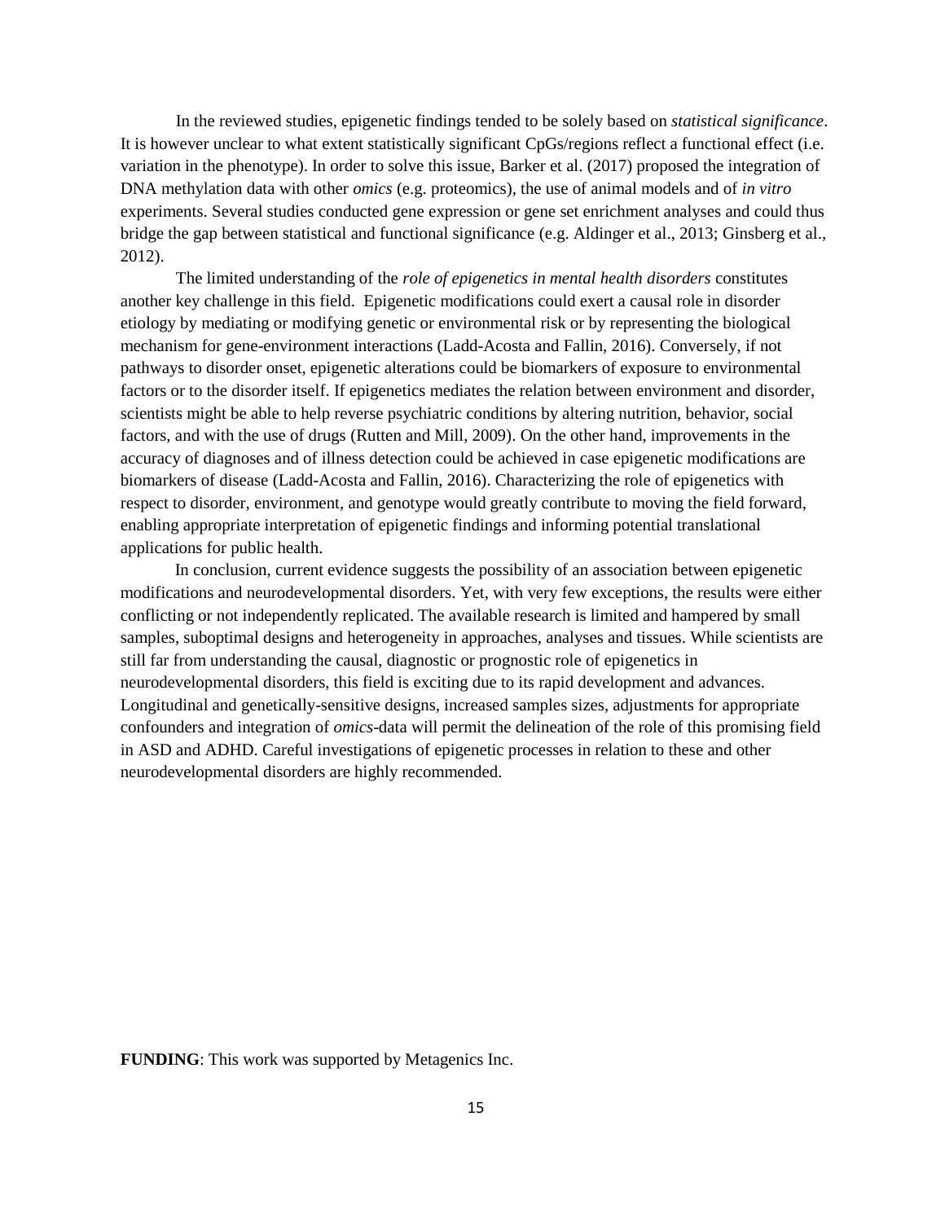In the reviewed studies, epigenetic findings tended to be solely based on *statistical significance*. It is however unclear to what extent statistically significant CpGs/regions reflect a functional effect (i.e. variation in the phenotype). In order to solve this issue, Barker et al. (2017) proposed the integration of DNA methylation data with other *omics* (e.g. proteomics), the use of animal models and of *in vitro* experiments. Several studies conducted gene expression or gene set enrichment analyses and could thus bridge the gap between statistical and functional significance (e.g. Aldinger et al., 2013; Ginsberg et al., 2012).

The limited understanding of the *role of epigenetics in mental health disorders* constitutes another key challenge in this field. Epigenetic modifications could exert a causal role in disorder etiology by mediating or modifying genetic or environmental risk or by representing the biological mechanism for gene-environment interactions (Ladd-Acosta and Fallin, 2016). Conversely, if not pathways to disorder onset, epigenetic alterations could be biomarkers of exposure to environmental factors or to the disorder itself. If epigenetics mediates the relation between environment and disorder, scientists might be able to help reverse psychiatric conditions by altering nutrition, behavior, social factors, and with the use of drugs (Rutten and Mill, 2009). On the other hand, improvements in the accuracy of diagnoses and of illness detection could be achieved in case epigenetic modifications are biomarkers of disease (Ladd-Acosta and Fallin, 2016). Characterizing the role of epigenetics with respect to disorder, environment, and genotype would greatly contribute to moving the field forward, enabling appropriate interpretation of epigenetic findings and informing potential translational applications for public health.

In conclusion, current evidence suggests the possibility of an association between epigenetic modifications and neurodevelopmental disorders. Yet, with very few exceptions, the results were either conflicting or not independently replicated. The available research is limited and hampered by small samples, suboptimal designs and heterogeneity in approaches, analyses and tissues. While scientists are still far from understanding the causal, diagnostic or prognostic role of epigenetics in neurodevelopmental disorders, this field is exciting due to its rapid development and advances. Longitudinal and genetically-sensitive designs, increased samples sizes, adjustments for appropriate confounders and integration of *omics*-data will permit the delineation of the role of this promising field in ASD and ADHD. Careful investigations of epigenetic processes in relation to these and other neurodevelopmental disorders are highly recommended.

**FUNDING**: This work was supported by Metagenics Inc.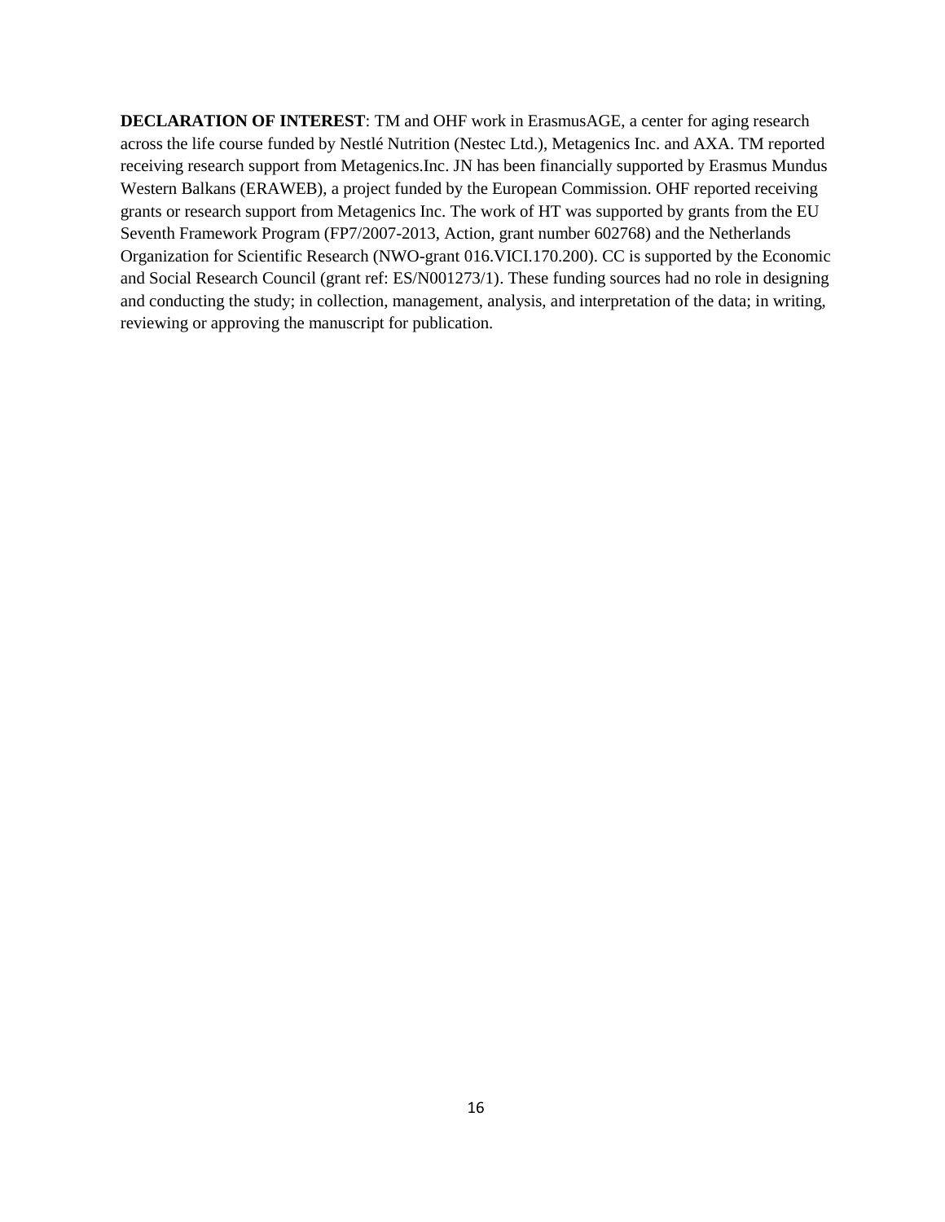**DECLARATION OF INTEREST**: TM and OHF work in ErasmusAGE, a center for aging research across the life course funded by Nestlé Nutrition (Nestec Ltd.), Metagenics Inc. and AXA. TM reported receiving research support from Metagenics.Inc. JN has been financially supported by Erasmus Mundus Western Balkans (ERAWEB), a project funded by the European Commission. OHF reported receiving grants or research support from Metagenics Inc. The work of HT was supported by grants from the EU Seventh Framework Program (FP7/2007-2013, Action, grant number 602768) and the Netherlands Organization for Scientific Research (NWO-grant 016.VICI.170.200). CC is supported by the Economic and Social Research Council (grant ref: ES/N001273/1). These funding sources had no role in designing and conducting the study; in collection, management, analysis, and interpretation of the data; in writing, reviewing or approving the manuscript for publication.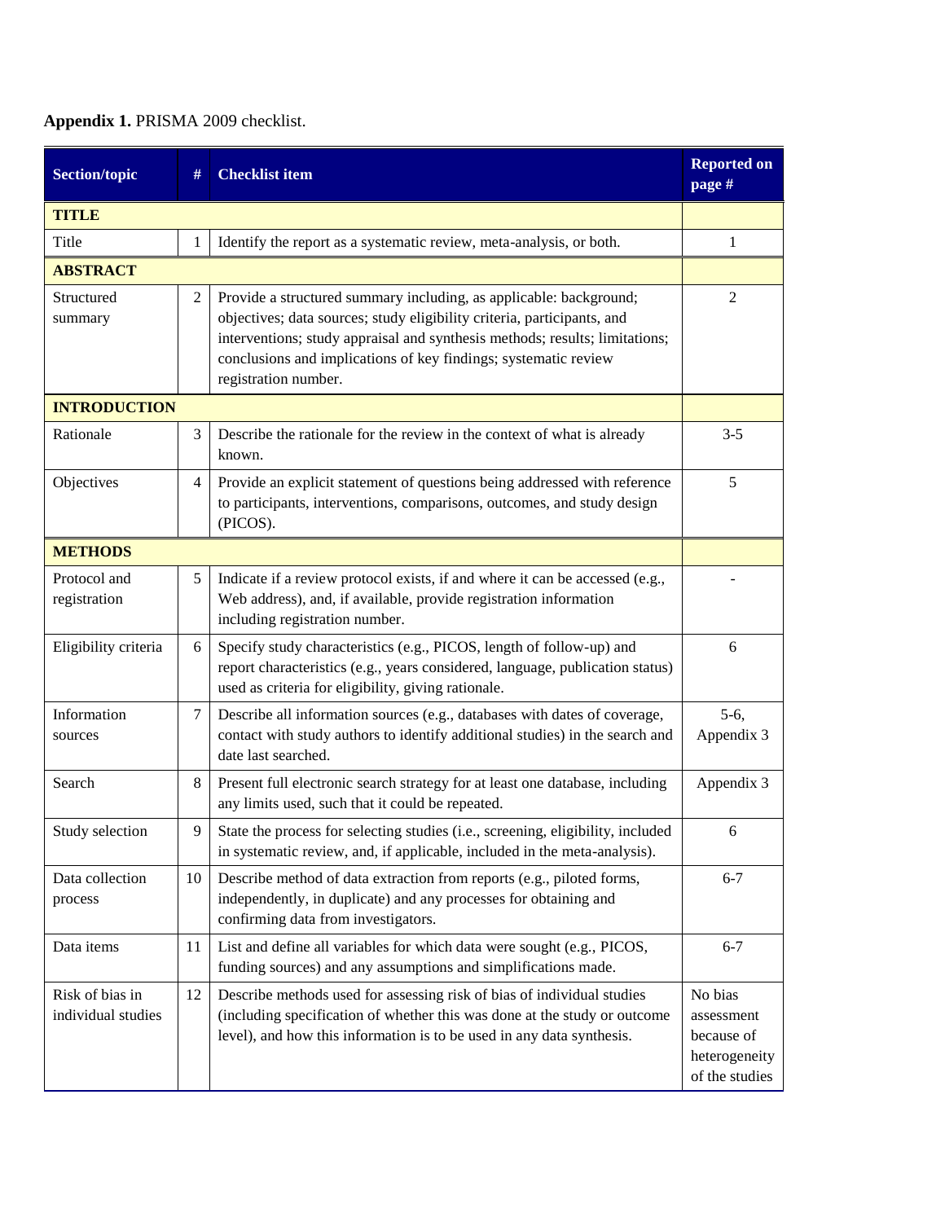# **Appendix 1.** PRISMA 2009 checklist.

| <b>Section/topic</b>                  | #  | <b>Checklist item</b>                                                                                                                                                                                                                                                                                                   | <b>Reported on</b><br>page #                                           |
|---------------------------------------|----|-------------------------------------------------------------------------------------------------------------------------------------------------------------------------------------------------------------------------------------------------------------------------------------------------------------------------|------------------------------------------------------------------------|
| <b>TITLE</b>                          |    |                                                                                                                                                                                                                                                                                                                         |                                                                        |
| Title                                 | 1  | Identify the report as a systematic review, meta-analysis, or both.                                                                                                                                                                                                                                                     | 1                                                                      |
| <b>ABSTRACT</b>                       |    |                                                                                                                                                                                                                                                                                                                         |                                                                        |
| Structured<br>summary                 | 2  | Provide a structured summary including, as applicable: background;<br>objectives; data sources; study eligibility criteria, participants, and<br>interventions; study appraisal and synthesis methods; results; limitations;<br>conclusions and implications of key findings; systematic review<br>registration number. | 2                                                                      |
| <b>INTRODUCTION</b>                   |    |                                                                                                                                                                                                                                                                                                                         |                                                                        |
| Rationale                             | 3  | Describe the rationale for the review in the context of what is already<br>known.                                                                                                                                                                                                                                       | $3 - 5$                                                                |
| Objectives                            | 4  | Provide an explicit statement of questions being addressed with reference<br>to participants, interventions, comparisons, outcomes, and study design<br>(PICOS).                                                                                                                                                        | 5                                                                      |
| <b>METHODS</b>                        |    |                                                                                                                                                                                                                                                                                                                         |                                                                        |
| Protocol and<br>registration          | 5  | Indicate if a review protocol exists, if and where it can be accessed (e.g.,<br>Web address), and, if available, provide registration information<br>including registration number.                                                                                                                                     |                                                                        |
| Eligibility criteria                  | 6  | Specify study characteristics (e.g., PICOS, length of follow-up) and<br>report characteristics (e.g., years considered, language, publication status)<br>used as criteria for eligibility, giving rationale.                                                                                                            | 6                                                                      |
| Information<br>sources                | 7  | Describe all information sources (e.g., databases with dates of coverage,<br>contact with study authors to identify additional studies) in the search and<br>date last searched.                                                                                                                                        | $5-6,$<br>Appendix 3                                                   |
| Search                                | 8  | Present full electronic search strategy for at least one database, including<br>any limits used, such that it could be repeated.                                                                                                                                                                                        | Appendix 3                                                             |
| Study selection                       | 9  | State the process for selecting studies (i.e., screening, eligibility, included<br>in systematic review, and, if applicable, included in the meta-analysis).                                                                                                                                                            | 6                                                                      |
| Data collection<br>process            | 10 | Describe method of data extraction from reports (e.g., piloted forms,<br>independently, in duplicate) and any processes for obtaining and<br>confirming data from investigators.                                                                                                                                        | $6 - 7$                                                                |
| Data items                            | 11 | List and define all variables for which data were sought (e.g., PICOS,<br>funding sources) and any assumptions and simplifications made.                                                                                                                                                                                | $6 - 7$                                                                |
| Risk of bias in<br>individual studies | 12 | Describe methods used for assessing risk of bias of individual studies<br>(including specification of whether this was done at the study or outcome<br>level), and how this information is to be used in any data synthesis.                                                                                            | No bias<br>assessment<br>because of<br>heterogeneity<br>of the studies |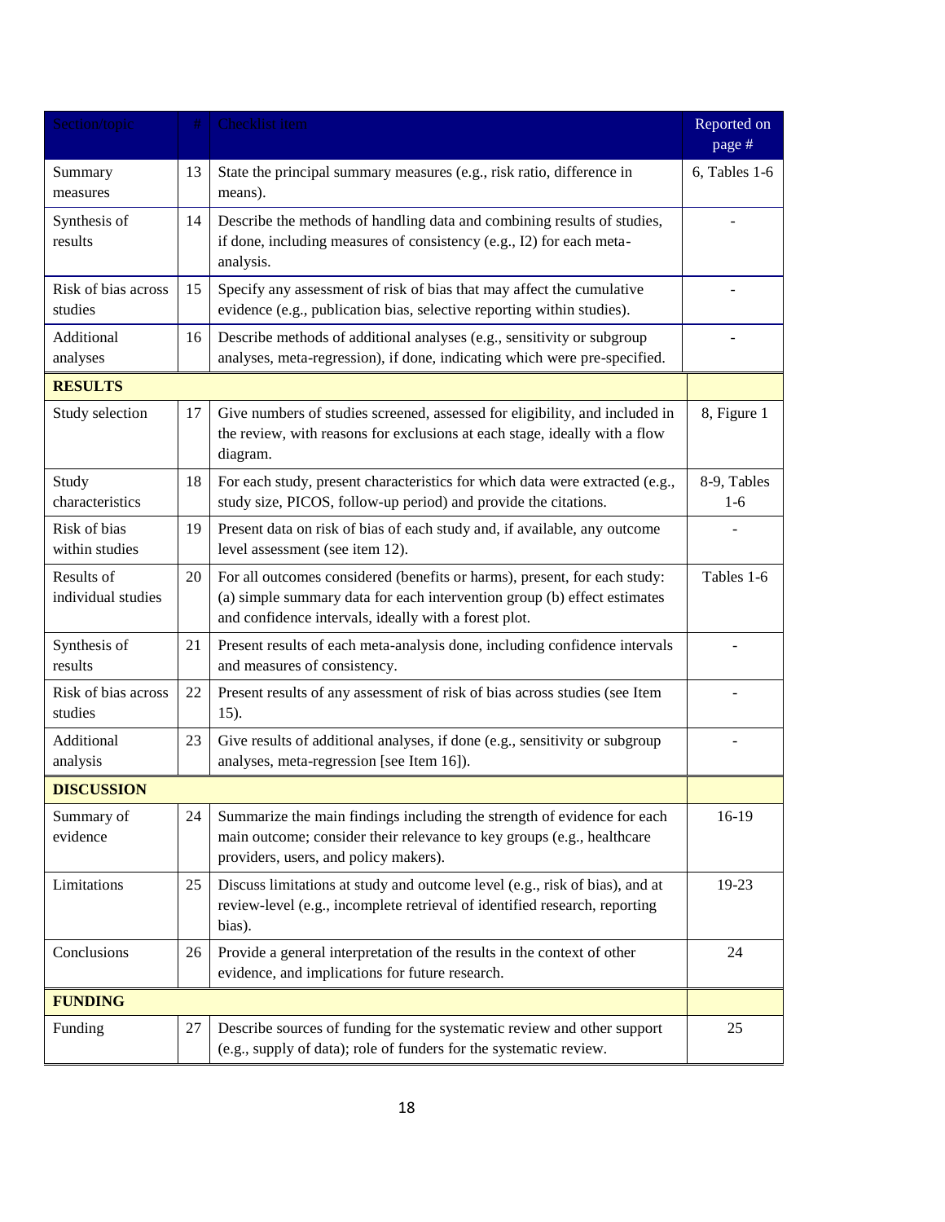| Section/topic                    | #  | Checklist item                                                                                                                                                                                                 | Reported on<br>page # |
|----------------------------------|----|----------------------------------------------------------------------------------------------------------------------------------------------------------------------------------------------------------------|-----------------------|
| Summary<br>measures              | 13 | State the principal summary measures (e.g., risk ratio, difference in<br>means).                                                                                                                               | 6, Tables 1-6         |
| Synthesis of<br>results          | 14 | Describe the methods of handling data and combining results of studies,<br>if done, including measures of consistency (e.g., I2) for each meta-<br>analysis.                                                   |                       |
| Risk of bias across<br>studies   | 15 | Specify any assessment of risk of bias that may affect the cumulative<br>evidence (e.g., publication bias, selective reporting within studies).                                                                |                       |
| Additional<br>analyses           | 16 | Describe methods of additional analyses (e.g., sensitivity or subgroup<br>analyses, meta-regression), if done, indicating which were pre-specified.                                                            |                       |
| <b>RESULTS</b>                   |    |                                                                                                                                                                                                                |                       |
| Study selection                  | 17 | Give numbers of studies screened, assessed for eligibility, and included in<br>the review, with reasons for exclusions at each stage, ideally with a flow<br>diagram.                                          | 8, Figure 1           |
| Study<br>characteristics         | 18 | For each study, present characteristics for which data were extracted (e.g.,<br>study size, PICOS, follow-up period) and provide the citations.                                                                | 8-9, Tables<br>$1-6$  |
| Risk of bias<br>within studies   | 19 | Present data on risk of bias of each study and, if available, any outcome<br>level assessment (see item 12).                                                                                                   |                       |
| Results of<br>individual studies | 20 | For all outcomes considered (benefits or harms), present, for each study:<br>(a) simple summary data for each intervention group (b) effect estimates<br>and confidence intervals, ideally with a forest plot. | Tables 1-6            |
| Synthesis of<br>results          | 21 | Present results of each meta-analysis done, including confidence intervals<br>and measures of consistency.                                                                                                     |                       |
| Risk of bias across<br>studies   | 22 | Present results of any assessment of risk of bias across studies (see Item<br>15).                                                                                                                             |                       |
| Additional<br>analysis           | 23 | Give results of additional analyses, if done (e.g., sensitivity or subgroup<br>analyses, meta-regression [see Item 16]).                                                                                       |                       |
| <b>DISCUSSION</b>                |    |                                                                                                                                                                                                                |                       |
| Summary of<br>evidence           | 24 | Summarize the main findings including the strength of evidence for each<br>main outcome; consider their relevance to key groups (e.g., healthcare<br>providers, users, and policy makers).                     | $16-19$               |
| Limitations                      | 25 | Discuss limitations at study and outcome level (e.g., risk of bias), and at<br>review-level (e.g., incomplete retrieval of identified research, reporting<br>bias).                                            | 19-23                 |
| Conclusions                      | 26 | Provide a general interpretation of the results in the context of other<br>evidence, and implications for future research.                                                                                     | 24                    |
| <b>FUNDING</b>                   |    |                                                                                                                                                                                                                |                       |
| Funding                          | 27 | Describe sources of funding for the systematic review and other support<br>(e.g., supply of data); role of funders for the systematic review.                                                                  | 25                    |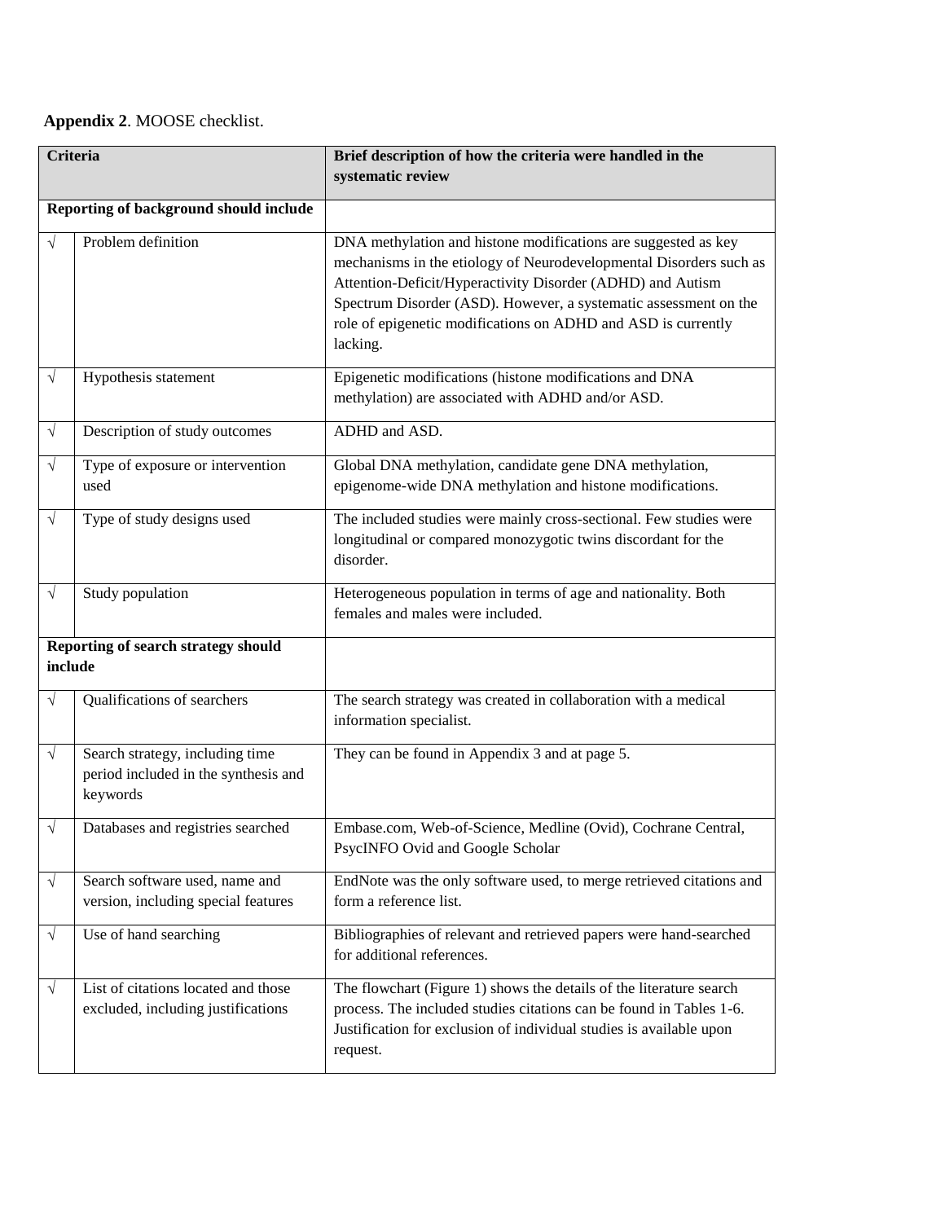# **Appendix 2**. MOOSE checklist.

| <b>Criteria</b> |                                                                                     | Brief description of how the criteria were handled in the<br>systematic review                                                                                                                                                                                                                                                                      |
|-----------------|-------------------------------------------------------------------------------------|-----------------------------------------------------------------------------------------------------------------------------------------------------------------------------------------------------------------------------------------------------------------------------------------------------------------------------------------------------|
|                 | Reporting of background should include                                              |                                                                                                                                                                                                                                                                                                                                                     |
|                 | Problem definition                                                                  | DNA methylation and histone modifications are suggested as key<br>mechanisms in the etiology of Neurodevelopmental Disorders such as<br>Attention-Deficit/Hyperactivity Disorder (ADHD) and Autism<br>Spectrum Disorder (ASD). However, a systematic assessment on the<br>role of epigenetic modifications on ADHD and ASD is currently<br>lacking. |
| $\sqrt{ }$      | Hypothesis statement                                                                | Epigenetic modifications (histone modifications and DNA<br>methylation) are associated with ADHD and/or ASD.                                                                                                                                                                                                                                        |
| $\sqrt{}$       | Description of study outcomes                                                       | ADHD and ASD.                                                                                                                                                                                                                                                                                                                                       |
| $\sqrt{}$       | Type of exposure or intervention<br>used                                            | Global DNA methylation, candidate gene DNA methylation,<br>epigenome-wide DNA methylation and histone modifications.                                                                                                                                                                                                                                |
| $\sqrt{}$       | Type of study designs used                                                          | The included studies were mainly cross-sectional. Few studies were<br>longitudinal or compared monozygotic twins discordant for the<br>disorder.                                                                                                                                                                                                    |
| $\sqrt{}$       | Study population                                                                    | Heterogeneous population in terms of age and nationality. Both<br>females and males were included.                                                                                                                                                                                                                                                  |
| include         | Reporting of search strategy should                                                 |                                                                                                                                                                                                                                                                                                                                                     |
| V               | Qualifications of searchers                                                         | The search strategy was created in collaboration with a medical<br>information specialist.                                                                                                                                                                                                                                                          |
| $\sqrt{}$       | Search strategy, including time<br>period included in the synthesis and<br>keywords | They can be found in Appendix 3 and at page 5.                                                                                                                                                                                                                                                                                                      |
|                 | Databases and registries searched                                                   | Embase.com, Web-of-Science, Medline (Ovid), Cochrane Central,<br>PsycINFO Ovid and Google Scholar                                                                                                                                                                                                                                                   |
| $\sqrt{}$       | Search software used, name and<br>version, including special features               | EndNote was the only software used, to merge retrieved citations and<br>form a reference list.                                                                                                                                                                                                                                                      |
| $\sqrt{ }$      | Use of hand searching                                                               | Bibliographies of relevant and retrieved papers were hand-searched<br>for additional references.                                                                                                                                                                                                                                                    |
| $\sqrt{ }$      | List of citations located and those<br>excluded, including justifications           | The flowchart (Figure 1) shows the details of the literature search<br>process. The included studies citations can be found in Tables 1-6.<br>Justification for exclusion of individual studies is available upon<br>request.                                                                                                                       |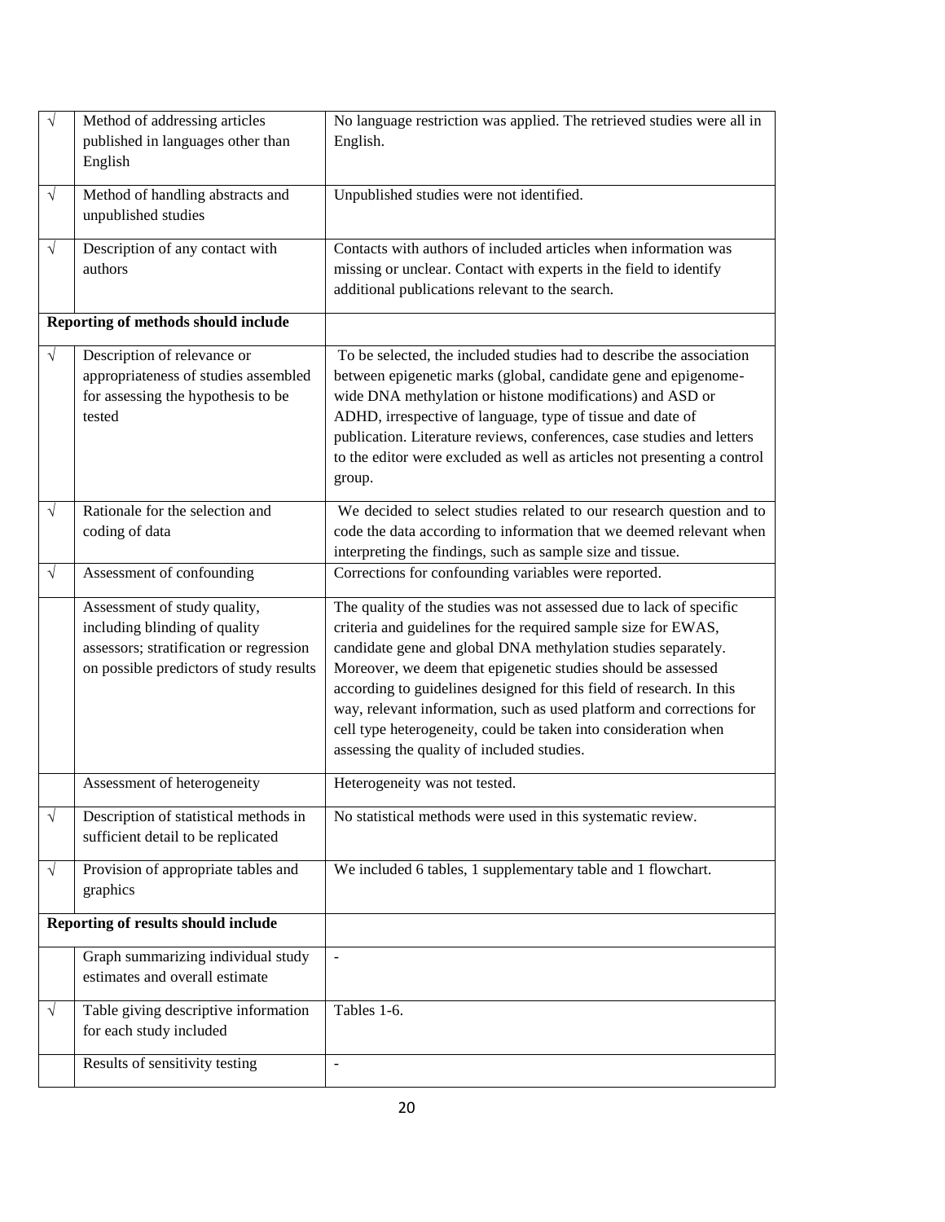| $\sqrt{}$  | Method of addressing articles<br>published in languages other than<br>English                                                                       | No language restriction was applied. The retrieved studies were all in<br>English.                                                                                                                                                                                                                                                                                                                                                                                                                                                      |
|------------|-----------------------------------------------------------------------------------------------------------------------------------------------------|-----------------------------------------------------------------------------------------------------------------------------------------------------------------------------------------------------------------------------------------------------------------------------------------------------------------------------------------------------------------------------------------------------------------------------------------------------------------------------------------------------------------------------------------|
| $\sqrt{ }$ | Method of handling abstracts and<br>unpublished studies                                                                                             | Unpublished studies were not identified.                                                                                                                                                                                                                                                                                                                                                                                                                                                                                                |
| $\sqrt{ }$ | Description of any contact with<br>authors                                                                                                          | Contacts with authors of included articles when information was<br>missing or unclear. Contact with experts in the field to identify<br>additional publications relevant to the search.                                                                                                                                                                                                                                                                                                                                                 |
|            | Reporting of methods should include                                                                                                                 |                                                                                                                                                                                                                                                                                                                                                                                                                                                                                                                                         |
| $\sqrt{ }$ | Description of relevance or<br>appropriateness of studies assembled<br>for assessing the hypothesis to be<br>tested                                 | To be selected, the included studies had to describe the association<br>between epigenetic marks (global, candidate gene and epigenome-<br>wide DNA methylation or histone modifications) and ASD or<br>ADHD, irrespective of language, type of tissue and date of<br>publication. Literature reviews, conferences, case studies and letters<br>to the editor were excluded as well as articles not presenting a control<br>group.                                                                                                      |
| $\sqrt{ }$ | Rationale for the selection and<br>coding of data                                                                                                   | We decided to select studies related to our research question and to<br>code the data according to information that we deemed relevant when<br>interpreting the findings, such as sample size and tissue.                                                                                                                                                                                                                                                                                                                               |
| $\sqrt{}$  | Assessment of confounding                                                                                                                           | Corrections for confounding variables were reported.                                                                                                                                                                                                                                                                                                                                                                                                                                                                                    |
|            | Assessment of study quality,<br>including blinding of quality<br>assessors; stratification or regression<br>on possible predictors of study results | The quality of the studies was not assessed due to lack of specific<br>criteria and guidelines for the required sample size for EWAS,<br>candidate gene and global DNA methylation studies separately.<br>Moreover, we deem that epigenetic studies should be assessed<br>according to guidelines designed for this field of research. In this<br>way, relevant information, such as used platform and corrections for<br>cell type heterogeneity, could be taken into consideration when<br>assessing the quality of included studies. |
|            | Assessment of heterogeneity                                                                                                                         | Heterogeneity was not tested.                                                                                                                                                                                                                                                                                                                                                                                                                                                                                                           |
| $\sqrt{}$  | Description of statistical methods in<br>sufficient detail to be replicated                                                                         | No statistical methods were used in this systematic review.                                                                                                                                                                                                                                                                                                                                                                                                                                                                             |
| $\sqrt{ }$ | Provision of appropriate tables and<br>graphics                                                                                                     | We included 6 tables, 1 supplementary table and 1 flowchart.                                                                                                                                                                                                                                                                                                                                                                                                                                                                            |
|            | Reporting of results should include                                                                                                                 |                                                                                                                                                                                                                                                                                                                                                                                                                                                                                                                                         |
|            | Graph summarizing individual study<br>estimates and overall estimate                                                                                | $\frac{1}{2}$                                                                                                                                                                                                                                                                                                                                                                                                                                                                                                                           |
| $\sqrt{}$  | Table giving descriptive information<br>for each study included                                                                                     | Tables 1-6.                                                                                                                                                                                                                                                                                                                                                                                                                                                                                                                             |
|            | Results of sensitivity testing                                                                                                                      | $\overline{\phantom{0}}$                                                                                                                                                                                                                                                                                                                                                                                                                                                                                                                |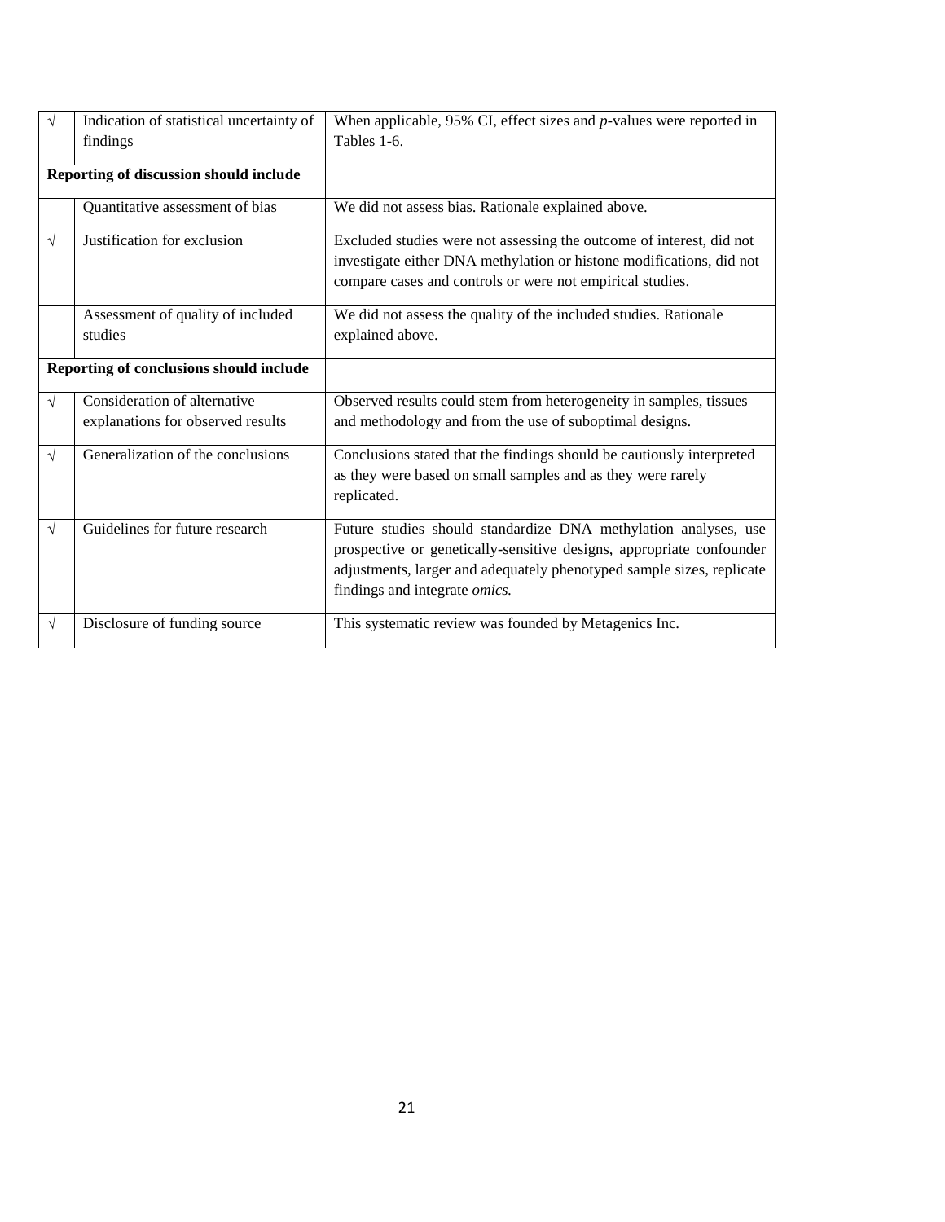| $\sqrt{}$ | Indication of statistical uncertainty of<br>findings              | When applicable, $95\%$ CI, effect sizes and $p$ -values were reported in<br>Tables 1-6.                                                                                                                                                          |
|-----------|-------------------------------------------------------------------|---------------------------------------------------------------------------------------------------------------------------------------------------------------------------------------------------------------------------------------------------|
|           | Reporting of discussion should include                            |                                                                                                                                                                                                                                                   |
|           | Quantitative assessment of bias                                   | We did not assess bias. Rationale explained above.                                                                                                                                                                                                |
| $\sqrt{}$ | Justification for exclusion                                       | Excluded studies were not assessing the outcome of interest, did not<br>investigate either DNA methylation or histone modifications, did not<br>compare cases and controls or were not empirical studies.                                         |
|           | Assessment of quality of included<br>studies                      | We did not assess the quality of the included studies. Rationale<br>explained above.                                                                                                                                                              |
|           | Reporting of conclusions should include                           |                                                                                                                                                                                                                                                   |
| $\sqrt{}$ | Consideration of alternative<br>explanations for observed results | Observed results could stem from heterogeneity in samples, tissues<br>and methodology and from the use of suboptimal designs.                                                                                                                     |
| $\sqrt{}$ | Generalization of the conclusions                                 | Conclusions stated that the findings should be cautiously interpreted<br>as they were based on small samples and as they were rarely<br>replicated.                                                                                               |
| $\sqrt{}$ | Guidelines for future research                                    | Future studies should standardize DNA methylation analyses, use<br>prospective or genetically-sensitive designs, appropriate confounder<br>adjustments, larger and adequately phenotyped sample sizes, replicate<br>findings and integrate omics. |
| $\sqrt{}$ | Disclosure of funding source                                      | This systematic review was founded by Metagenics Inc.                                                                                                                                                                                             |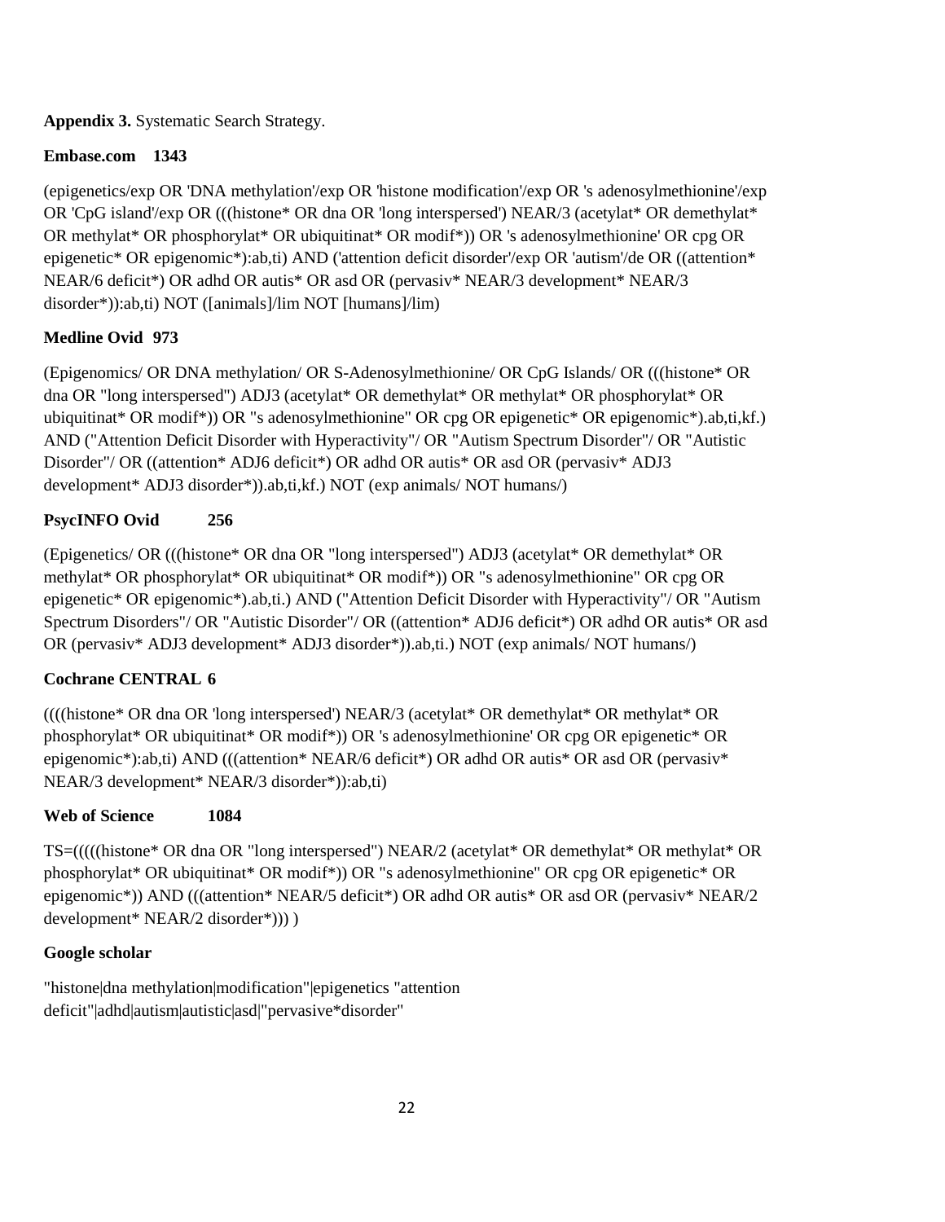### **Appendix 3.** Systematic Search Strategy.

# **Embase.com 1343**

(epigenetics/exp OR 'DNA methylation'/exp OR 'histone modification'/exp OR 's adenosylmethionine'/exp OR 'CpG island'/exp OR (((histone\* OR dna OR 'long interspersed') NEAR/3 (acetylat\* OR demethylat\* OR methylat\* OR phosphorylat\* OR ubiquitinat\* OR modif\*)) OR 's adenosylmethionine' OR cpg OR epigenetic\* OR epigenomic\*):ab,ti) AND ('attention deficit disorder'/exp OR 'autism'/de OR ((attention\* NEAR/6 deficit\*) OR adhd OR autis\* OR asd OR (pervasiv\* NEAR/3 development\* NEAR/3 disorder\*)):ab,ti) NOT ([animals]/lim NOT [humans]/lim)

# **Medline Ovid 973**

(Epigenomics/ OR DNA methylation/ OR S-Adenosylmethionine/ OR CpG Islands/ OR (((histone\* OR dna OR "long interspersed") ADJ3 (acetylat\* OR demethylat\* OR methylat\* OR phosphorylat\* OR ubiquitinat\* OR modif\*)) OR "s adenosylmethionine" OR cpg OR epigenetic\* OR epigenomic\*).ab,ti,kf.) AND ("Attention Deficit Disorder with Hyperactivity"/ OR "Autism Spectrum Disorder"/ OR "Autistic Disorder"/ OR ((attention\* ADJ6 deficit\*) OR adhd OR autis\* OR asd OR (pervasiv\* ADJ3 development\* ADJ3 disorder\*)).ab,ti,kf.) NOT (exp animals/ NOT humans/)

# **PsycINFO Ovid 256**

(Epigenetics/ OR (((histone\* OR dna OR "long interspersed") ADJ3 (acetylat\* OR demethylat\* OR methylat\* OR phosphorylat\* OR ubiquitinat\* OR modif\*)) OR "s adenosylmethionine" OR cpg OR epigenetic\* OR epigenomic\*).ab,ti.) AND ("Attention Deficit Disorder with Hyperactivity"/ OR "Autism Spectrum Disorders"/ OR "Autistic Disorder"/ OR ((attention\* ADJ6 deficit\*) OR adhd OR autis\* OR asd OR (pervasiv\* ADJ3 development\* ADJ3 disorder\*)).ab,ti.) NOT (exp animals/ NOT humans/)

# **Cochrane CENTRAL 6**

((((histone\* OR dna OR 'long interspersed') NEAR/3 (acetylat\* OR demethylat\* OR methylat\* OR phosphorylat\* OR ubiquitinat\* OR modif\*)) OR 's adenosylmethionine' OR cpg OR epigenetic\* OR epigenomic\*):ab,ti) AND (((attention\* NEAR/6 deficit\*) OR adhd OR autis\* OR asd OR (pervasiv\* NEAR/3 development\* NEAR/3 disorder\*)):ab,ti)

# **Web of Science 1084**

TS=(((((histone\* OR dna OR "long interspersed") NEAR/2 (acetylat\* OR demethylat\* OR methylat\* OR phosphorylat\* OR ubiquitinat\* OR modif\*)) OR "s adenosylmethionine" OR cpg OR epigenetic\* OR epigenomic\*)) AND (((attention\* NEAR/5 deficit\*) OR adhd OR autis\* OR asd OR (pervasiv\* NEAR/2 development\* NEAR/2 disorder\*))) )

### **Google scholar**

"histone|dna methylation|modification"|epigenetics "attention deficit"|adhd|autism|autistic|asd|"pervasive\*disorder"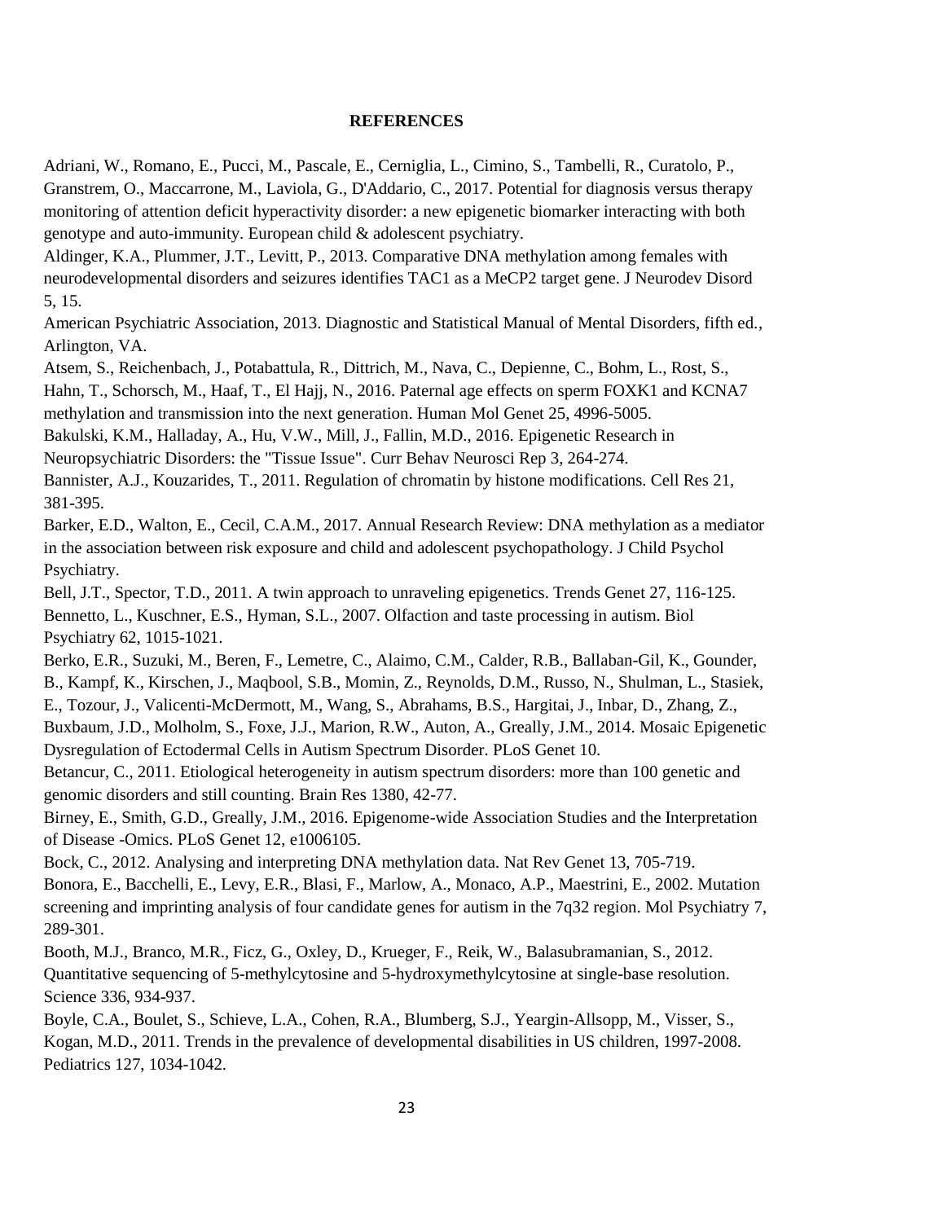### **REFERENCES**

Adriani, W., Romano, E., Pucci, M., Pascale, E., Cerniglia, L., Cimino, S., Tambelli, R., Curatolo, P., Granstrem, O., Maccarrone, M., Laviola, G., D'Addario, C., 2017. Potential for diagnosis versus therapy monitoring of attention deficit hyperactivity disorder: a new epigenetic biomarker interacting with both genotype and auto-immunity. European child & adolescent psychiatry.

Aldinger, K.A., Plummer, J.T., Levitt, P., 2013. Comparative DNA methylation among females with neurodevelopmental disorders and seizures identifies TAC1 as a MeCP2 target gene. J Neurodev Disord 5, 15.

American Psychiatric Association, 2013. Diagnostic and Statistical Manual of Mental Disorders, fifth ed., Arlington, VA.

Atsem, S., Reichenbach, J., Potabattula, R., Dittrich, M., Nava, C., Depienne, C., Bohm, L., Rost, S., Hahn, T., Schorsch, M., Haaf, T., El Hajj, N., 2016. Paternal age effects on sperm FOXK1 and KCNA7 methylation and transmission into the next generation. Human Mol Genet 25, 4996-5005.

Bakulski, K.M., Halladay, A., Hu, V.W., Mill, J., Fallin, M.D., 2016. Epigenetic Research in

Neuropsychiatric Disorders: the "Tissue Issue". Curr Behav Neurosci Rep 3, 264-274.

Bannister, A.J., Kouzarides, T., 2011. Regulation of chromatin by histone modifications. Cell Res 21, 381-395.

Barker, E.D., Walton, E., Cecil, C.A.M., 2017. Annual Research Review: DNA methylation as a mediator in the association between risk exposure and child and adolescent psychopathology. J Child Psychol Psychiatry.

Bell, J.T., Spector, T.D., 2011. A twin approach to unraveling epigenetics. Trends Genet 27, 116-125. Bennetto, L., Kuschner, E.S., Hyman, S.L., 2007. Olfaction and taste processing in autism. Biol Psychiatry 62, 1015-1021.

Berko, E.R., Suzuki, M., Beren, F., Lemetre, C., Alaimo, C.M., Calder, R.B., Ballaban-Gil, K., Gounder, B., Kampf, K., Kirschen, J., Maqbool, S.B., Momin, Z., Reynolds, D.M., Russo, N., Shulman, L., Stasiek, E., Tozour, J., Valicenti-McDermott, M., Wang, S., Abrahams, B.S., Hargitai, J., Inbar, D., Zhang, Z.,

Buxbaum, J.D., Molholm, S., Foxe, J.J., Marion, R.W., Auton, A., Greally, J.M., 2014. Mosaic Epigenetic Dysregulation of Ectodermal Cells in Autism Spectrum Disorder. PLoS Genet 10.

Betancur, C., 2011. Etiological heterogeneity in autism spectrum disorders: more than 100 genetic and genomic disorders and still counting. Brain Res 1380, 42-77.

Birney, E., Smith, G.D., Greally, J.M., 2016. Epigenome-wide Association Studies and the Interpretation of Disease -Omics. PLoS Genet 12, e1006105.

Bock, C., 2012. Analysing and interpreting DNA methylation data. Nat Rev Genet 13, 705-719. Bonora, E., Bacchelli, E., Levy, E.R., Blasi, F., Marlow, A., Monaco, A.P., Maestrini, E., 2002. Mutation screening and imprinting analysis of four candidate genes for autism in the 7q32 region. Mol Psychiatry 7, 289-301.

Booth, M.J., Branco, M.R., Ficz, G., Oxley, D., Krueger, F., Reik, W., Balasubramanian, S., 2012. Quantitative sequencing of 5-methylcytosine and 5-hydroxymethylcytosine at single-base resolution. Science 336, 934-937.

Boyle, C.A., Boulet, S., Schieve, L.A., Cohen, R.A., Blumberg, S.J., Yeargin-Allsopp, M., Visser, S., Kogan, M.D., 2011. Trends in the prevalence of developmental disabilities in US children, 1997-2008. Pediatrics 127, 1034-1042.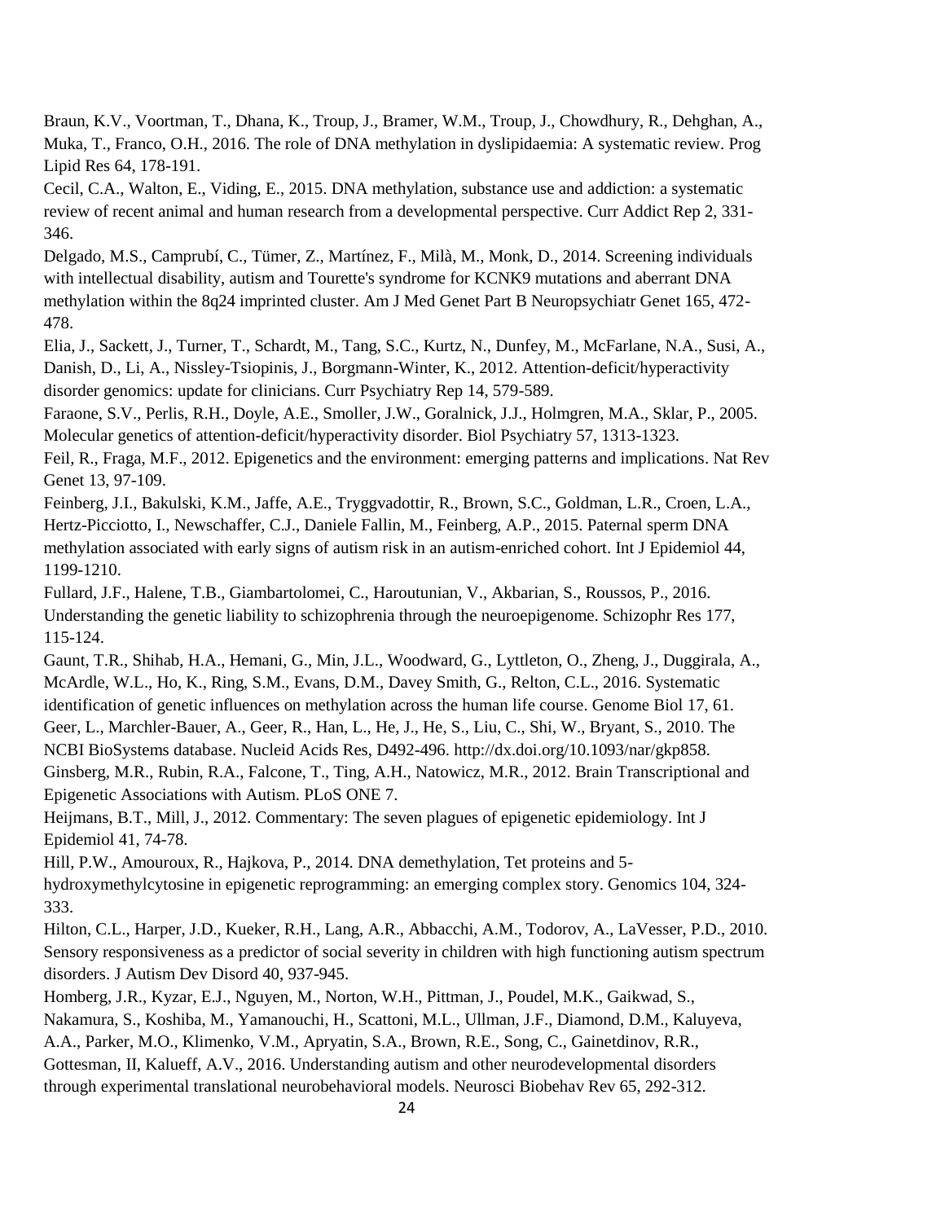Braun, K.V., Voortman, T., Dhana, K., Troup, J., Bramer, W.M., Troup, J., Chowdhury, R., Dehghan, A., Muka, T., Franco, O.H., 2016. The role of DNA methylation in dyslipidaemia: A systematic review. Prog Lipid Res 64, 178-191.

Cecil, C.A., Walton, E., Viding, E., 2015. DNA methylation, substance use and addiction: a systematic review of recent animal and human research from a developmental perspective. Curr Addict Rep 2, 331- 346.

Delgado, M.S., Camprubí, C., Tümer, Z., Martínez, F., Milà, M., Monk, D., 2014. Screening individuals with intellectual disability, autism and Tourette's syndrome for KCNK9 mutations and aberrant DNA methylation within the 8q24 imprinted cluster. Am J Med Genet Part B Neuropsychiatr Genet 165, 472- 478.

Elia, J., Sackett, J., Turner, T., Schardt, M., Tang, S.C., Kurtz, N., Dunfey, M., McFarlane, N.A., Susi, A., Danish, D., Li, A., Nissley-Tsiopinis, J., Borgmann-Winter, K., 2012. Attention-deficit/hyperactivity disorder genomics: update for clinicians. Curr Psychiatry Rep 14, 579-589.

Faraone, S.V., Perlis, R.H., Doyle, A.E., Smoller, J.W., Goralnick, J.J., Holmgren, M.A., Sklar, P., 2005. Molecular genetics of attention-deficit/hyperactivity disorder. Biol Psychiatry 57, 1313-1323.

Feil, R., Fraga, M.F., 2012. Epigenetics and the environment: emerging patterns and implications. Nat Rev Genet 13, 97-109.

Feinberg, J.I., Bakulski, K.M., Jaffe, A.E., Tryggvadottir, R., Brown, S.C., Goldman, L.R., Croen, L.A., Hertz-Picciotto, I., Newschaffer, C.J., Daniele Fallin, M., Feinberg, A.P., 2015. Paternal sperm DNA methylation associated with early signs of autism risk in an autism-enriched cohort. Int J Epidemiol 44, 1199-1210.

Fullard, J.F., Halene, T.B., Giambartolomei, C., Haroutunian, V., Akbarian, S., Roussos, P., 2016. Understanding the genetic liability to schizophrenia through the neuroepigenome. Schizophr Res 177, 115-124.

Gaunt, T.R., Shihab, H.A., Hemani, G., Min, J.L., Woodward, G., Lyttleton, O., Zheng, J., Duggirala, A., McArdle, W.L., Ho, K., Ring, S.M., Evans, D.M., Davey Smith, G., Relton, C.L., 2016. Systematic

identification of genetic influences on methylation across the human life course. Genome Biol 17, 61. Geer, L., Marchler-Bauer, A., Geer, R., Han, L., He, J., He, S., Liu, C., Shi, W., Bryant, S., 2010. The NCBI BioSystems database. Nucleid Acids Res, D492-496. http://dx.doi.org/10.1093/nar/gkp858.

Ginsberg, M.R., Rubin, R.A., Falcone, T., Ting, A.H., Natowicz, M.R., 2012. Brain Transcriptional and Epigenetic Associations with Autism. PLoS ONE 7.

Heijmans, B.T., Mill, J., 2012. Commentary: The seven plagues of epigenetic epidemiology. Int J Epidemiol 41, 74-78.

Hill, P.W., Amouroux, R., Hajkova, P., 2014. DNA demethylation, Tet proteins and 5 hydroxymethylcytosine in epigenetic reprogramming: an emerging complex story. Genomics 104, 324- 333.

Hilton, C.L., Harper, J.D., Kueker, R.H., Lang, A.R., Abbacchi, A.M., Todorov, A., LaVesser, P.D., 2010. Sensory responsiveness as a predictor of social severity in children with high functioning autism spectrum disorders. J Autism Dev Disord 40, 937-945.

Homberg, J.R., Kyzar, E.J., Nguyen, M., Norton, W.H., Pittman, J., Poudel, M.K., Gaikwad, S.,

Nakamura, S., Koshiba, M., Yamanouchi, H., Scattoni, M.L., Ullman, J.F., Diamond, D.M., Kaluyeva,

A.A., Parker, M.O., Klimenko, V.M., Apryatin, S.A., Brown, R.E., Song, C., Gainetdinov, R.R.,

Gottesman, II, Kalueff, A.V., 2016. Understanding autism and other neurodevelopmental disorders through experimental translational neurobehavioral models. Neurosci Biobehav Rev 65, 292-312.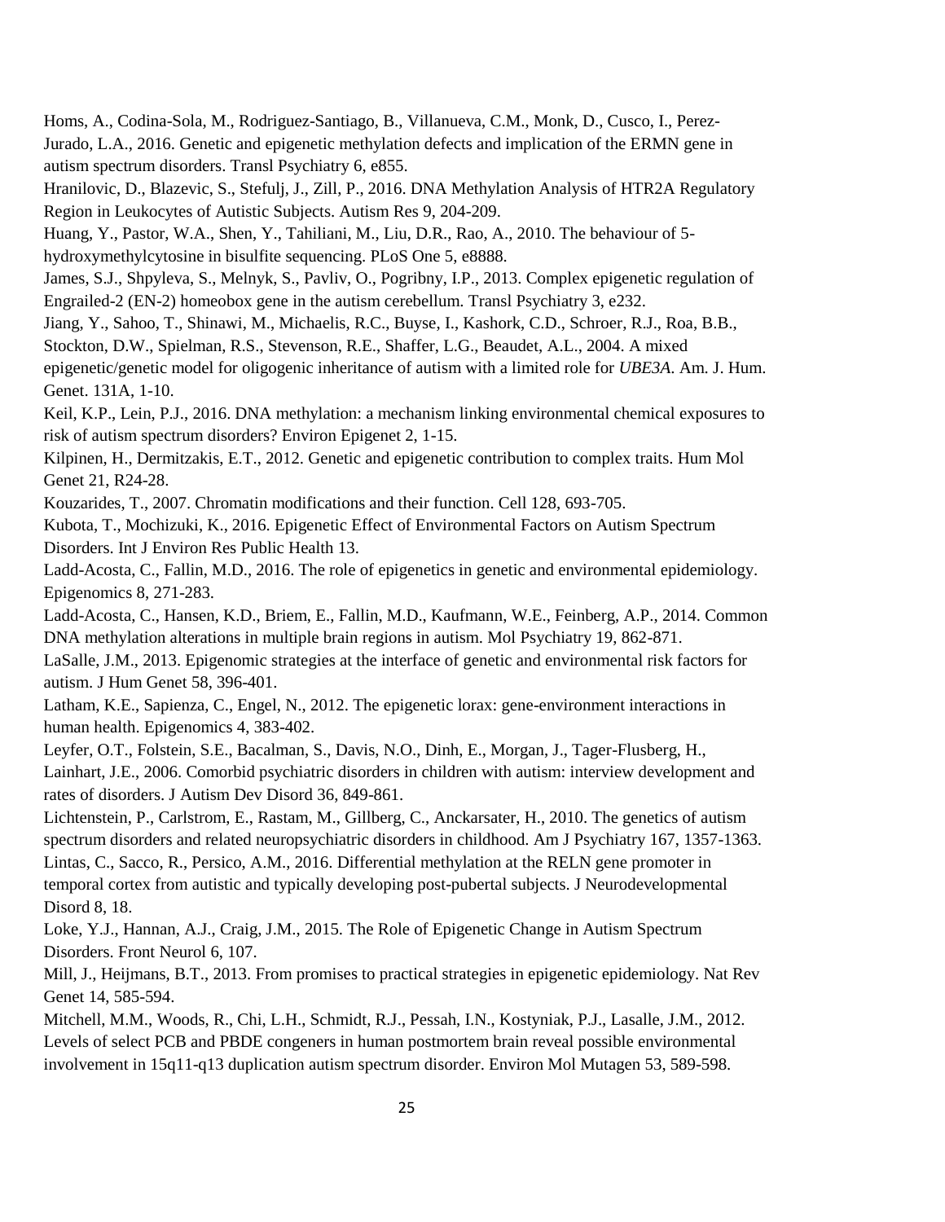Homs, A., Codina-Sola, M., Rodriguez-Santiago, B., Villanueva, C.M., Monk, D., Cusco, I., Perez-Jurado, L.A., 2016. Genetic and epigenetic methylation defects and implication of the ERMN gene in autism spectrum disorders. Transl Psychiatry 6, e855.

Hranilovic, D., Blazevic, S., Stefulj, J., Zill, P., 2016. DNA Methylation Analysis of HTR2A Regulatory Region in Leukocytes of Autistic Subjects. Autism Res 9, 204-209.

Huang, Y., Pastor, W.A., Shen, Y., Tahiliani, M., Liu, D.R., Rao, A., 2010. The behaviour of 5 hydroxymethylcytosine in bisulfite sequencing. PLoS One 5, e8888.

James, S.J., Shpyleva, S., Melnyk, S., Pavliv, O., Pogribny, I.P., 2013. Complex epigenetic regulation of Engrailed-2 (EN-2) homeobox gene in the autism cerebellum. Transl Psychiatry 3, e232.

Jiang, Y., Sahoo, T., Shinawi, M., Michaelis, R.C., Buyse, I., Kashork, C.D., Schroer, R.J., Roa, B.B.,

Stockton, D.W., Spielman, R.S., Stevenson, R.E., Shaffer, L.G., Beaudet, A.L., 2004. A mixed

epigenetic/genetic model for oligogenic inheritance of autism with a limited role for *UBE3A*. Am. J. Hum. Genet. 131A, 1-10.

Keil, K.P., Lein, P.J., 2016. DNA methylation: a mechanism linking environmental chemical exposures to risk of autism spectrum disorders? Environ Epigenet 2, 1-15.

Kilpinen, H., Dermitzakis, E.T., 2012. Genetic and epigenetic contribution to complex traits. Hum Mol Genet 21, R24-28.

Kouzarides, T., 2007. Chromatin modifications and their function. Cell 128, 693-705.

Kubota, T., Mochizuki, K., 2016. Epigenetic Effect of Environmental Factors on Autism Spectrum Disorders. Int J Environ Res Public Health 13.

Ladd-Acosta, C., Fallin, M.D., 2016. The role of epigenetics in genetic and environmental epidemiology. Epigenomics 8, 271-283.

Ladd-Acosta, C., Hansen, K.D., Briem, E., Fallin, M.D., Kaufmann, W.E., Feinberg, A.P., 2014. Common DNA methylation alterations in multiple brain regions in autism. Mol Psychiatry 19, 862-871.

LaSalle, J.M., 2013. Epigenomic strategies at the interface of genetic and environmental risk factors for autism. J Hum Genet 58, 396-401.

Latham, K.E., Sapienza, C., Engel, N., 2012. The epigenetic lorax: gene-environment interactions in human health. Epigenomics 4, 383-402.

Leyfer, O.T., Folstein, S.E., Bacalman, S., Davis, N.O., Dinh, E., Morgan, J., Tager-Flusberg, H., Lainhart, J.E., 2006. Comorbid psychiatric disorders in children with autism: interview development and rates of disorders. J Autism Dev Disord 36, 849-861.

Lichtenstein, P., Carlstrom, E., Rastam, M., Gillberg, C., Anckarsater, H., 2010. The genetics of autism spectrum disorders and related neuropsychiatric disorders in childhood. Am J Psychiatry 167, 1357-1363. Lintas, C., Sacco, R., Persico, A.M., 2016. Differential methylation at the RELN gene promoter in temporal cortex from autistic and typically developing post-pubertal subjects. J Neurodevelopmental Disord 8, 18.

Loke, Y.J., Hannan, A.J., Craig, J.M., 2015. The Role of Epigenetic Change in Autism Spectrum Disorders. Front Neurol 6, 107.

Mill, J., Heijmans, B.T., 2013. From promises to practical strategies in epigenetic epidemiology. Nat Rev Genet 14, 585-594.

Mitchell, M.M., Woods, R., Chi, L.H., Schmidt, R.J., Pessah, I.N., Kostyniak, P.J., Lasalle, J.M., 2012. Levels of select PCB and PBDE congeners in human postmortem brain reveal possible environmental involvement in 15q11-q13 duplication autism spectrum disorder. Environ Mol Mutagen 53, 589-598.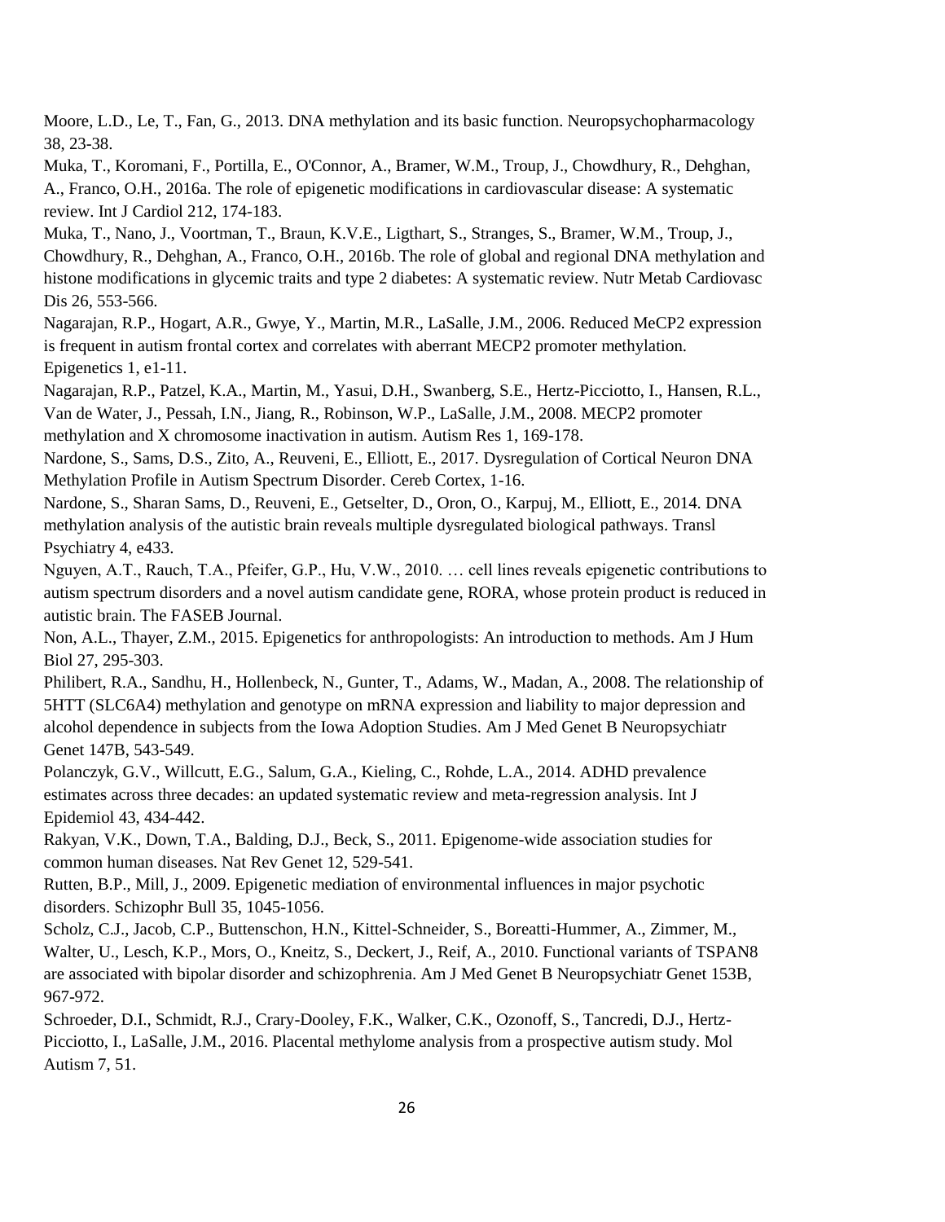Moore, L.D., Le, T., Fan, G., 2013. DNA methylation and its basic function. Neuropsychopharmacology 38, 23-38.

Muka, T., Koromani, F., Portilla, E., O'Connor, A., Bramer, W.M., Troup, J., Chowdhury, R., Dehghan, A., Franco, O.H., 2016a. The role of epigenetic modifications in cardiovascular disease: A systematic review. Int J Cardiol 212, 174-183.

Muka, T., Nano, J., Voortman, T., Braun, K.V.E., Ligthart, S., Stranges, S., Bramer, W.M., Troup, J., Chowdhury, R., Dehghan, A., Franco, O.H., 2016b. The role of global and regional DNA methylation and histone modifications in glycemic traits and type 2 diabetes: A systematic review. Nutr Metab Cardiovasc Dis 26, 553-566.

Nagarajan, R.P., Hogart, A.R., Gwye, Y., Martin, M.R., LaSalle, J.M., 2006. Reduced MeCP2 expression is frequent in autism frontal cortex and correlates with aberrant MECP2 promoter methylation. Epigenetics 1, e1-11.

Nagarajan, R.P., Patzel, K.A., Martin, M., Yasui, D.H., Swanberg, S.E., Hertz-Picciotto, I., Hansen, R.L., Van de Water, J., Pessah, I.N., Jiang, R., Robinson, W.P., LaSalle, J.M., 2008. MECP2 promoter methylation and X chromosome inactivation in autism. Autism Res 1, 169-178.

Nardone, S., Sams, D.S., Zito, A., Reuveni, E., Elliott, E., 2017. Dysregulation of Cortical Neuron DNA Methylation Profile in Autism Spectrum Disorder. Cereb Cortex, 1-16.

Nardone, S., Sharan Sams, D., Reuveni, E., Getselter, D., Oron, O., Karpuj, M., Elliott, E., 2014. DNA methylation analysis of the autistic brain reveals multiple dysregulated biological pathways. Transl Psychiatry 4, e433.

Nguyen, A.T., Rauch, T.A., Pfeifer, G.P., Hu, V.W., 2010. … cell lines reveals epigenetic contributions to autism spectrum disorders and a novel autism candidate gene, RORA, whose protein product is reduced in autistic brain. The FASEB Journal.

Non, A.L., Thayer, Z.M., 2015. Epigenetics for anthropologists: An introduction to methods. Am J Hum Biol 27, 295-303.

Philibert, R.A., Sandhu, H., Hollenbeck, N., Gunter, T., Adams, W., Madan, A., 2008. The relationship of 5HTT (SLC6A4) methylation and genotype on mRNA expression and liability to major depression and alcohol dependence in subjects from the Iowa Adoption Studies. Am J Med Genet B Neuropsychiatr Genet 147B, 543-549.

Polanczyk, G.V., Willcutt, E.G., Salum, G.A., Kieling, C., Rohde, L.A., 2014. ADHD prevalence estimates across three decades: an updated systematic review and meta-regression analysis. Int J Epidemiol 43, 434-442.

Rakyan, V.K., Down, T.A., Balding, D.J., Beck, S., 2011. Epigenome-wide association studies for common human diseases. Nat Rev Genet 12, 529-541.

Rutten, B.P., Mill, J., 2009. Epigenetic mediation of environmental influences in major psychotic disorders. Schizophr Bull 35, 1045-1056.

Scholz, C.J., Jacob, C.P., Buttenschon, H.N., Kittel-Schneider, S., Boreatti-Hummer, A., Zimmer, M., Walter, U., Lesch, K.P., Mors, O., Kneitz, S., Deckert, J., Reif, A., 2010. Functional variants of TSPAN8 are associated with bipolar disorder and schizophrenia. Am J Med Genet B Neuropsychiatr Genet 153B, 967-972.

Schroeder, D.I., Schmidt, R.J., Crary-Dooley, F.K., Walker, C.K., Ozonoff, S., Tancredi, D.J., Hertz-Picciotto, I., LaSalle, J.M., 2016. Placental methylome analysis from a prospective autism study. Mol Autism 7, 51.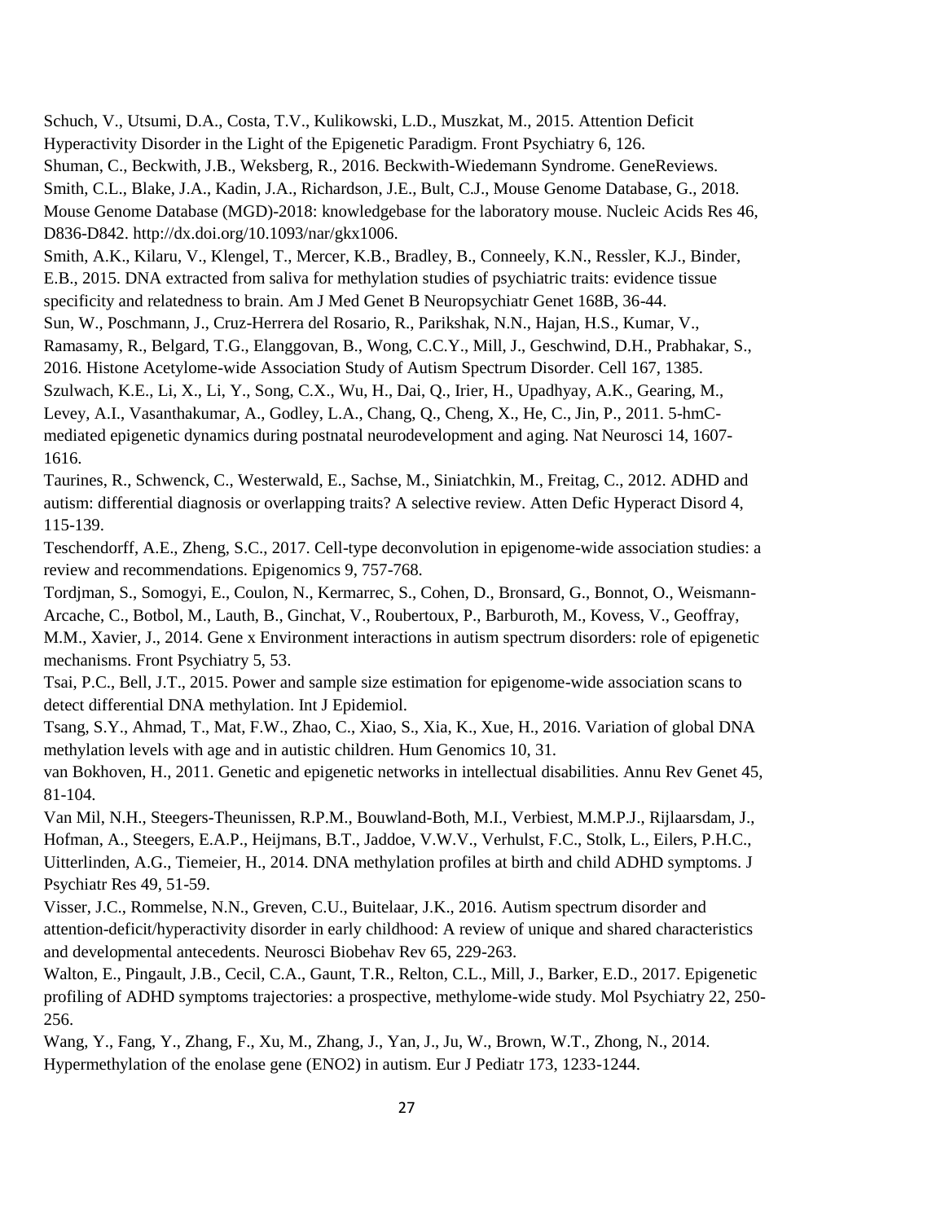Schuch, V., Utsumi, D.A., Costa, T.V., Kulikowski, L.D., Muszkat, M., 2015. Attention Deficit Hyperactivity Disorder in the Light of the Epigenetic Paradigm. Front Psychiatry 6, 126. Shuman, C., Beckwith, J.B., Weksberg, R., 2016. Beckwith-Wiedemann Syndrome. GeneReviews. Smith, C.L., Blake, J.A., Kadin, J.A., Richardson, J.E., Bult, C.J., Mouse Genome Database, G., 2018. Mouse Genome Database (MGD)-2018: knowledgebase for the laboratory mouse. Nucleic Acids Res 46, D836-D842. http://dx.doi.org/10.1093/nar/gkx1006. Smith, A.K., Kilaru, V., Klengel, T., Mercer, K.B., Bradley, B., Conneely, K.N., Ressler, K.J., Binder,

E.B., 2015. DNA extracted from saliva for methylation studies of psychiatric traits: evidence tissue specificity and relatedness to brain. Am J Med Genet B Neuropsychiatr Genet 168B, 36-44. Sun, W., Poschmann, J., Cruz-Herrera del Rosario, R., Parikshak, N.N., Hajan, H.S., Kumar, V., Ramasamy, R., Belgard, T.G., Elanggovan, B., Wong, C.C.Y., Mill, J., Geschwind, D.H., Prabhakar, S., 2016. Histone Acetylome-wide Association Study of Autism Spectrum Disorder. Cell 167, 1385. Szulwach, K.E., Li, X., Li, Y., Song, C.X., Wu, H., Dai, Q., Irier, H., Upadhyay, A.K., Gearing, M., Levey, A.I., Vasanthakumar, A., Godley, L.A., Chang, Q., Cheng, X., He, C., Jin, P., 2011. 5-hmCmediated epigenetic dynamics during postnatal neurodevelopment and aging. Nat Neurosci 14, 1607- 1616.

Taurines, R., Schwenck, C., Westerwald, E., Sachse, M., Siniatchkin, M., Freitag, C., 2012. ADHD and autism: differential diagnosis or overlapping traits? A selective review. Atten Defic Hyperact Disord 4, 115-139.

Teschendorff, A.E., Zheng, S.C., 2017. Cell-type deconvolution in epigenome-wide association studies: a review and recommendations. Epigenomics 9, 757-768.

Tordjman, S., Somogyi, E., Coulon, N., Kermarrec, S., Cohen, D., Bronsard, G., Bonnot, O., Weismann-Arcache, C., Botbol, M., Lauth, B., Ginchat, V., Roubertoux, P., Barburoth, M., Kovess, V., Geoffray, M.M., Xavier, J., 2014. Gene x Environment interactions in autism spectrum disorders: role of epigenetic mechanisms. Front Psychiatry 5, 53.

Tsai, P.C., Bell, J.T., 2015. Power and sample size estimation for epigenome-wide association scans to detect differential DNA methylation. Int J Epidemiol.

Tsang, S.Y., Ahmad, T., Mat, F.W., Zhao, C., Xiao, S., Xia, K., Xue, H., 2016. Variation of global DNA methylation levels with age and in autistic children. Hum Genomics 10, 31.

van Bokhoven, H., 2011. Genetic and epigenetic networks in intellectual disabilities. Annu Rev Genet 45, 81-104.

Van Mil, N.H., Steegers-Theunissen, R.P.M., Bouwland-Both, M.I., Verbiest, M.M.P.J., Rijlaarsdam, J., Hofman, A., Steegers, E.A.P., Heijmans, B.T., Jaddoe, V.W.V., Verhulst, F.C., Stolk, L., Eilers, P.H.C., Uitterlinden, A.G., Tiemeier, H., 2014. DNA methylation profiles at birth and child ADHD symptoms. J Psychiatr Res 49, 51-59.

Visser, J.C., Rommelse, N.N., Greven, C.U., Buitelaar, J.K., 2016. Autism spectrum disorder and attention-deficit/hyperactivity disorder in early childhood: A review of unique and shared characteristics and developmental antecedents. Neurosci Biobehav Rev 65, 229-263.

Walton, E., Pingault, J.B., Cecil, C.A., Gaunt, T.R., Relton, C.L., Mill, J., Barker, E.D., 2017. Epigenetic profiling of ADHD symptoms trajectories: a prospective, methylome-wide study. Mol Psychiatry 22, 250- 256.

Wang, Y., Fang, Y., Zhang, F., Xu, M., Zhang, J., Yan, J., Ju, W., Brown, W.T., Zhong, N., 2014. Hypermethylation of the enolase gene (ENO2) in autism. Eur J Pediatr 173, 1233-1244.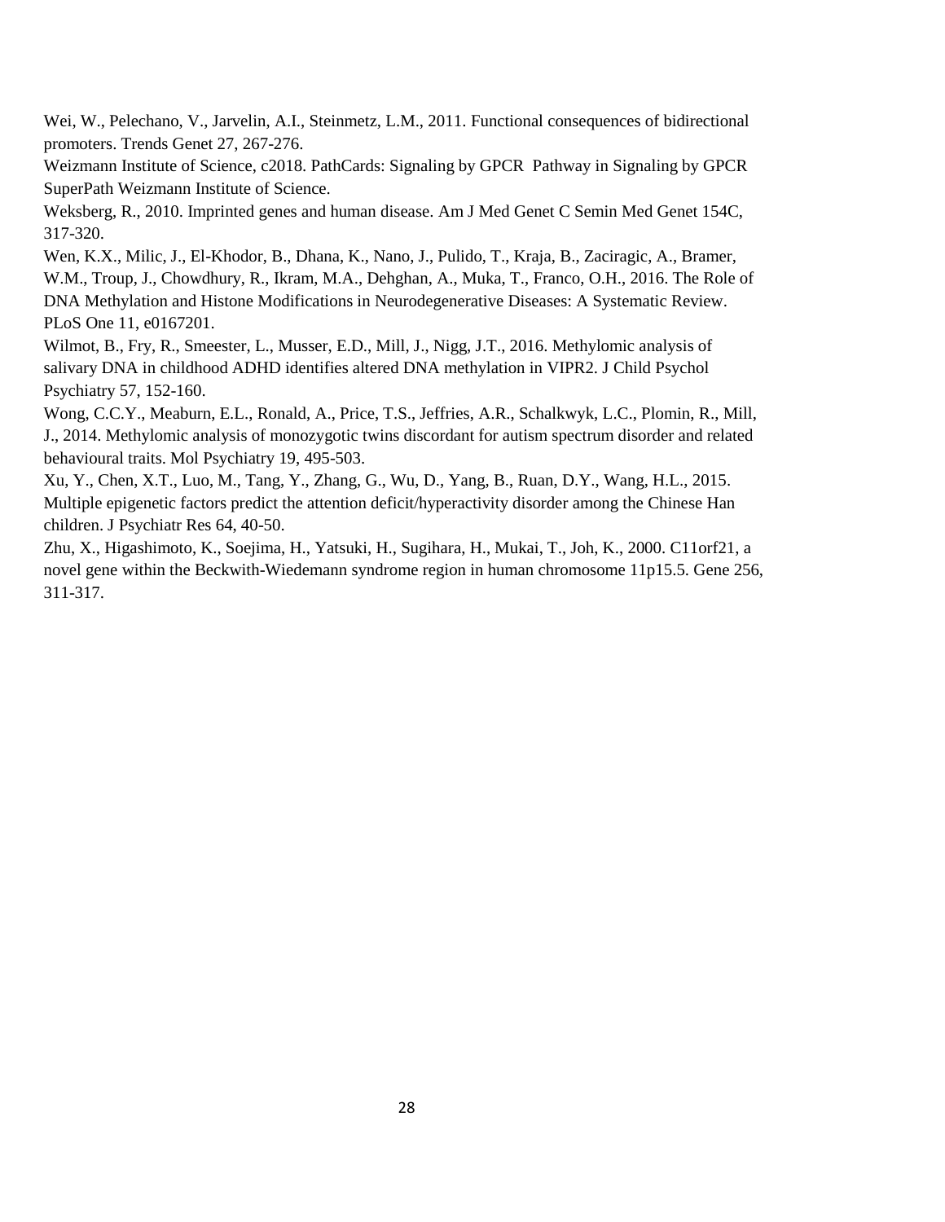Wei, W., Pelechano, V., Jarvelin, A.I., Steinmetz, L.M., 2011. Functional consequences of bidirectional promoters. Trends Genet 27, 267-276.

Weizmann Institute of Science, c2018. PathCards: Signaling by GPCR Pathway in Signaling by GPCR SuperPath Weizmann Institute of Science.

Weksberg, R., 2010. Imprinted genes and human disease. Am J Med Genet C Semin Med Genet 154C, 317-320.

Wen, K.X., Milic, J., El-Khodor, B., Dhana, K., Nano, J., Pulido, T., Kraja, B., Zaciragic, A., Bramer, W.M., Troup, J., Chowdhury, R., Ikram, M.A., Dehghan, A., Muka, T., Franco, O.H., 2016. The Role of DNA Methylation and Histone Modifications in Neurodegenerative Diseases: A Systematic Review. PLoS One 11, e0167201.

Wilmot, B., Fry, R., Smeester, L., Musser, E.D., Mill, J., Nigg, J.T., 2016. Methylomic analysis of salivary DNA in childhood ADHD identifies altered DNA methylation in VIPR2. J Child Psychol Psychiatry 57, 152-160.

Wong, C.C.Y., Meaburn, E.L., Ronald, A., Price, T.S., Jeffries, A.R., Schalkwyk, L.C., Plomin, R., Mill, J., 2014. Methylomic analysis of monozygotic twins discordant for autism spectrum disorder and related behavioural traits. Mol Psychiatry 19, 495-503.

Xu, Y., Chen, X.T., Luo, M., Tang, Y., Zhang, G., Wu, D., Yang, B., Ruan, D.Y., Wang, H.L., 2015. Multiple epigenetic factors predict the attention deficit/hyperactivity disorder among the Chinese Han children. J Psychiatr Res 64, 40-50.

Zhu, X., Higashimoto, K., Soejima, H., Yatsuki, H., Sugihara, H., Mukai, T., Joh, K., 2000. C11orf21, a novel gene within the Beckwith-Wiedemann syndrome region in human chromosome 11p15.5. Gene 256, 311-317.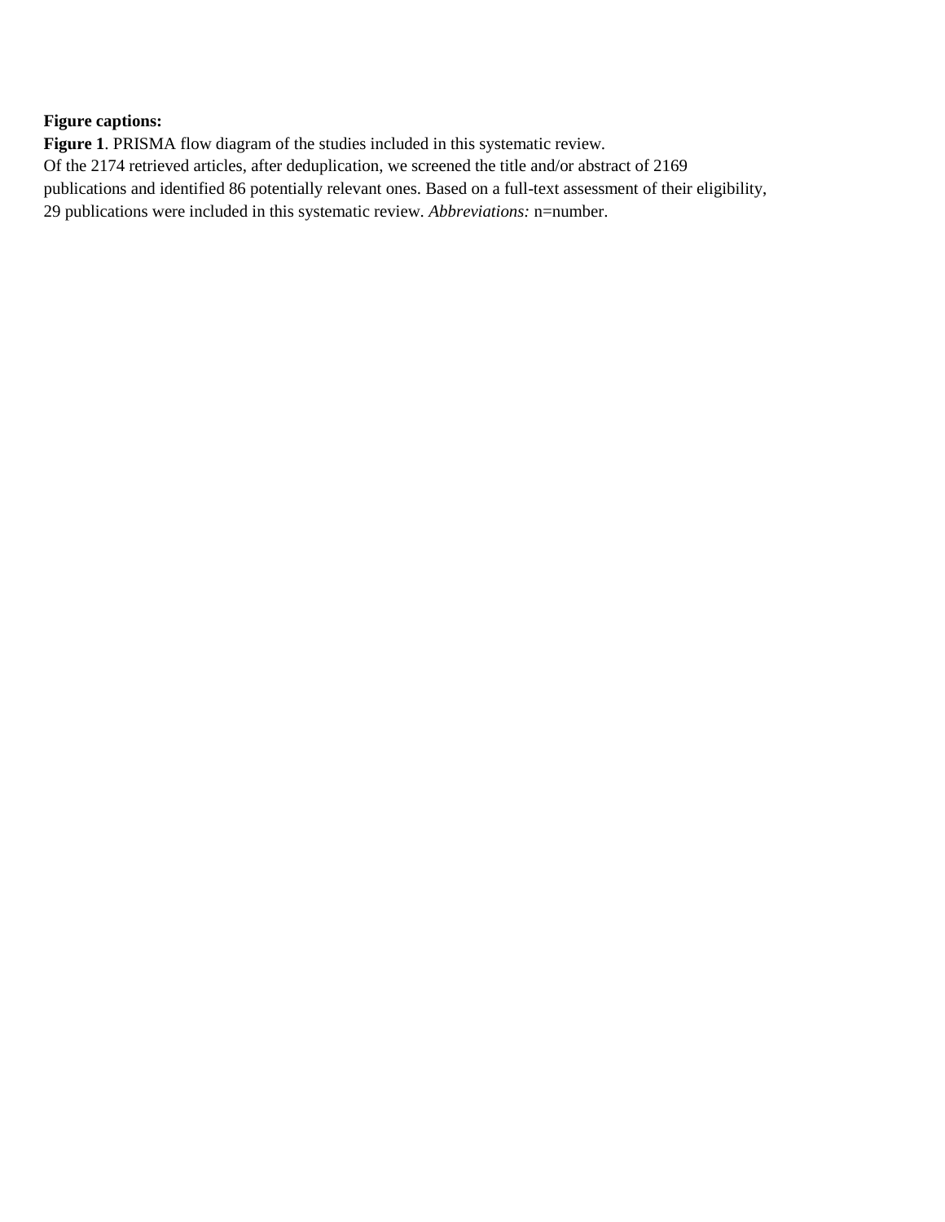# **Figure captions:**

**Figure 1**. PRISMA flow diagram of the studies included in this systematic review. Of the 2174 retrieved articles, after deduplication, we screened the title and/or abstract of 2169 publications and identified 86 potentially relevant ones. Based on a full-text assessment of their eligibility, 29 publications were included in this systematic review. *Abbreviations:* n=number.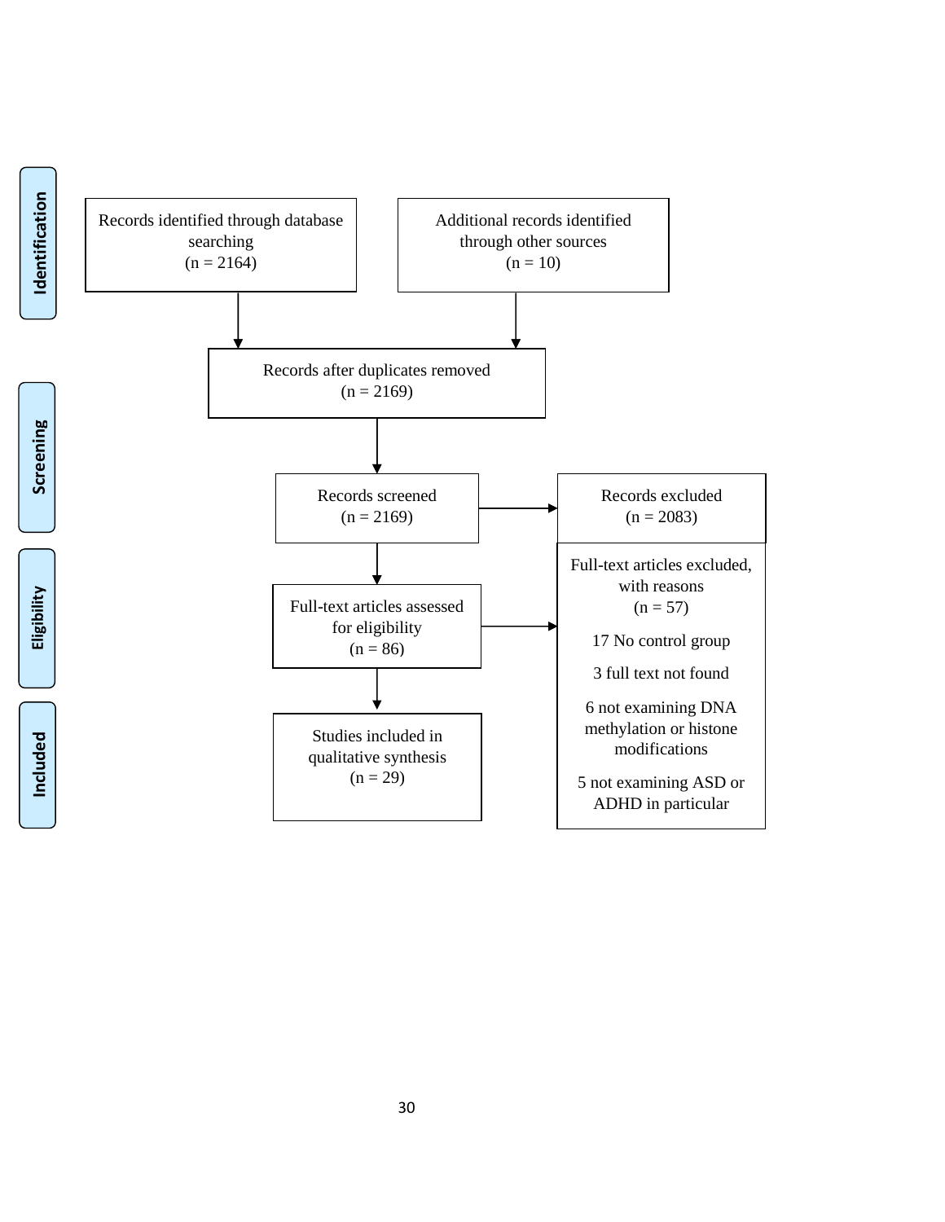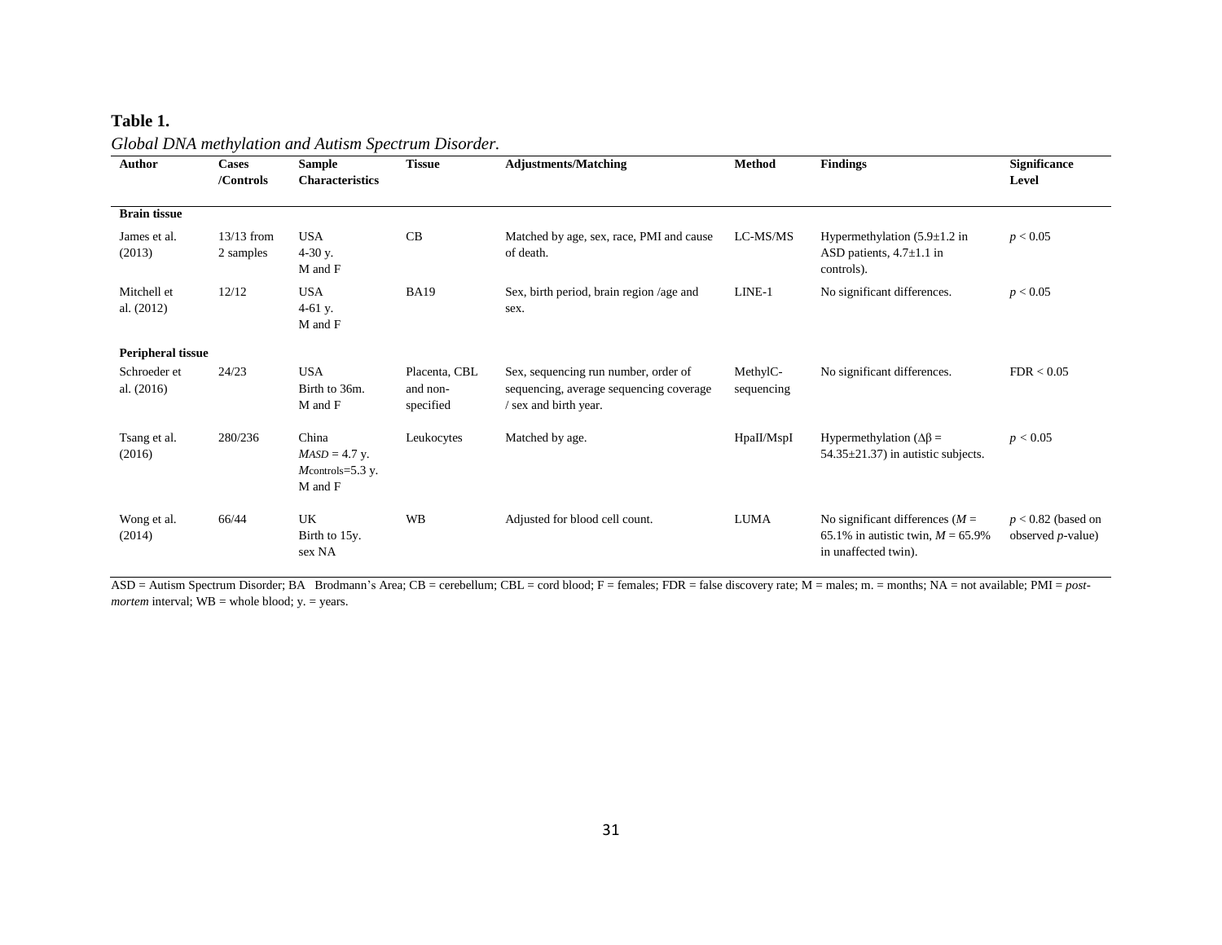### **Table 1.**

**Author Cases /Controls Sample Characteristics Tissue Adjustments/Matching Method Findings Significance Level Brain tissue** James et al. (2013) 13/13 from 2 samples USA 4-30 y. M and F CB Matched by age, sex, race, PMI and cause of death. LC-MS/MS Hypermethylation  $(5.9 \pm 1.2 \text{ in}$ ASD patients, 4.7±1.1 in controls).  $p < 0.05$ Mitchell et al. (2012) 12/12 USA 4-61 y. M and F BA19 Sex, birth period, brain region /age and sex. LINE-1 No significant differences.  $p < 0.05$ **Peripheral tissue** Schroeder et al. (2016) 24/23 USA Birth to 36m. M and F Placenta, CBL and nonspecified Sex, sequencing run number, order of sequencing, average sequencing coverage / sex and birth year. MethylCsequencing No significant differences. FDR <  $0.05$ Tsang et al. (2016) 280/236 China  *y. M*controls=5.3 y. M and F Leukocytes Matched by age. HpaII/MspI Hypermethylation (∆β =  $54.35 \pm 21.37$ ) in autistic subjects.  $p < 0.05$ Wong et al. (2014) 66/44 UK Birth to 15y. sex NA WB Adjusted for blood cell count. LUMA No significant differences ( $M =$ 65.1% in autistic twin, *M* = 65.9% in unaffected twin). *p* < 0.82 (based on observed *p-*value)

*Global DNA methylation and Autism Spectrum Disorder.*

ASD = Autism Spectrum Disorder; BA Brodmann's Area; CB = cerebellum; CBL = cord blood; F = females; FDR = false discovery rate; M = males; m. = months; NA = not available; PMI = *postmortem* interval;  $WB =$  whole blood;  $y =$  years.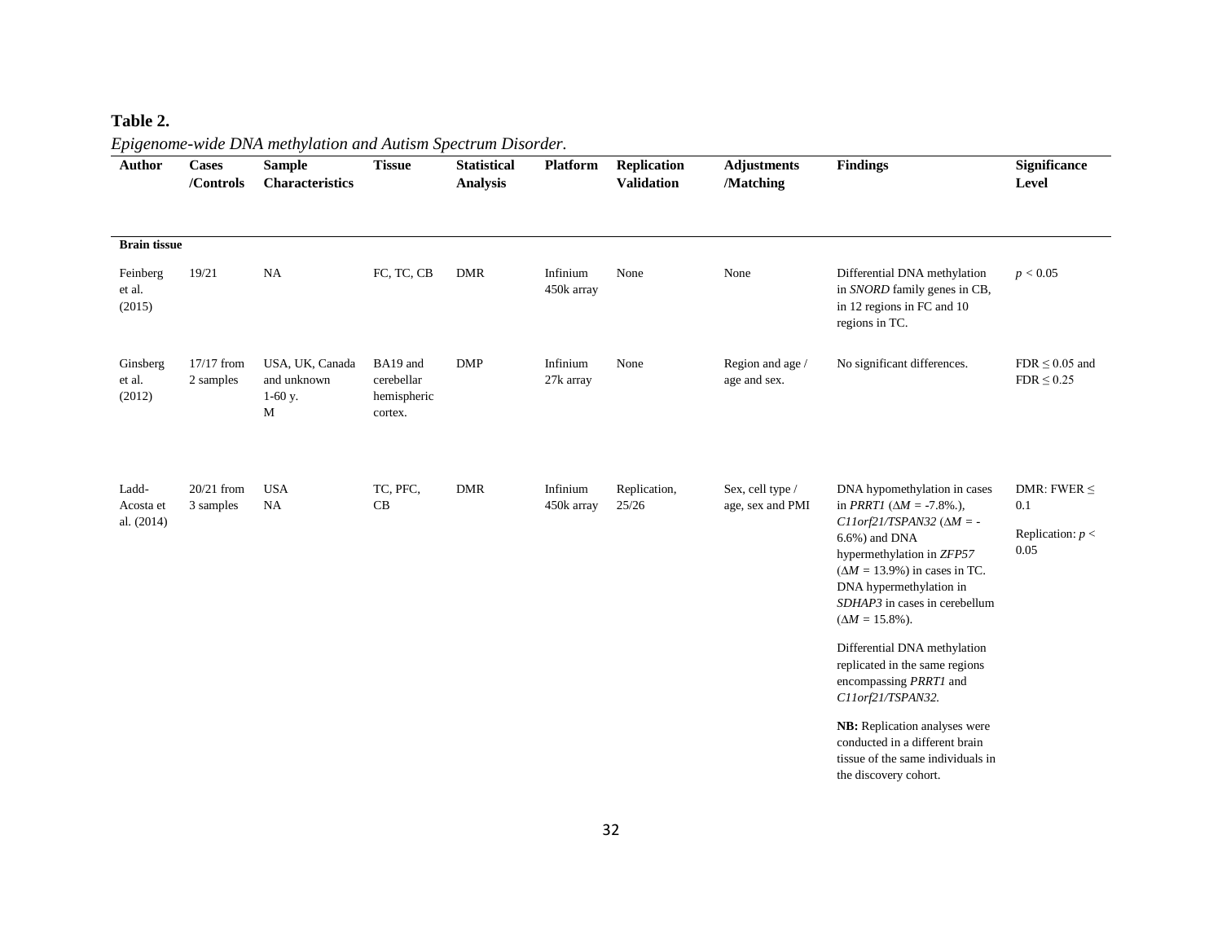# **Table 2.**

| $\mathbf{r}$ o<br>Author         | <b>Cases</b><br>/Controls | $\checkmark$<br><b>Sample</b><br><b>Characteristics</b> | · r<br><b>Tissue</b>                                              | <b>Statistical</b><br><b>Analysis</b> | <b>Platform</b>        | Replication<br><b>Validation</b> | <b>Adjustments</b><br>/Matching      | <b>Findings</b>                                                                                                                                                                                                                                                                                                                                                                                                                                                                                                                                      | <b>Significance</b><br>Level                          |
|----------------------------------|---------------------------|---------------------------------------------------------|-------------------------------------------------------------------|---------------------------------------|------------------------|----------------------------------|--------------------------------------|------------------------------------------------------------------------------------------------------------------------------------------------------------------------------------------------------------------------------------------------------------------------------------------------------------------------------------------------------------------------------------------------------------------------------------------------------------------------------------------------------------------------------------------------------|-------------------------------------------------------|
| <b>Brain tissue</b>              |                           |                                                         |                                                                   |                                       |                        |                                  |                                      |                                                                                                                                                                                                                                                                                                                                                                                                                                                                                                                                                      |                                                       |
| Feinberg<br>et al.<br>(2015)     | 19/21                     | NA                                                      | FC, TC, CB                                                        | <b>DMR</b>                            | Infinium<br>450k array | None                             | None                                 | Differential DNA methylation<br>in SNORD family genes in CB,<br>in 12 regions in FC and 10<br>regions in TC.                                                                                                                                                                                                                                                                                                                                                                                                                                         | p < 0.05                                              |
| Ginsberg<br>et al.<br>(2012)     | 17/17 from<br>2 samples   | USA, UK, Canada<br>and unknown<br>$1-60$ y.<br>М        | BA19 and<br>$\operatorname{cerebellar}$<br>hemispheric<br>cortex. | <b>DMP</b>                            | Infinium<br>27k array  | None                             | Region and age /<br>age and sex.     | No significant differences.                                                                                                                                                                                                                                                                                                                                                                                                                                                                                                                          | $FDR \leq 0.05$ and<br>$FDR \leq 0.25$                |
| Ladd-<br>Acosta et<br>al. (2014) | $20/21$ from<br>3 samples | <b>USA</b><br>NA                                        | TC, PFC,<br>CB                                                    | <b>DMR</b>                            | Infinium<br>450k array | Replication,<br>25/26            | Sex, cell type /<br>age, sex and PMI | DNA hypomethylation in cases<br>in <i>PRRT1</i> ( $\Delta M = -7.8\%$ .),<br>$C11$ orf21/TSPAN32 ( $\Delta M = -$<br>$6.6\%$ ) and DNA<br>hypermethylation in ZFP57<br>$(\Delta M = 13.9\%)$ in cases in TC.<br>DNA hypermethylation in<br>SDHAP3 in cases in cerebellum<br>$(\Delta M = 15.8\%).$<br>Differential DNA methylation<br>replicated in the same regions<br>encompassing PRRT1 and<br>C11orf21/TSPAN32.<br>NB: Replication analyses were<br>conducted in a different brain<br>tissue of the same individuals in<br>the discovery cohort. | DMR: FWER $\leq$<br>0.1<br>Replication: $p <$<br>0.05 |

# *Epigenome-wide DNA methylation and Autism Spectrum Disorder.*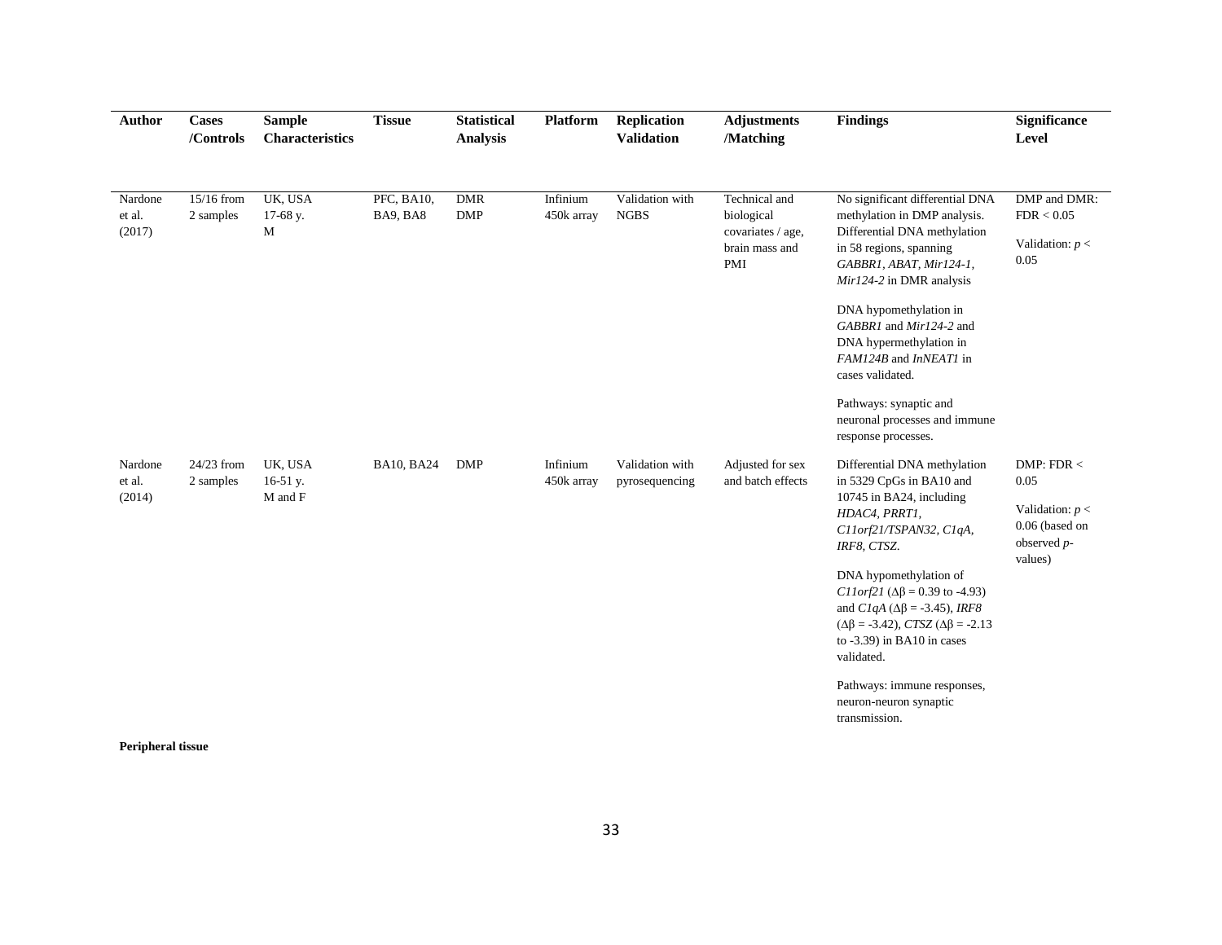| Author                      | <b>Cases</b><br>/Controls | <b>Sample</b><br>Characteristics | <b>Tissue</b>          | <b>Statistical</b><br><b>Analysis</b> | <b>Platform</b>        | <b>Replication</b><br><b>Validation</b> | <b>Adjustments</b><br>/Matching                                           | <b>Findings</b>                                                                                                                                                                                                                          | <b>Significance</b><br>Level                                                             |
|-----------------------------|---------------------------|----------------------------------|------------------------|---------------------------------------|------------------------|-----------------------------------------|---------------------------------------------------------------------------|------------------------------------------------------------------------------------------------------------------------------------------------------------------------------------------------------------------------------------------|------------------------------------------------------------------------------------------|
| Nardone<br>et al.<br>(2017) | $15/16$ from<br>2 samples | UK, USA<br>17-68 y.<br>M         | PFC, BA10,<br>BA9, BA8 | <b>DMR</b><br><b>DMP</b>              | Infinium<br>450k array | Validation with<br><b>NGBS</b>          | Technical and<br>biological<br>covariates / age,<br>brain mass and<br>PMI | No significant differential DNA<br>methylation in DMP analysis.<br>Differential DNA methylation<br>in 58 regions, spanning<br>GABBR1, ABAT, Mir124-1,<br>Mir124-2 in DMR analysis<br>DNA hypomethylation in                              | DMP and DMR:<br>FDR < 0.05<br>Validation: $p <$<br>0.05                                  |
|                             |                           |                                  |                        |                                       |                        |                                         |                                                                           | GABBR1 and Mir124-2 and<br>DNA hypermethylation in<br>FAM124B and InNEAT1 in<br>cases validated.                                                                                                                                         |                                                                                          |
|                             |                           |                                  |                        |                                       |                        |                                         |                                                                           | Pathways: synaptic and<br>neuronal processes and immune<br>response processes.                                                                                                                                                           |                                                                                          |
| Nardone<br>et al.<br>(2014) | 24/23 from<br>2 samples   | UK, USA<br>16-51 y.<br>M and F   | <b>BA10, BA24</b>      | <b>DMP</b>                            | Infinium<br>450k array | Validation with<br>pyrosequencing       | Adjusted for sex<br>and batch effects                                     | Differential DNA methylation<br>in 5329 CpGs in BA10 and<br>10745 in BA24, including<br>HDAC4, PRRT1,<br>C11orf21/TSPAN32, C1qA,<br>IRF8, CTSZ.                                                                                          | DMP: FDR $<$<br>0.05<br>Validation: $p <$<br>0.06 (based on<br>observed $p$ -<br>values) |
|                             |                           |                                  |                        |                                       |                        |                                         |                                                                           | DNA hypomethylation of<br><i>C11orf21</i> ( $\Delta\beta$ = 0.39 to -4.93)<br>and $C1qA$ ( $\Delta\beta$ = -3.45), IRF8<br>$(\Delta \beta = -3.42)$ , <i>CTSZ</i> ( $\Delta \beta = -2.13$ )<br>to -3.39) in BA10 in cases<br>validated. |                                                                                          |
|                             |                           |                                  |                        |                                       |                        |                                         |                                                                           | Pathways: immune responses,<br>neuron-neuron synaptic<br>transmission.                                                                                                                                                                   |                                                                                          |

**Peripheral tissue**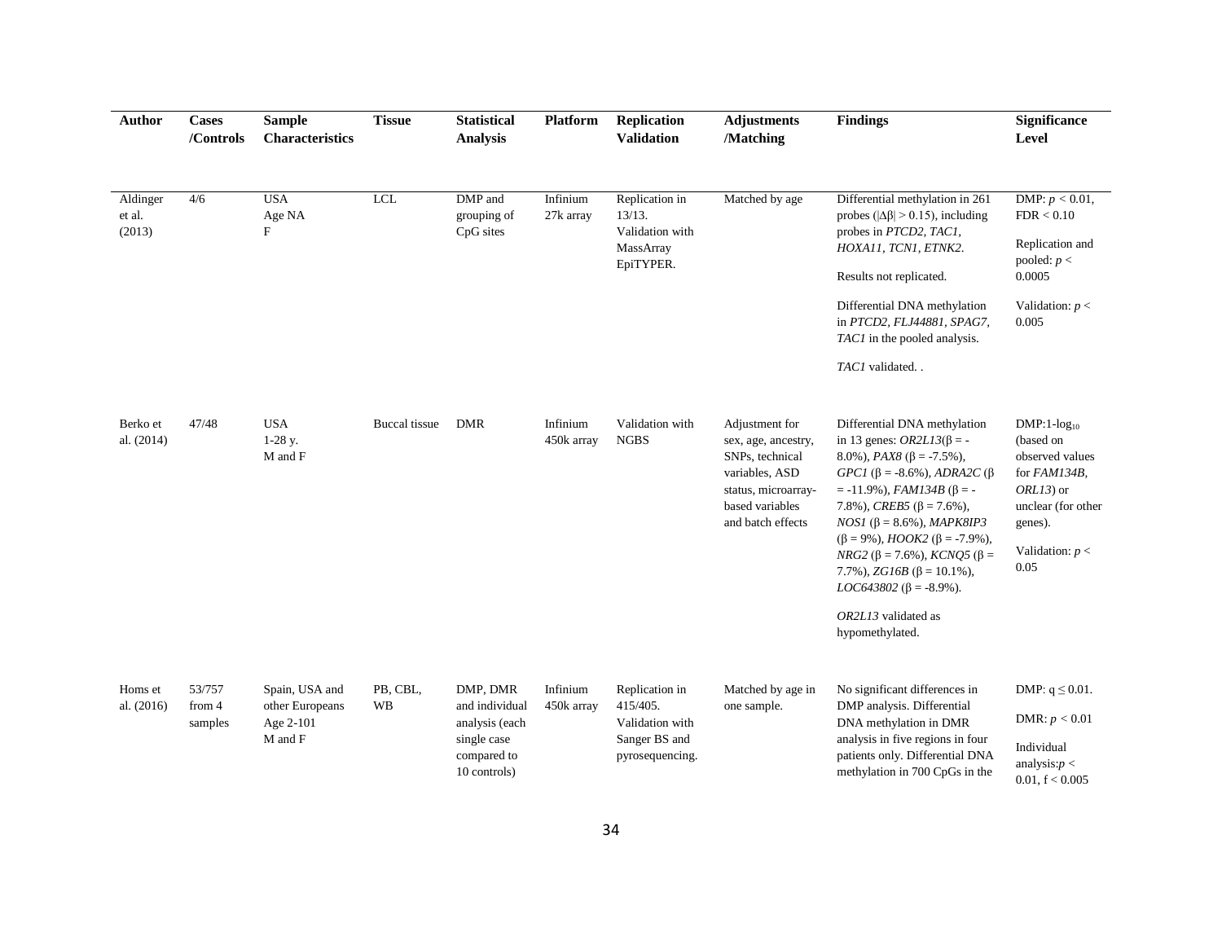| <b>Author</b>                | <b>Cases</b><br>/Controls   | <b>Sample</b><br><b>Characteristics</b>                   | <b>Tissue</b>  | <b>Statistical</b><br><b>Analysis</b>                                                      | Platform               | <b>Replication</b><br><b>Validation</b>                                           | <b>Adjustments</b><br>/Matching                                                                                                           | <b>Findings</b>                                                                                                                                                                                                                                                                                                                                                                                                                                                                                            | <b>Significance</b><br>Level                                                                                                                   |
|------------------------------|-----------------------------|-----------------------------------------------------------|----------------|--------------------------------------------------------------------------------------------|------------------------|-----------------------------------------------------------------------------------|-------------------------------------------------------------------------------------------------------------------------------------------|------------------------------------------------------------------------------------------------------------------------------------------------------------------------------------------------------------------------------------------------------------------------------------------------------------------------------------------------------------------------------------------------------------------------------------------------------------------------------------------------------------|------------------------------------------------------------------------------------------------------------------------------------------------|
| Aldinger<br>et al.<br>(2013) | 4/6                         | <b>USA</b><br>Age NA<br>F                                 | <b>LCL</b>     | DMP and<br>grouping of<br>CpG sites                                                        | Infinium<br>27k array  | Replication in<br>13/13.<br>Validation with<br>MassArray<br>EpiTYPER.             | Matched by age                                                                                                                            | Differential methylation in 261<br>probes ( $ \Delta \beta $ > 0.15), including<br>probes in PTCD2, TAC1,<br>HOXA11, TCN1, ETNK2.<br>Results not replicated.<br>Differential DNA methylation<br>in PTCD2, FLJ44881, SPAG7,<br>TAC1 in the pooled analysis.<br>TAC1 validated                                                                                                                                                                                                                               | DMP: $p < 0.01$ ,<br>FDR < 0.10<br>Replication and<br>pooled: $p <$<br>0.0005<br>Validation: $p <$<br>0.005                                    |
| Berko et<br>al. (2014)       | 47/48                       | <b>USA</b><br>$1-28$ y.<br>M and F                        | Buccal tissue  | <b>DMR</b>                                                                                 | Infinium<br>450k array | Validation with<br><b>NGBS</b>                                                    | Adjustment for<br>sex, age, ancestry,<br>SNPs, technical<br>variables, ASD<br>status, microarray-<br>based variables<br>and batch effects | Differential DNA methylation<br>in 13 genes: $OR2L13(\beta = -$<br>8.0%), $PAX8$ ( $\beta$ = -7.5%).<br>GPC1 ( $\beta$ = -8.6%), ADRA2C ( $\beta$<br>$= -11.9\%$ ), <i>FAM134B</i> ( $\beta = -$<br>7.8%), <i>CREB5</i> ( $\beta$ = 7.6%),<br>$NOS1$ ( $\beta$ = 8.6%), <i>MAPK8IP3</i><br>$(\beta = 9\%)$ , HOOK2 ( $\beta = -7.9\%$ ),<br>$NRG2$ ( $\beta$ = 7.6%), $KCNQ5$ ( $\beta$ =<br>7.7%), $ZG16B$ ( $\beta$ = 10.1%),<br>$LOC643802 (\beta = -8.9\%).$<br>OR2L13 validated as<br>hypomethylated. | $DMP:1-log_{10}$<br>(based on<br>observed values<br>for FAM134B,<br>$ORL13$ ) or<br>unclear (for other<br>genes).<br>Validation: $p <$<br>0.05 |
| Homs et<br>al. (2016)        | 53/757<br>from 4<br>samples | Spain, USA and<br>other Europeans<br>Age 2-101<br>M and F | PB, CBL,<br>WB | DMP, DMR<br>and individual<br>analysis (each<br>single case<br>compared to<br>10 controls) | Infinium<br>450k array | Replication in<br>415/405.<br>Validation with<br>Sanger BS and<br>pyrosequencing. | Matched by age in<br>one sample.                                                                                                          | No significant differences in<br>DMP analysis. Differential<br>DNA methylation in DMR<br>analysis in five regions in four<br>patients only. Differential DNA<br>methylation in 700 CpGs in the                                                                                                                                                                                                                                                                                                             | DMP: $q \leq 0.01$ .<br>DMR: $p < 0.01$<br>Individual<br>analysis: $p <$<br>0.01, f < 0.005                                                    |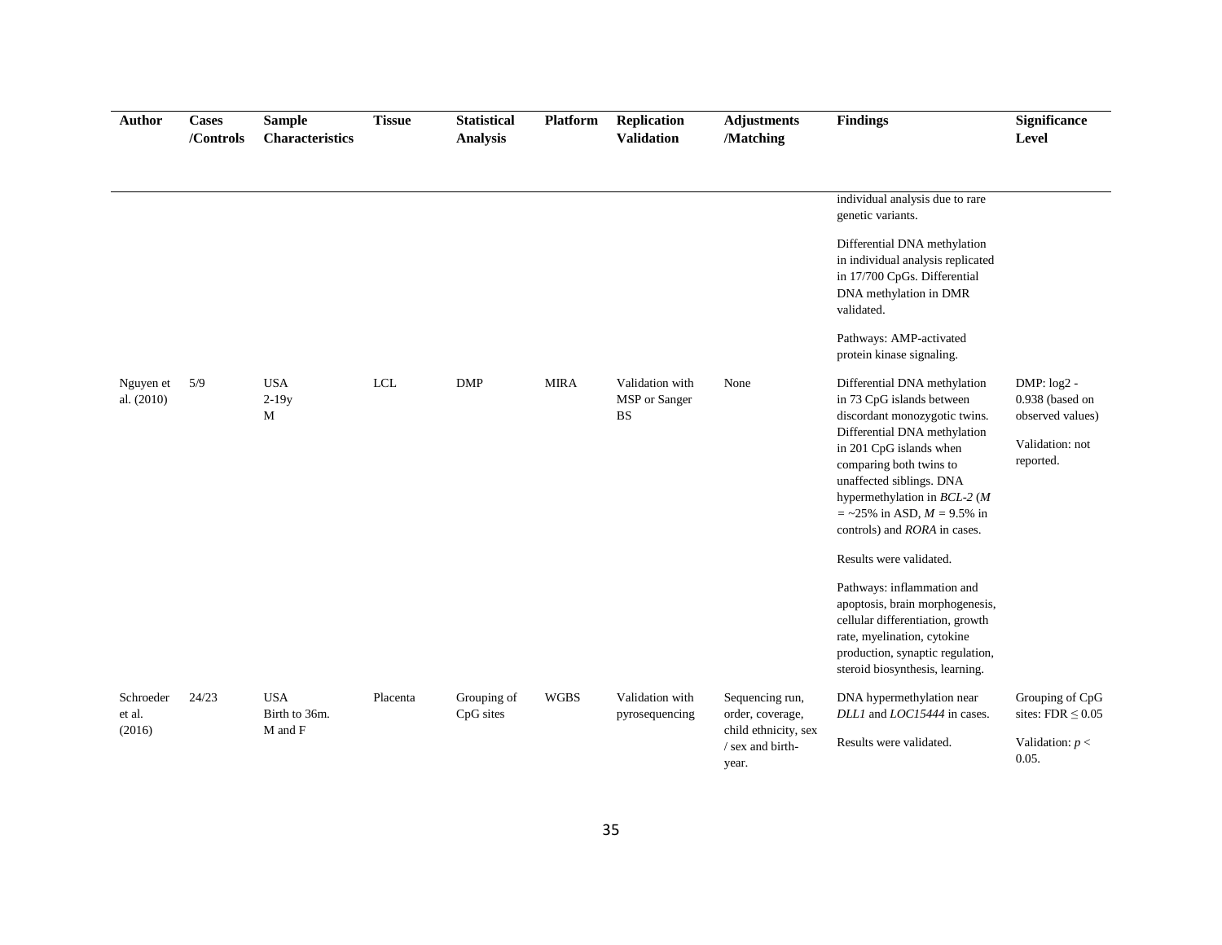| <b>Author</b>                 | <b>Cases</b><br>/Controls | <b>Sample</b><br>Characteristics       | <b>Tissue</b> | <b>Statistical</b><br><b>Analysis</b> | <b>Platform</b> | <b>Replication</b><br><b>Validation</b>       | <b>Adjustments</b><br>/Matching                                                          | <b>Findings</b>                                                                                                                                                                                                                                                                                                | <b>Significance</b><br>Level                                                         |
|-------------------------------|---------------------------|----------------------------------------|---------------|---------------------------------------|-----------------|-----------------------------------------------|------------------------------------------------------------------------------------------|----------------------------------------------------------------------------------------------------------------------------------------------------------------------------------------------------------------------------------------------------------------------------------------------------------------|--------------------------------------------------------------------------------------|
|                               |                           |                                        |               |                                       |                 |                                               |                                                                                          | individual analysis due to rare<br>genetic variants.<br>Differential DNA methylation<br>in individual analysis replicated<br>in 17/700 CpGs. Differential<br>DNA methylation in DMR<br>validated.<br>Pathways: AMP-activated<br>protein kinase signaling.                                                      |                                                                                      |
| Nguyen et<br>al. (2010)       | 5/9                       | <b>USA</b><br>$2-19y$<br>M             | LCL           | <b>DMP</b>                            | <b>MIRA</b>     | Validation with<br>MSP or Sanger<br><b>BS</b> | None                                                                                     | Differential DNA methylation<br>in 73 CpG islands between<br>discordant monozygotic twins.<br>Differential DNA methylation<br>in 201 CpG islands when<br>comparing both twins to<br>unaffected siblings. DNA<br>hypermethylation in BCL-2 (M<br>$=$ ~25% in ASD, $M = 9.5%$ in<br>controls) and RORA in cases. | DMP: $log2 -$<br>0.938 (based on<br>observed values)<br>Validation: not<br>reported. |
|                               |                           |                                        |               |                                       |                 |                                               |                                                                                          | Results were validated.<br>Pathways: inflammation and<br>apoptosis, brain morphogenesis,<br>cellular differentiation, growth<br>rate, myelination, cytokine<br>production, synaptic regulation,<br>steroid biosynthesis, learning.                                                                             |                                                                                      |
| Schroeder<br>et al.<br>(2016) | 24/23                     | <b>USA</b><br>Birth to 36m.<br>M and F | Placenta      | Grouping of<br>CpG sites              | <b>WGBS</b>     | Validation with<br>pyrosequencing             | Sequencing run,<br>order, coverage,<br>child ethnicity, sex<br>/ sex and birth-<br>year. | DNA hypermethylation near<br>DLL1 and LOC15444 in cases.<br>Results were validated.                                                                                                                                                                                                                            | Grouping of CpG<br>sites: $FDR \leq 0.05$<br>Validation: $p <$<br>0.05.              |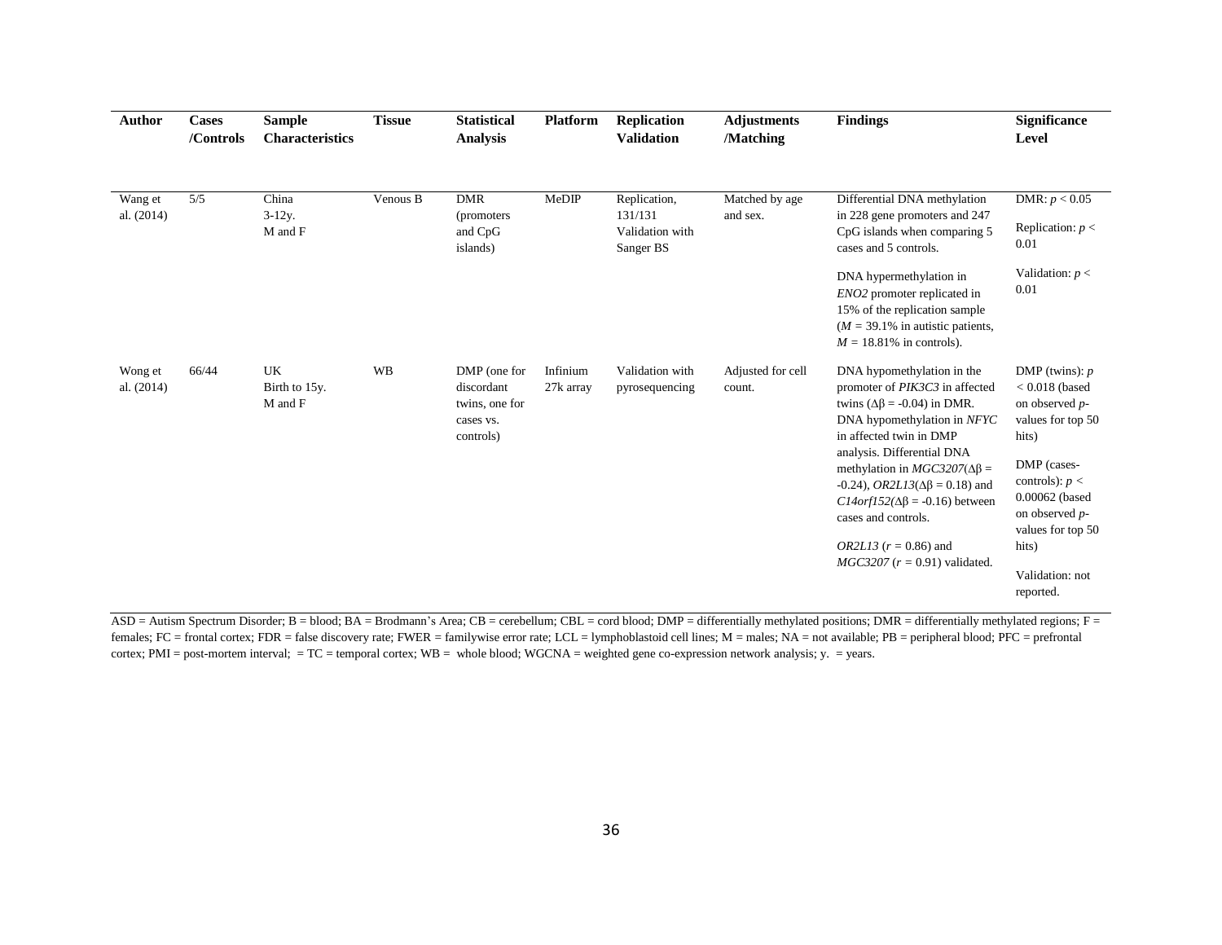| <b>Author</b>           | <b>Cases</b><br>/Controls | <b>Sample</b><br><b>Characteristics</b> | <b>Tissue</b> | <b>Statistical</b><br><b>Analysis</b>                                  | <b>Platform</b>       | <b>Replication</b><br><b>Validation</b>                 | <b>Adjustments</b><br>/Matching | <b>Findings</b>                                                                                                                                                                                                                                                                                                                                                                                                              | <b>Significance</b><br>Level                                                                                                                                                                                              |
|-------------------------|---------------------------|-----------------------------------------|---------------|------------------------------------------------------------------------|-----------------------|---------------------------------------------------------|---------------------------------|------------------------------------------------------------------------------------------------------------------------------------------------------------------------------------------------------------------------------------------------------------------------------------------------------------------------------------------------------------------------------------------------------------------------------|---------------------------------------------------------------------------------------------------------------------------------------------------------------------------------------------------------------------------|
| Wang et<br>al. $(2014)$ | $\overline{5/5}$          | China<br>$3-12y$ .<br>M and F           | Venous B      | <b>DMR</b><br>(promoters)<br>and CpG<br>islands)                       | MeDIP                 | Replication,<br>131/131<br>Validation with<br>Sanger BS | Matched by age<br>and sex.      | Differential DNA methylation<br>in 228 gene promoters and 247<br>CpG islands when comparing 5<br>cases and 5 controls.                                                                                                                                                                                                                                                                                                       | DMR: $p < 0.05$<br>Replication: $p <$<br>0.01                                                                                                                                                                             |
|                         |                           |                                         |               |                                                                        |                       |                                                         |                                 | DNA hypermethylation in<br><i>ENO2</i> promoter replicated in<br>15% of the replication sample<br>$(M = 39.1\%$ in autistic patients,<br>$M = 18.81\%$ in controls).                                                                                                                                                                                                                                                         | Validation: $p <$<br>0.01                                                                                                                                                                                                 |
| Wong et<br>al. $(2014)$ | 66/44                     | UK<br>Birth to 15y.<br>M and F          | <b>WB</b>     | DMP (one for<br>discordant<br>twins, one for<br>cases vs.<br>controls) | Infinium<br>27k array | Validation with<br>pyrosequencing                       | Adjusted for cell<br>count.     | DNA hypomethylation in the<br>promoter of PIK3C3 in affected<br>twins ( $\Delta \beta$ = -0.04) in DMR.<br>DNA hypomethylation in NFYC<br>in affected twin in DMP<br>analysis. Differential DNA<br>methylation in $MGC3207(\Delta\beta =$<br>-0.24), <i>OR2L13</i> (Δβ = 0.18) and<br>$C14orf152(\Delta\beta = -0.16)$ between<br>cases and controls.<br><i>OR2L13</i> ( $r = 0.86$ ) and<br>$MGC3207 (r = 0.91)$ validated. | DMP (twins): $p$<br>$< 0.018$ (based<br>on observed p-<br>values for top 50<br>hits)<br>DMP (cases-<br>controls): $p <$<br>0.00062 (based<br>on observed p-<br>values for top 50<br>hits)<br>Validation: not<br>reported. |

ASD = Autism Spectrum Disorder; B = blood; BA = Brodmann's Area; CB = cerebellum; CBL = cord blood; DMP = differentially methylated positions; DMR = differentially methylated regions; F = females; FC = frontal cortex; FDR = false discovery rate; FWER = familywise error rate; LCL = lymphoblastoid cell lines; M = males; NA = not available; PB = peripheral blood; PFC = prefrontal cortex; PMI = post-mortem interval; = TC = temporal cortex; WB = whole blood; WGCNA = weighted gene co-expression network analysis; y. = years.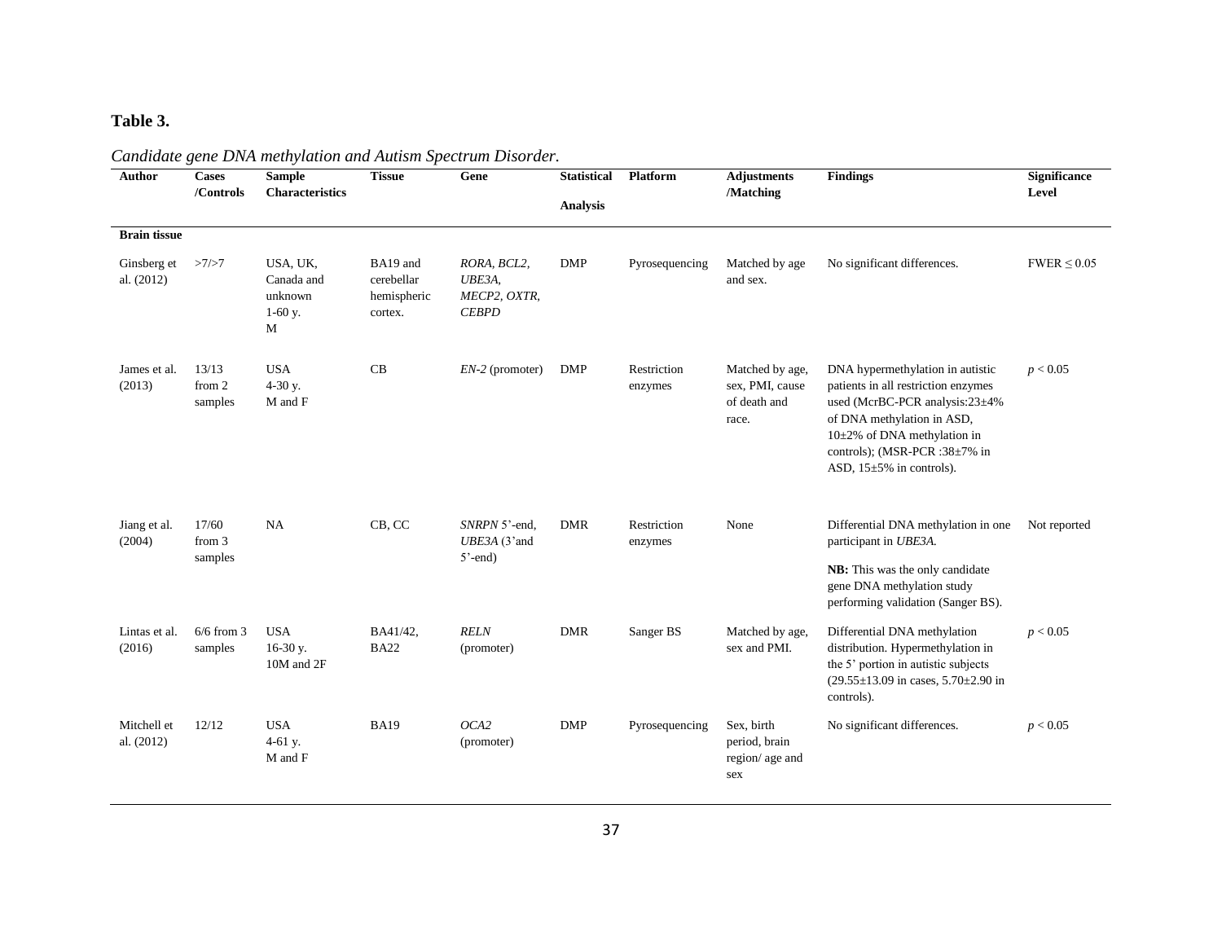# **Table 3.**

| <b>Author</b>             | <b>Cases</b><br>/Controls  | <b>Sample</b><br><b>Characteristics</b>             | <b>Tissue</b>                                    | Gene                                                  | <b>Statistical</b><br><b>Analysis</b> | Platform               | <b>Adjustments</b><br>/Matching                             | <b>Findings</b>                                                                                                                                                                                                                          | Significance<br>Level |
|---------------------------|----------------------------|-----------------------------------------------------|--------------------------------------------------|-------------------------------------------------------|---------------------------------------|------------------------|-------------------------------------------------------------|------------------------------------------------------------------------------------------------------------------------------------------------------------------------------------------------------------------------------------------|-----------------------|
| <b>Brain tissue</b>       |                            |                                                     |                                                  |                                                       |                                       |                        |                                                             |                                                                                                                                                                                                                                          |                       |
| Ginsberg et<br>al. (2012) | >7/>7                      | USA, UK,<br>Canada and<br>unknown<br>$1-60$ y.<br>M | BA19 and<br>cerebellar<br>hemispheric<br>cortex. | RORA, BCL2,<br>UBE3A,<br>MECP2, OXTR,<br><b>CEBPD</b> | <b>DMP</b>                            | Pyrosequencing         | Matched by age<br>and sex.                                  | No significant differences.                                                                                                                                                                                                              | $FWER \leq 0.05$      |
| James et al.<br>(2013)    | 13/13<br>from 2<br>samples | <b>USA</b><br>$4-30$ y.<br>M and F                  | CB                                               | $EN-2$ (promoter)                                     | DMP                                   | Restriction<br>enzymes | Matched by age,<br>sex, PMI, cause<br>of death and<br>race. | DNA hypermethylation in autistic<br>patients in all restriction enzymes<br>used (McrBC-PCR analysis:23±4%<br>of DNA methylation in ASD,<br>10±2% of DNA methylation in<br>controls); (MSR-PCR :38±7% in<br>ASD, $15\pm5\%$ in controls). | p < 0.05              |
| Jiang et al.<br>(2004)    | 17/60<br>from 3<br>samples | NA                                                  | CB, CC                                           | SNRPN 5'-end,<br>UBE3A (3'and<br>$5'$ -end)           | <b>DMR</b>                            | Restriction<br>enzymes | None                                                        | Differential DNA methylation in one<br>participant in UBE3A.<br>NB: This was the only candidate<br>gene DNA methylation study<br>performing validation (Sanger BS).                                                                      | Not reported          |
| Lintas et al.<br>(2016)   | $6/6$ from 3<br>samples    | <b>USA</b><br>16-30 y.<br>10M and 2F                | BA41/42,<br><b>BA22</b>                          | <b>RELN</b><br>(promoter)                             | <b>DMR</b>                            | Sanger BS              | Matched by age,<br>sex and PMI.                             | Differential DNA methylation<br>distribution. Hypermethylation in<br>the 5' portion in autistic subjects<br>$(29.55 \pm 13.09 \text{ in cases}, 5.70 \pm 2.90 \text{ in}$<br>controls).                                                  | p < 0.05              |
| Mitchell et<br>al. (2012) | 12/12                      | <b>USA</b><br>4-61 y.<br>M and F                    | <b>BA19</b>                                      | OCA2<br>(promoter)                                    | <b>DMP</b>                            | Pyrosequencing         | Sex, birth<br>period, brain<br>region/age and<br>sex        | No significant differences.                                                                                                                                                                                                              | p < 0.05              |

# *Candidate gene DNA methylation and Autism Spectrum Disorder.*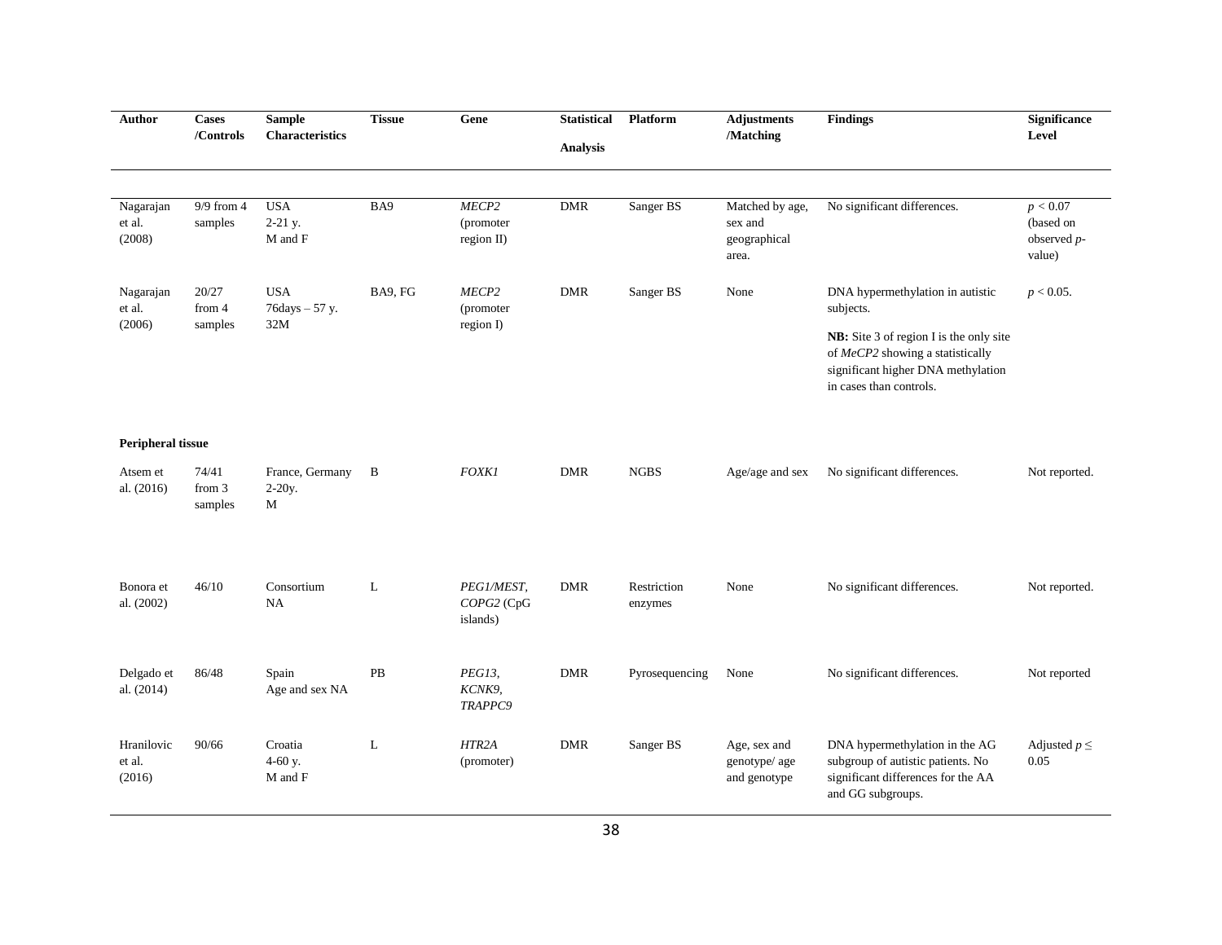| Author                                             | <b>Cases</b><br>/Controls  | <b>Sample</b><br><b>Characteristics</b>                | <b>Tissue</b> | Gene                                 | <b>Statistical</b><br><b>Analysis</b> | Platform               | <b>Adjustments</b><br>/Matching                     | <b>Findings</b>                                                                                                                                                                               | <b>Significance</b><br>Level                      |
|----------------------------------------------------|----------------------------|--------------------------------------------------------|---------------|--------------------------------------|---------------------------------------|------------------------|-----------------------------------------------------|-----------------------------------------------------------------------------------------------------------------------------------------------------------------------------------------------|---------------------------------------------------|
| Nagarajan<br>et al.<br>(2008)                      | $9/9$ from 4<br>samples    | <b>USA</b><br>$2-21$ y.<br>$\mathbf M$ and $\mathbf F$ | BA9           | MECP2<br>(promoter<br>region II)     | <b>DMR</b>                            | Sanger BS              | Matched by age,<br>sex and<br>geographical<br>area. | No significant differences.                                                                                                                                                                   | p < 0.07<br>(based on<br>observed $p$ -<br>value) |
| Nagarajan<br>et al.<br>(2006)                      | 20/27<br>from 4<br>samples | <b>USA</b><br>76days - 57 y.<br>32M                    | BA9, FG       | MECP2<br>(promoter)<br>region I)     | <b>DMR</b>                            | Sanger BS              | None                                                | DNA hypermethylation in autistic<br>subjects.<br>NB: Site 3 of region I is the only site<br>of MeCP2 showing a statistically<br>significant higher DNA methylation<br>in cases than controls. | $p < 0.05$ .                                      |
| <b>Peripheral tissue</b><br>Atsem et<br>al. (2016) | 74/41<br>from 3<br>samples | France, Germany<br>$2-20y$ .<br>М                      | $\mathbf{B}$  | <b>FOXK1</b>                         | <b>DMR</b>                            | <b>NGBS</b>            | Age/age and sex                                     | No significant differences.                                                                                                                                                                   | Not reported.                                     |
| Bonora et<br>al. (2002)                            | 46/10                      | Consortium<br>NA                                       | L             | PEG1/MEST,<br>COPG2 (CpG<br>islands) | <b>DMR</b>                            | Restriction<br>enzymes | None                                                | No significant differences.                                                                                                                                                                   | Not reported.                                     |
| Delgado et<br>al. (2014)                           | 86/48                      | Spain<br>Age and sex NA                                | PB            | PEG13,<br>KCNK9,<br>TRAPPC9          | <b>DMR</b>                            | Pyrosequencing         | None                                                | No significant differences.                                                                                                                                                                   | Not reported                                      |
| Hranilovic<br>et al.<br>(2016)                     | 90/66                      | Croatia<br>4-60 y.<br>M and F                          | L             | HTR <sub>2</sub> A<br>(promoter)     | ${\rm DMR}$                           | Sanger BS              | Age, sex and<br>genotype/age<br>and genotype        | DNA hypermethylation in the AG<br>subgroup of autistic patients. No<br>significant differences for the AA<br>and GG subgroups.                                                                | Adjusted $p \leq$<br>0.05                         |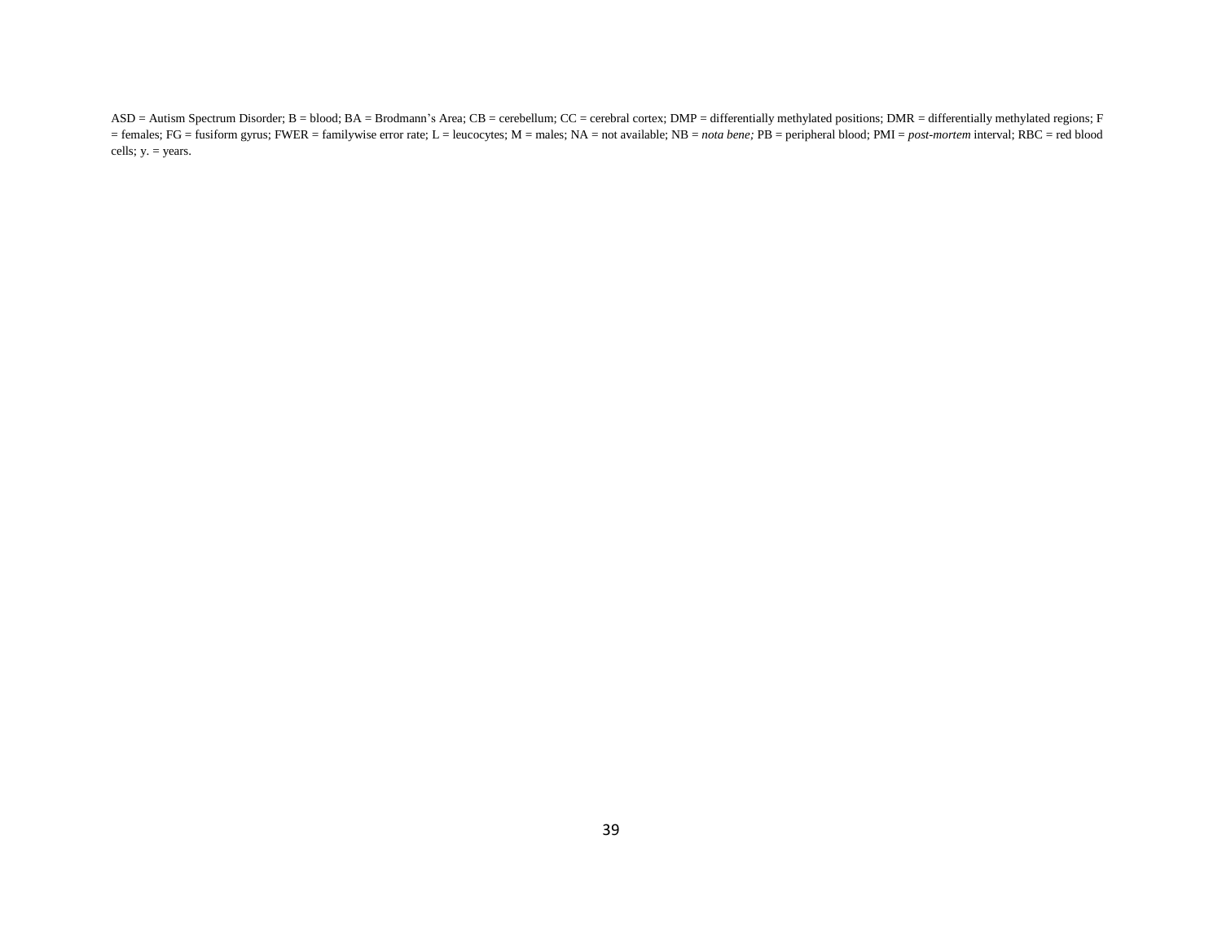ASD = Autism Spectrum Disorder; B = blood; BA = Brodmann's Area; CB = cerebellum; CC = cerebral cortex; DMP = differentially methylated positions; DMR = differentially methylated regions; F = females; FG = fusiform gyrus; FWER = familywise error rate; L = leucocytes; M = males; NA = not available; NB = *nota bene;* PB = peripheral blood; PMI = *post-mortem* interval; RBC = red blood cells; y. = years.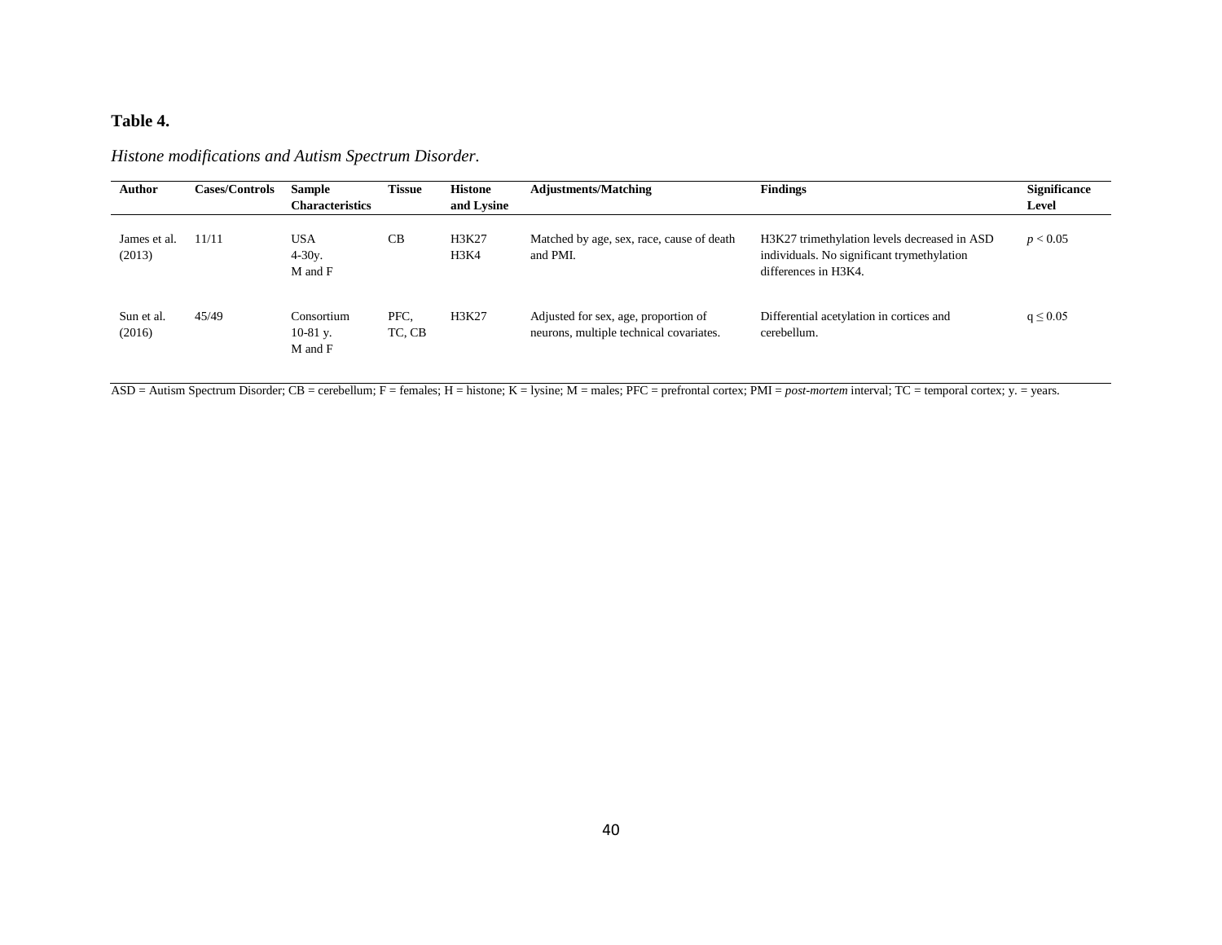# **Table 4.**

| <b>Author</b>          | <b>Cases/Controls</b> | <b>Sample</b>                       | <b>Tissue</b>  | Histone       | <b>Adjustments/Matching</b>                                                     | <b>Findings</b>                                                                                                    | <b>Significance</b> |
|------------------------|-----------------------|-------------------------------------|----------------|---------------|---------------------------------------------------------------------------------|--------------------------------------------------------------------------------------------------------------------|---------------------|
|                        |                       | <b>Characteristics</b>              |                | and Lysine    |                                                                                 |                                                                                                                    | Level               |
| James et al.<br>(2013) | 11/11                 | USA<br>$4 - 30y$ .<br>M and F       | <b>CB</b>      | H3K27<br>H3K4 | Matched by age, sex, race, cause of death<br>and PMI.                           | H3K27 trimethylation levels decreased in ASD<br>individuals. No significant trymethylation<br>differences in H3K4. | p < 0.05            |
| Sun et al.<br>(2016)   | 45/49                 | Consortium<br>$10-81$ y.<br>M and F | PFC.<br>TC, CB | H3K27         | Adjusted for sex, age, proportion of<br>neurons, multiple technical covariates. | Differential acetylation in cortices and<br>cerebellum.                                                            | $q \le 0.05$        |

*Histone modifications and Autism Spectrum Disorder.* 

ASD = Autism Spectrum Disorder; CB = cerebellum; F = females; H = histone; K = lysine; M = males; PFC = prefrontal cortex; PMI = *post-mortem* interval; TC = temporal cortex; y. = years.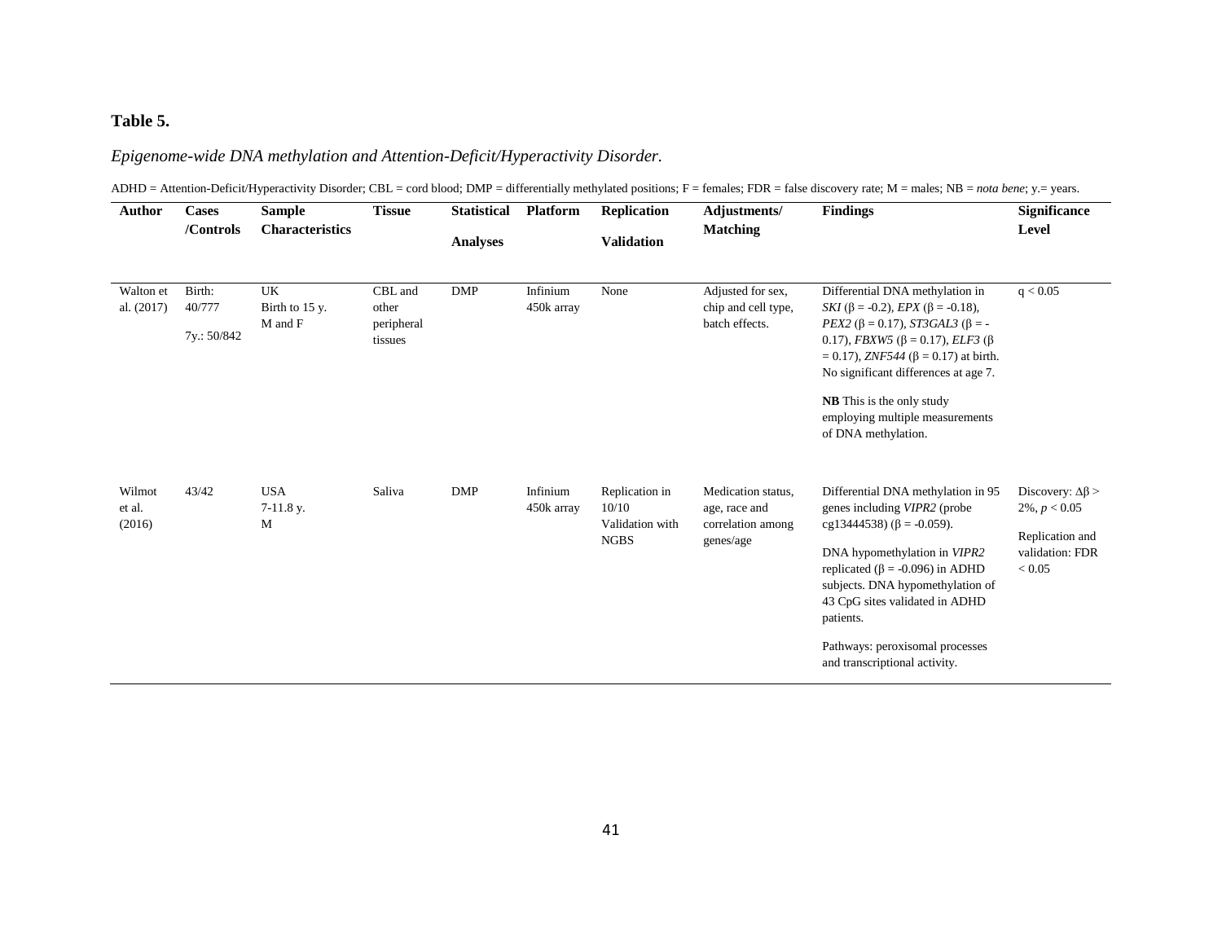### **Table 5.**

### *Epigenome-wide DNA methylation and Attention-Deficit/Hyperactivity Disorder.*

ADHD = Attention-Deficit/Hyperactivity Disorder; CBL = cord blood; DMP = differentially methylated positions; F = females; FDR = false discovery rate; M = males; NB = nota bene; y.= years.

| <b>Author</b>              | <b>Cases</b><br>/Controls       | <b>Sample</b><br><b>Characteristics</b> | <b>Tissue</b>                             | <b>Statistical</b><br><b>Analyses</b> | <b>Platform</b>        | <b>Replication</b><br><b>Validation</b>                   | Adjustments/<br><b>Matching</b>                                       | <b>Findings</b>                                                                                                                                                                                                                                                                                                                                                                 | <b>Significance</b><br><b>Level</b>                                                           |
|----------------------------|---------------------------------|-----------------------------------------|-------------------------------------------|---------------------------------------|------------------------|-----------------------------------------------------------|-----------------------------------------------------------------------|---------------------------------------------------------------------------------------------------------------------------------------------------------------------------------------------------------------------------------------------------------------------------------------------------------------------------------------------------------------------------------|-----------------------------------------------------------------------------------------------|
| Walton et<br>al. (2017)    | Birth:<br>40/777<br>7y.: 50/842 | UK<br>Birth to 15 y.<br>M and F         | CBL and<br>other<br>peripheral<br>tissues | <b>DMP</b>                            | Infinium<br>450k array | None                                                      | Adjusted for sex,<br>chip and cell type,<br>batch effects.            | Differential DNA methylation in<br>SKI ( $\beta$ = -0.2), <i>EPX</i> ( $\beta$ = -0.18),<br>$PEX2$ (β = 0.17), <i>ST3GAL3</i> (β = -<br>0.17), FBXW5 ( $\beta$ = 0.17), ELF3 ( $\beta$<br>$= 0.17$ ), ZNF544 ( $\beta = 0.17$ ) at birth.<br>No significant differences at age 7.<br><b>NB</b> This is the only study<br>employing multiple measurements<br>of DNA methylation. | q < 0.05                                                                                      |
| Wilmot<br>et al.<br>(2016) | 43/42                           | <b>USA</b><br>7-11.8 y.<br>M            | Saliva                                    | <b>DMP</b>                            | Infinium<br>450k array | Replication in<br>10/10<br>Validation with<br><b>NGBS</b> | Medication status,<br>age, race and<br>correlation among<br>genes/age | Differential DNA methylation in 95<br>genes including VIPR2 (probe<br>cg13444538) ( $\beta$ = -0.059).<br>DNA hypomethylation in VIPR2<br>replicated ( $\beta$ = -0.096) in ADHD<br>subjects. DNA hypomethylation of<br>43 CpG sites validated in ADHD<br>patients.<br>Pathways: peroxisomal processes<br>and transcriptional activity.                                         | Discovery: $\Delta\beta$ ><br>$2\%, p < 0.05$<br>Replication and<br>validation: FDR<br>< 0.05 |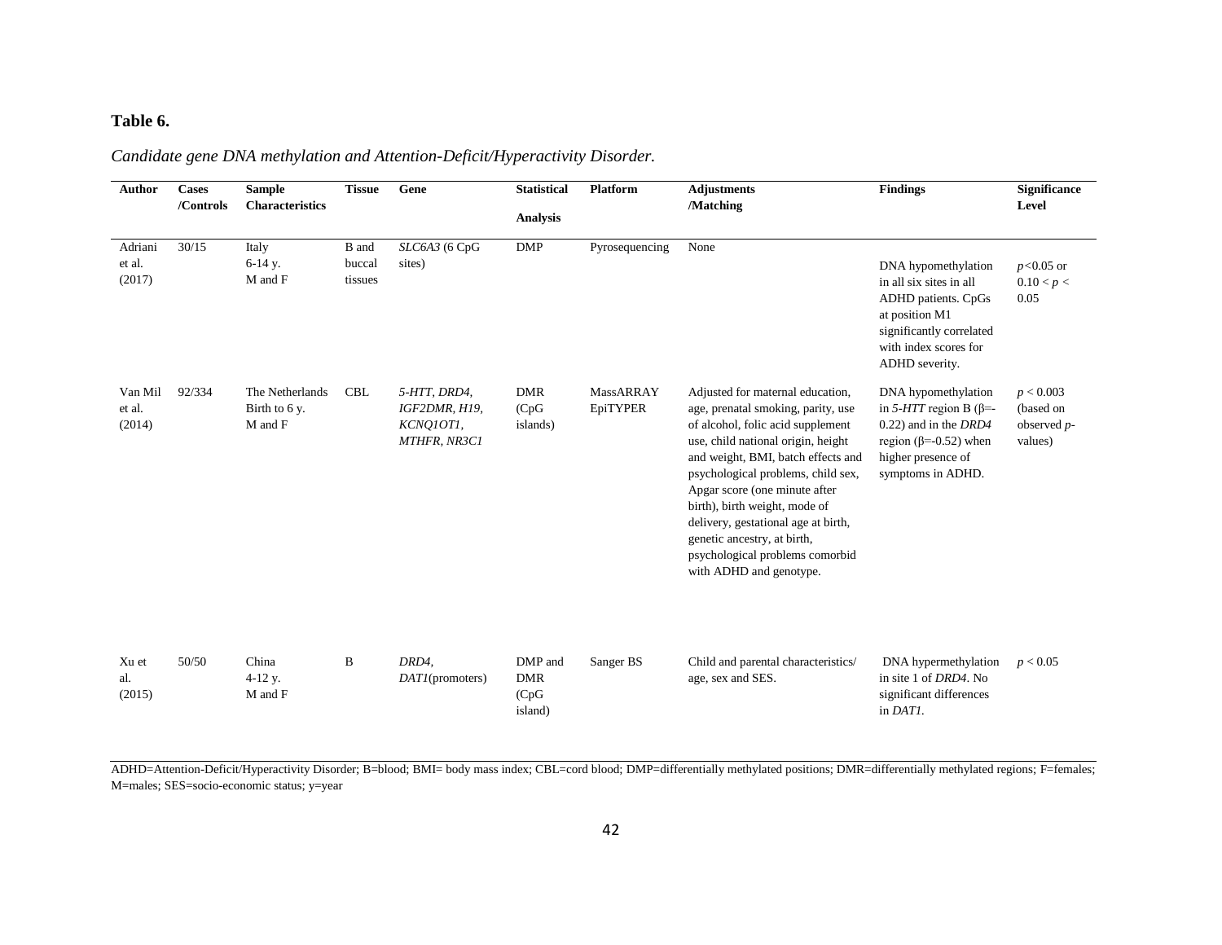# **Table 6.**

| Candidate gene DNA methylation and Attention-Deficit/Hyperactivity Disorder. |  |
|------------------------------------------------------------------------------|--|
|------------------------------------------------------------------------------|--|

| <b>Author</b>               | <b>Cases</b><br>/Controls | <b>Sample</b><br><b>Characteristics</b>     | <b>Tissue</b>              | Gene                                                       | <b>Statistical</b><br><b>Analysis</b>     | <b>Platform</b>       | <b>Adjustments</b><br>/Matching                                                                                                                                                                                                                                                                                                                                                                                                     | <b>Findings</b>                                                                                                                                                | Significance<br>Level                               |
|-----------------------------|---------------------------|---------------------------------------------|----------------------------|------------------------------------------------------------|-------------------------------------------|-----------------------|-------------------------------------------------------------------------------------------------------------------------------------------------------------------------------------------------------------------------------------------------------------------------------------------------------------------------------------------------------------------------------------------------------------------------------------|----------------------------------------------------------------------------------------------------------------------------------------------------------------|-----------------------------------------------------|
| Adriani<br>et al.<br>(2017) | 30/15                     | Italy<br>6-14 y.<br>M and F                 | B and<br>buccal<br>tissues | SLC6A3 (6 CpG<br>sites)                                    | <b>DMP</b>                                | Pyrosequencing        | None                                                                                                                                                                                                                                                                                                                                                                                                                                | DNA hypomethylation<br>in all six sites in all<br>ADHD patients. CpGs<br>at position M1<br>significantly correlated<br>with index scores for<br>ADHD severity. | $p<0.05$ or<br>0.10 < p <<br>0.05                   |
| Van Mil<br>et al.<br>(2014) | 92/334                    | The Netherlands<br>Birth to 6 y.<br>M and F | <b>CBL</b>                 | 5-HTT, DRD4,<br>IGF2DMR, H19,<br>KCNQ10T1,<br>MTHFR, NR3C1 | <b>DMR</b><br>(CpG)<br>islands)           | MassARRAY<br>EpiTYPER | Adjusted for maternal education,<br>age, prenatal smoking, parity, use<br>of alcohol, folic acid supplement<br>use, child national origin, height<br>and weight, BMI, batch effects and<br>psychological problems, child sex,<br>Apgar score (one minute after<br>birth), birth weight, mode of<br>delivery, gestational age at birth,<br>genetic ancestry, at birth,<br>psychological problems comorbid<br>with ADHD and genotype. | DNA hypomethylation<br>in 5-HTT region B ( $\beta$ =-<br>0.22) and in the DRD4<br>region ( $\beta$ =-0.52) when<br>higher presence of<br>symptoms in ADHD.     | p < 0.003<br>(based on<br>observed $p$ -<br>values) |
| Xu et<br>al.<br>(2015)      | 50/50                     | China<br>$4-12$ y.<br>M and F               | $\, {\bf B}$               | DRD4,<br>DATA (promoters)                                  | DMP and<br><b>DMR</b><br>(CpG)<br>island) | Sanger BS             | Child and parental characteristics/<br>age, sex and SES.                                                                                                                                                                                                                                                                                                                                                                            | DNA hypermethylation<br>in site 1 of <i>DRD4</i> . No<br>significant differences<br>in DATI.                                                                   | p < 0.05                                            |

ADHD=Attention-Deficit/Hyperactivity Disorder; B=blood; BMI= body mass index; CBL=cord blood; DMP=differentially methylated positions; DMR=differentially methylated regions; F=females; M=males; SES=socio-economic status; y=year